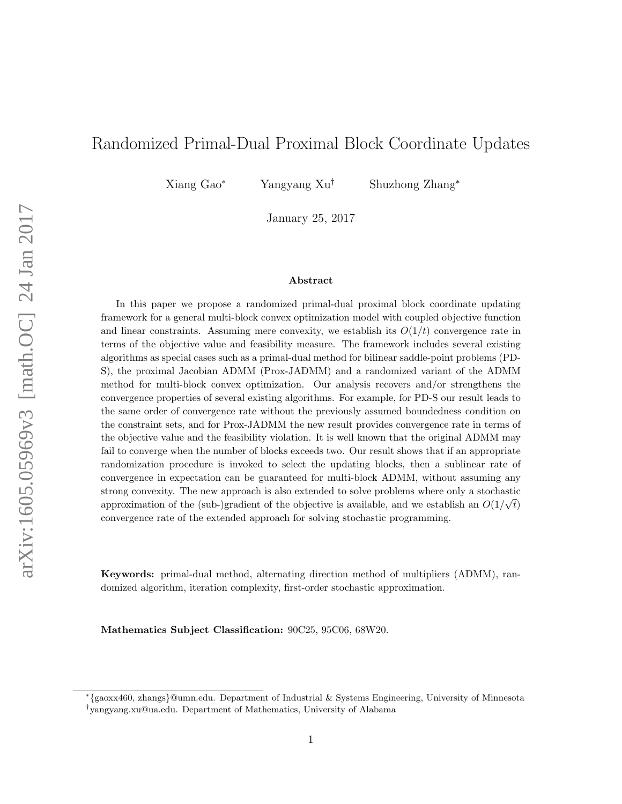# Randomized Primal-Dual Proximal Block Coordinate Updates

Xiang Gao<sup>∗</sup> Yangyang Xu† Shuzhong Zhang<sup>∗</sup>

January 25, 2017

#### Abstract

In this paper we propose a randomized primal-dual proximal block coordinate updating framework for a general multi-block convex optimization model with coupled objective function and linear constraints. Assuming mere convexity, we establish its  $O(1/t)$  convergence rate in terms of the objective value and feasibility measure. The framework includes several existing algorithms as special cases such as a primal-dual method for bilinear saddle-point problems (PD-S), the proximal Jacobian ADMM (Prox-JADMM) and a randomized variant of the ADMM method for multi-block convex optimization. Our analysis recovers and/or strengthens the convergence properties of several existing algorithms. For example, for PD-S our result leads to the same order of convergence rate without the previously assumed boundedness condition on the constraint sets, and for Prox-JADMM the new result provides convergence rate in terms of the objective value and the feasibility violation. It is well known that the original ADMM may fail to converge when the number of blocks exceeds two. Our result shows that if an appropriate randomization procedure is invoked to select the updating blocks, then a sublinear rate of convergence in expectation can be guaranteed for multi-block ADMM, without assuming any strong convexity. The new approach is also extended to solve problems where only a stochastic approximation of the (sub-)gradient of the objective is available, and we establish an  $O(1/\sqrt{t})$ convergence rate of the extended approach for solving stochastic programming.

Keywords: primal-dual method, alternating direction method of multipliers (ADMM), randomized algorithm, iteration complexity, first-order stochastic approximation.

Mathematics Subject Classification: 90C25, 95C06, 68W20.

<sup>∗</sup> {gaoxx460, zhangs}@umn.edu. Department of Industrial & Systems Engineering, University of Minnesota

<sup>†</sup> yangyang.xu@ua.edu. Department of Mathematics, University of Alabama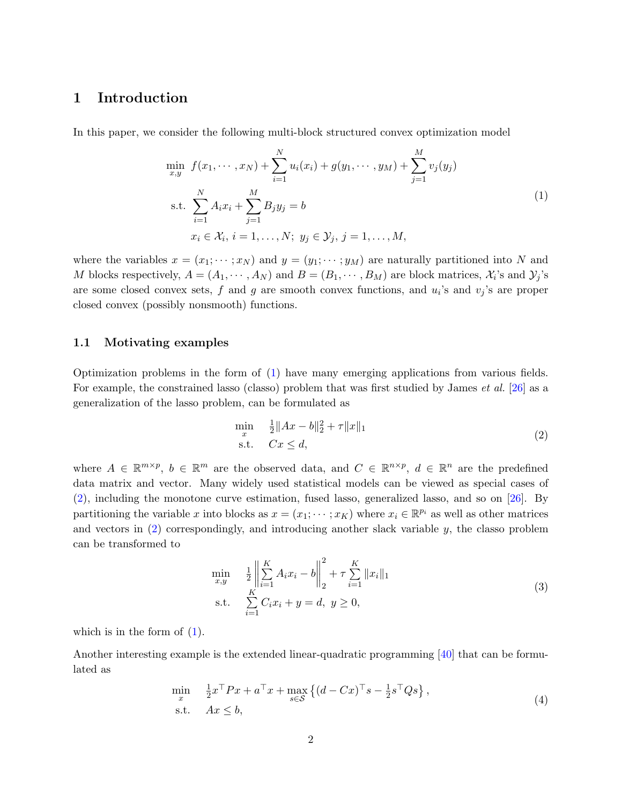### <span id="page-1-5"></span><span id="page-1-3"></span>1 Introduction

In this paper, we consider the following multi-block structured convex optimization model

<span id="page-1-0"></span>
$$
\min_{x,y} f(x_1, \dots, x_N) + \sum_{i=1}^N u_i(x_i) + g(y_1, \dots, y_M) + \sum_{j=1}^M v_j(y_j)
$$
\n
$$
\text{s.t. } \sum_{i=1}^N A_i x_i + \sum_{j=1}^M B_j y_j = b
$$
\n
$$
x_i \in \mathcal{X}_i, \, i = 1, \dots, N; \, y_j \in \mathcal{Y}_j, \, j = 1, \dots, M,
$$
\n
$$
(1)
$$

where the variables  $x = (x_1; \dots; x_N)$  and  $y = (y_1; \dots; y_M)$  are naturally partitioned into N and M blocks respectively,  $A = (A_1, \dots, A_N)$  and  $B = (B_1, \dots, B_M)$  are block matrices,  $\mathcal{X}_i$ 's and  $\mathcal{Y}_j$ 's are some closed convex sets, f and g are smooth convex functions, and  $u_i$ 's and  $v_j$ 's are proper closed convex (possibly nonsmooth) functions.

#### 1.1 Motivating examples

Optimization problems in the form of [\(1\)](#page-1-0) have many emerging applications from various fields. For example, the constrained lasso (classo) problem that was first studied by James *et al.* [\[26\]](#page-24-0) as a generalization of the lasso problem, can be formulated as

<span id="page-1-1"></span>
$$
\min_{x} \quad \frac{1}{2} \|Ax - b\|_{2}^{2} + \tau \|x\|_{1}
$$
\n
$$
\text{s.t.} \quad Cx \leq d,\tag{2}
$$

where  $A \in \mathbb{R}^{m \times p}$ ,  $b \in \mathbb{R}^m$  are the observed data, and  $C \in \mathbb{R}^{n \times p}$ ,  $d \in \mathbb{R}^n$  are the predefined data matrix and vector. Many widely used statistical models can be viewed as special cases of [\(2\)](#page-1-1), including the monotone curve estimation, fused lasso, generalized lasso, and so on [\[26\]](#page-24-0). By partitioning the variable x into blocks as  $x = (x_1; \dots; x_K)$  where  $x_i \in \mathbb{R}^{p_i}$  as well as other matrices and vectors in  $(2)$  correspondingly, and introducing another slack variable  $y$ , the classo problem can be transformed to

<span id="page-1-4"></span>
$$
\min_{x,y} \quad \frac{1}{2} \left\| \sum_{i=1}^{K} A_i x_i - b \right\|_2^2 + \tau \sum_{i=1}^{K} \|x_i\|_1
$$
\n
$$
\text{s.t.} \quad \sum_{i=1}^{K} C_i x_i + y = d, \ y \ge 0,
$$
\n
$$
(3)
$$

which is in the form of  $(1)$ .

Another interesting example is the extended linear-quadratic programming [\[40\]](#page-26-0) that can be formulated as

<span id="page-1-2"></span>
$$
\min_{x} \quad \frac{1}{2}x^{\top}Px + a^{\top}x + \max_{s \in \mathcal{S}} \left\{ (d - Cx)^{\top}s - \frac{1}{2}s^{\top}Qs \right\},
$$
\n
$$
\text{s.t.} \quad Ax \leq b,\tag{4}
$$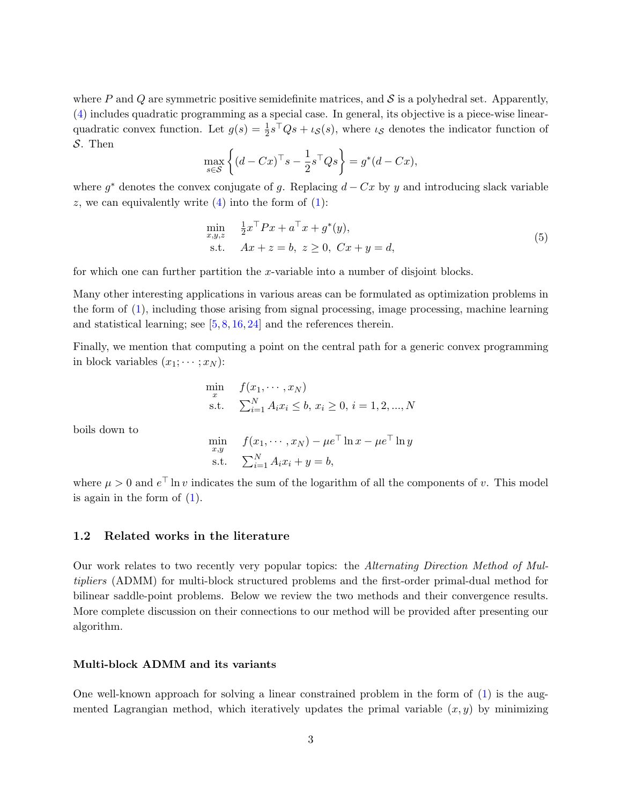<span id="page-2-0"></span>where P and Q are symmetric positive semidefinite matrices, and  $\mathcal S$  is a polyhedral set. Apparently, [\(4\)](#page-1-2) includes quadratic programming as a special case. In general, its objective is a piece-wise linearquadratic convex function. Let  $g(s) = \frac{1}{2}s^{\top}Qs + \iota_{\mathcal{S}}(s)$ , where  $\iota_{\mathcal{S}}$  denotes the indicator function of S. Then

$$
\max_{s \in \mathcal{S}} \left\{ (d - Cx)^{\top} s - \frac{1}{2} s^{\top} Q s \right\} = g^*(d - Cx),
$$

where  $g^*$  denotes the convex conjugate of g. Replacing  $d - Cx$  by y and introducing slack variable z, we can equivalently write  $(4)$  into the form of  $(1)$ :

$$
\min_{x,y,z} \quad \frac{1}{2} x^\top P x + a^\top x + g^*(y), \n\text{s.t.} \quad Ax + z = b, \ z \ge 0, \ Cx + y = d,
$$
\n(5)

for which one can further partition the x-variable into a number of disjoint blocks.

Many other interesting applications in various areas can be formulated as optimization problems in the form of [\(1\)](#page-1-0), including those arising from signal processing, image processing, machine learning and statistical learning; see  $[5, 8, 16, 24]$  $[5, 8, 16, 24]$  $[5, 8, 16, 24]$  $[5, 8, 16, 24]$  $[5, 8, 16, 24]$  $[5, 8, 16, 24]$  $[5, 8, 16, 24]$  and the references therein.

Finally, we mention that computing a point on the central path for a generic convex programming in block variables  $(x_1; \dots; x_N)$ :

$$
\min_{x} \quad f(x_1, \dots, x_N) \n\text{s.t.} \quad \sum_{i=1}^{N} A_i x_i \le b, \ x_i \ge 0, \ i = 1, 2, ..., N
$$

boils down to

$$
\min_{x,y} \quad f(x_1, \dots, x_N) - \mu e^{\top} \ln x - \mu e^{\top} \ln y
$$
\n
$$
\text{s.t.} \quad \sum_{i=1}^N A_i x_i + y = b,
$$

where  $\mu > 0$  and  $e^{\top}$  ln v indicates the sum of the logarithm of all the components of v. This model is again in the form of [\(1\)](#page-1-0).

#### 1.2 Related works in the literature

Our work relates to two recently very popular topics: the Alternating Direction Method of Multipliers (ADMM) for multi-block structured problems and the first-order primal-dual method for bilinear saddle-point problems. Below we review the two methods and their convergence results. More complete discussion on their connections to our method will be provided after presenting our algorithm.

#### Multi-block ADMM and its variants

One well-known approach for solving a linear constrained problem in the form of [\(1\)](#page-1-0) is the augmented Lagrangian method, which iteratively updates the primal variable  $(x, y)$  by minimizing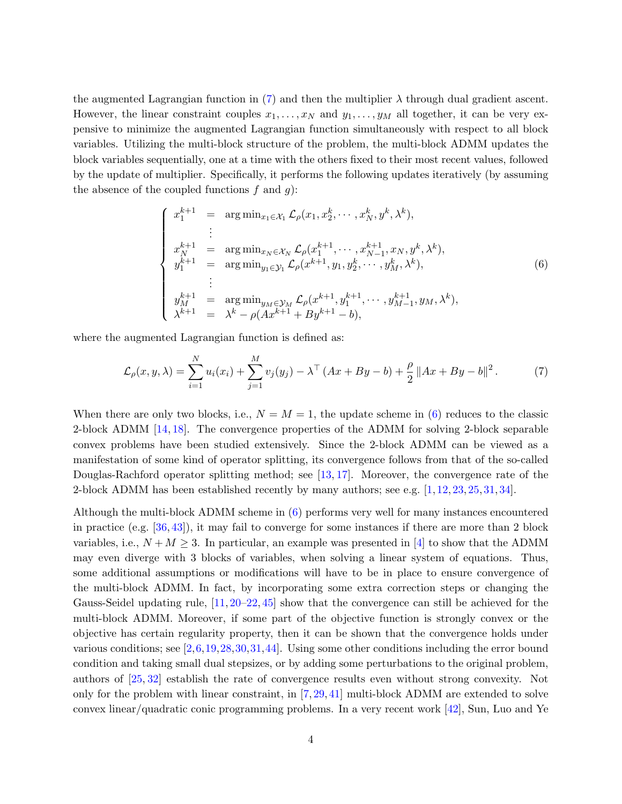<span id="page-3-2"></span>the augmented Lagrangian function in [\(7\)](#page-3-0) and then the multiplier  $\lambda$  through dual gradient ascent. However, the linear constraint couples  $x_1, \ldots, x_N$  and  $y_1, \ldots, y_M$  all together, it can be very expensive to minimize the augmented Lagrangian function simultaneously with respect to all block variables. Utilizing the multi-block structure of the problem, the multi-block ADMM updates the block variables sequentially, one at a time with the others fixed to their most recent values, followed by the update of multiplier. Specifically, it performs the following updates iteratively (by assuming the absence of the coupled functions  $f$  and  $g$ ):

<span id="page-3-1"></span>
$$
\begin{cases}\nx_1^{k+1} = \arg \min_{x_1 \in \mathcal{X}_1} \mathcal{L}_{\rho}(x_1, x_2^k, \cdots, x_N^k, y^k, \lambda^k), \\
\vdots \\
x_N^{k+1} = \arg \min_{x_N \in \mathcal{X}_N} \mathcal{L}_{\rho}(x_1^{k+1}, \cdots, x_{N-1}^{k+1}, x_N, y^k, \lambda^k), \\
y_1^{k+1} = \arg \min_{y_1 \in \mathcal{Y}_1} \mathcal{L}_{\rho}(x^{k+1}, y_1, y_2^k, \cdots, y_M^k, \lambda^k), \\
\vdots \\
y_M^{k+1} = \arg \min_{y_M \in \mathcal{Y}_M} \mathcal{L}_{\rho}(x^{k+1}, y_1^{k+1}, \cdots, y_{M-1}^{k+1}, y_M, \lambda^k), \\
\lambda^{k+1} = \lambda^k - \rho(Ax^{k+1} + By^{k+1} - b),\n\end{cases} \tag{6}
$$

where the augmented Lagrangian function is defined as:

<span id="page-3-0"></span>
$$
\mathcal{L}_{\rho}(x, y, \lambda) = \sum_{i=1}^{N} u_i(x_i) + \sum_{j=1}^{M} v_j(y_j) - \lambda^{\top} (Ax + By - b) + \frac{\rho}{2} ||Ax + By - b||^2.
$$
 (7)

When there are only two blocks, i.e.,  $N = M = 1$ , the update scheme in [\(6\)](#page-3-1) reduces to the classic 2-block ADMM [\[14,](#page-24-3) [18\]](#page-24-4). The convergence properties of the ADMM for solving 2-block separable convex problems have been studied extensively. Since the 2-block ADMM can be viewed as a manifestation of some kind of operator splitting, its convergence follows from that of the so-called Douglas-Rachford operator splitting method; see [\[13,](#page-24-5)[17\]](#page-24-6). Moreover, the convergence rate of the 2-block ADMM has been established recently by many authors; see e.g. [\[1,](#page-23-2) [12,](#page-23-3) [23,](#page-24-7) [25,](#page-24-8) [31,](#page-25-0) [34\]](#page-25-1).

Although the multi-block ADMM scheme in [\(6\)](#page-3-1) performs very well for many instances encountered in practice (e.g. [\[36,](#page-25-2) [43\]](#page-26-1)), it may fail to converge for some instances if there are more than 2 block variables, i.e.,  $N + M \geq 3$ . In particular, an example was presented in [\[4\]](#page-23-4) to show that the ADMM may even diverge with 3 blocks of variables, when solving a linear system of equations. Thus, some additional assumptions or modifications will have to be in place to ensure convergence of the multi-block ADMM. In fact, by incorporating some extra correction steps or changing the Gauss-Seidel updating rule, [\[11,](#page-23-5) [20–](#page-24-9)[22,](#page-24-10) [45\]](#page-26-2) show that the convergence can still be achieved for the multi-block ADMM. Moreover, if some part of the objective function is strongly convex or the objective has certain regularity property, then it can be shown that the convergence holds under various conditions; see [\[2,](#page-23-6)[6,](#page-23-7)[19,](#page-24-11)[28,](#page-25-3)[30,](#page-25-4)[31,](#page-25-0)[44\]](#page-26-3). Using some other conditions including the error bound condition and taking small dual stepsizes, or by adding some perturbations to the original problem, authors of [\[25,](#page-24-8) [32\]](#page-25-5) establish the rate of convergence results even without strong convexity. Not only for the problem with linear constraint, in [\[7,](#page-23-8) [29,](#page-25-6) [41\]](#page-26-4) multi-block ADMM are extended to solve convex linear/quadratic conic programming problems. In a very recent work [\[42\]](#page-26-5), Sun, Luo and Ye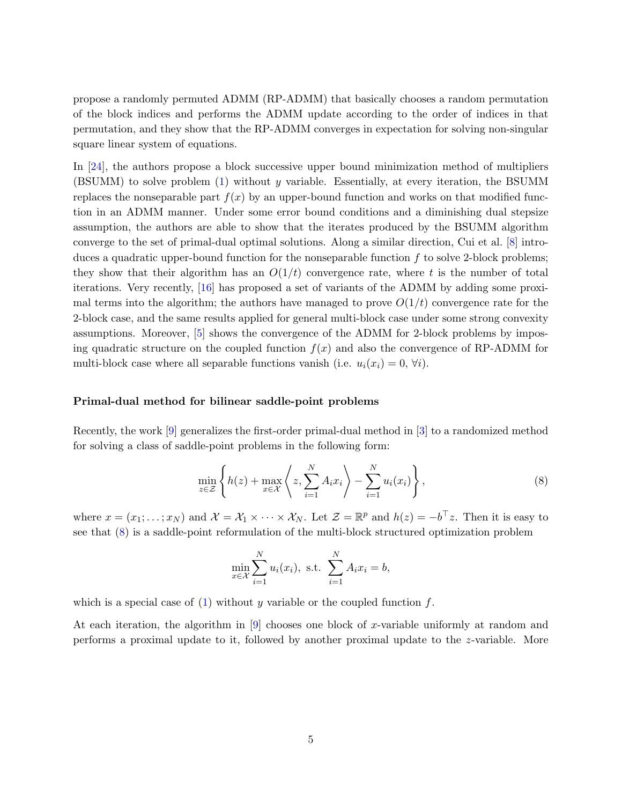<span id="page-4-1"></span>propose a randomly permuted ADMM (RP-ADMM) that basically chooses a random permutation of the block indices and performs the ADMM update according to the order of indices in that permutation, and they show that the RP-ADMM converges in expectation for solving non-singular square linear system of equations.

In [\[24\]](#page-24-2), the authors propose a block successive upper bound minimization method of multipliers (BSUMM) to solve problem [\(1\)](#page-1-0) without y variable. Essentially, at every iteration, the BSUMM replaces the nonseparable part  $f(x)$  by an upper-bound function and works on that modified function in an ADMM manner. Under some error bound conditions and a diminishing dual stepsize assumption, the authors are able to show that the iterates produced by the BSUMM algorithm converge to the set of primal-dual optimal solutions. Along a similar direction, Cui et al. [\[8\]](#page-23-1) introduces a quadratic upper-bound function for the nonseparable function  $f$  to solve 2-block problems; they show that their algorithm has an  $O(1/t)$  convergence rate, where t is the number of total iterations. Very recently, [\[16\]](#page-24-1) has proposed a set of variants of the ADMM by adding some proximal terms into the algorithm; the authors have managed to prove  $O(1/t)$  convergence rate for the 2-block case, and the same results applied for general multi-block case under some strong convexity assumptions. Moreover, [\[5\]](#page-23-0) shows the convergence of the ADMM for 2-block problems by imposing quadratic structure on the coupled function  $f(x)$  and also the convergence of RP-ADMM for multi-block case where all separable functions vanish (i.e.  $u_i(x_i) = 0, \forall i$ ).

#### Primal-dual method for bilinear saddle-point problems

Recently, the work [\[9\]](#page-23-9) generalizes the first-order primal-dual method in [\[3\]](#page-23-10) to a randomized method for solving a class of saddle-point problems in the following form:

<span id="page-4-0"></span>
$$
\min_{z \in \mathcal{Z}} \left\{ h(z) + \max_{x \in \mathcal{X}} \left\langle z, \sum_{i=1}^{N} A_i x_i \right\rangle - \sum_{i=1}^{N} u_i(x_i) \right\},\tag{8}
$$

where  $x = (x_1; \ldots; x_N)$  and  $\mathcal{X} = \mathcal{X}_1 \times \cdots \times \mathcal{X}_N$ . Let  $\mathcal{Z} = \mathbb{R}^p$  and  $h(z) = -b^{\top}z$ . Then it is easy to see that [\(8\)](#page-4-0) is a saddle-point reformulation of the multi-block structured optimization problem

$$
\min_{x \in \mathcal{X}} \sum_{i=1}^{N} u_i(x_i), \text{ s.t. } \sum_{i=1}^{N} A_i x_i = b,
$$

which is a special case of [\(1\)](#page-1-0) without y variable or the coupled function  $f$ .

At each iteration, the algorithm in  $[9]$  chooses one block of x-variable uniformly at random and performs a proximal update to it, followed by another proximal update to the z-variable. More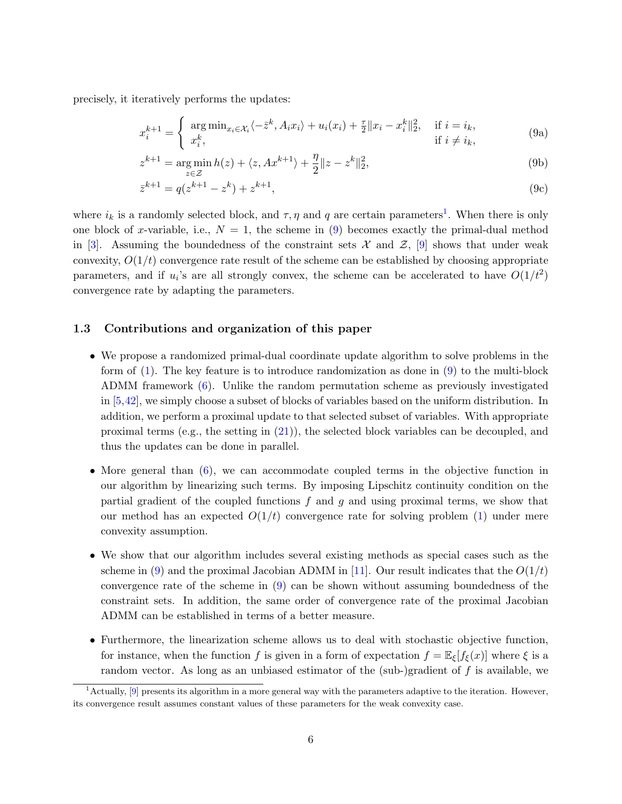<span id="page-5-3"></span>precisely, it iteratively performs the updates:

<span id="page-5-6"></span><span id="page-5-1"></span>
$$
x_i^{k+1} = \begin{cases} \operatorname{arg\,min}_{x_i \in \mathcal{X}_i} \langle -\bar{z}^k, A_i x_i \rangle + u_i(x_i) + \frac{\tau}{2} \| x_i - x_i^k \|_2^2, & \text{if } i = i_k, \\ x_i^k, & \text{if } i \neq i_k, \end{cases}
$$
(9a)

<span id="page-5-5"></span><span id="page-5-4"></span>
$$
z^{k+1} = \underset{z \in \mathcal{Z}}{\arg \min} \, h(z) + \langle z, Ax^{k+1} \rangle + \frac{\eta}{2} \| z - z^k \|_2^2,\tag{9b}
$$

$$
\bar{z}^{k+1} = q(z^{k+1} - z^k) + z^{k+1},\tag{9c}
$$

where  $i_k$  is a randomly selected block, and  $\tau$ ,  $\eta$  and  $q$  are certain parameters<sup>[1](#page-5-0)</sup>. When there is only one block of x-variable, i.e.,  $N = 1$ , the scheme in [\(9\)](#page-5-1) becomes exactly the primal-dual method in [\[3\]](#page-23-10). Assuming the boundedness of the constraint sets  $\mathcal X$  and  $\mathcal Z$ , [\[9\]](#page-23-9) shows that under weak convexity,  $O(1/t)$  convergence rate result of the scheme can be established by choosing appropriate parameters, and if  $u_i$ 's are all strongly convex, the scheme can be accelerated to have  $O(1/t^2)$ convergence rate by adapting the parameters.

#### <span id="page-5-2"></span>1.3 Contributions and organization of this paper

- We propose a randomized primal-dual coordinate update algorithm to solve problems in the form of [\(1\)](#page-1-0). The key feature is to introduce randomization as done in [\(9\)](#page-5-1) to the multi-block ADMM framework [\(6\)](#page-3-1). Unlike the random permutation scheme as previously investigated in [\[5,](#page-23-0)[42\]](#page-26-5), we simply choose a subset of blocks of variables based on the uniform distribution. In addition, we perform a proximal update to that selected subset of variables. With appropriate proximal terms (e.g., the setting in  $(21)$ ), the selected block variables can be decoupled, and thus the updates can be done in parallel.
- More general than  $(6)$ , we can accommodate coupled terms in the objective function in our algorithm by linearizing such terms. By imposing Lipschitz continuity condition on the partial gradient of the coupled functions  $f$  and  $g$  and using proximal terms, we show that our method has an expected  $O(1/t)$  convergence rate for solving problem [\(1\)](#page-1-0) under mere convexity assumption.
- We show that our algorithm includes several existing methods as special cases such as the scheme in [\(9\)](#page-5-1) and the proximal Jacobian ADMM in [\[11\]](#page-23-5). Our result indicates that the  $O(1/t)$ convergence rate of the scheme in [\(9\)](#page-5-1) can be shown without assuming boundedness of the constraint sets. In addition, the same order of convergence rate of the proximal Jacobian ADMM can be established in terms of a better measure.
- Furthermore, the linearization scheme allows us to deal with stochastic objective function, for instance, when the function f is given in a form of expectation  $f = \mathbb{E}_{\xi}[f_{\xi}(x)]$  where  $\xi$  is a random vector. As long as an unbiased estimator of the (sub-)gradient of  $f$  is available, we

<span id="page-5-0"></span> $<sup>1</sup>$  Actually, [\[9\]](#page-23-9) presents its algorithm in a more general way with the parameters adaptive to the iteration. However,</sup> its convergence result assumes constant values of these parameters for the weak convexity case.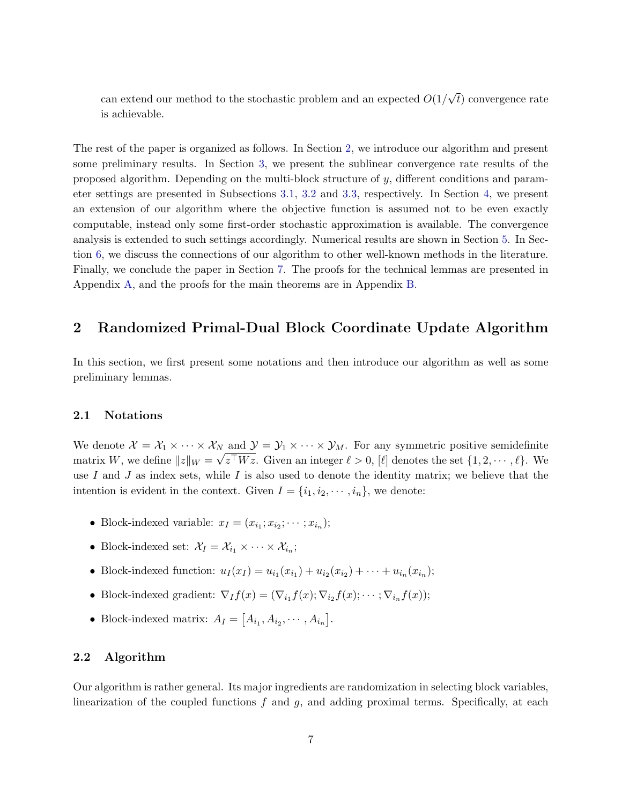can extend our method to the stochastic problem and an expected  $O(1)$ √ t) convergence rate is achievable.

The rest of the paper is organized as follows. In Section [2,](#page-6-0) we introduce our algorithm and present some preliminary results. In Section [3,](#page-9-1) we present the sublinear convergence rate results of the proposed algorithm. Depending on the multi-block structure of y, different conditions and parameter settings are presented in Subsections [3.1,](#page-12-0) [3.2](#page-12-1) and [3.3,](#page-13-0) respectively. In Section [4,](#page-14-0) we present an extension of our algorithm where the objective function is assumed not to be even exactly computable, instead only some first-order stochastic approximation is available. The convergence analysis is extended to such settings accordingly. Numerical results are shown in Section [5.](#page-18-0) In Section [6,](#page-19-0) we discuss the connections of our algorithm to other well-known methods in the literature. Finally, we conclude the paper in Section [7.](#page-22-0) The proofs for the technical lemmas are presented in Appendix [A,](#page-1-3) and the proofs for the main theorems are in Appendix [B.](#page-6-0)

### <span id="page-6-0"></span>2 Randomized Primal-Dual Block Coordinate Update Algorithm

In this section, we first present some notations and then introduce our algorithm as well as some preliminary lemmas.

#### 2.1 Notations

We denote  $\mathcal{X} = \mathcal{X}_1 \times \cdots \times \mathcal{X}_N$  and  $\mathcal{Y} = \mathcal{Y}_1 \times \cdots \times \mathcal{Y}_M$ . For any symmetric positive semidefinite matrix W, we define  $||z||_W = \sqrt{z^{\top}Wz}$ . Given an integer  $\ell > 0$ ,  $[\ell]$  denotes the set  $\{1, 2, \cdots, \ell\}$ . We use I and J as index sets, while I is also used to denote the identity matrix; we believe that the intention is evident in the context. Given  $I = \{i_1, i_2, \dots, i_n\}$ , we denote:

- Block-indexed variable:  $x_I = (x_{i_1}; x_{i_2}; \dots; x_{i_n});$
- Block-indexed set:  $\mathcal{X}_I = \mathcal{X}_{i_1} \times \cdots \times \mathcal{X}_{i_n}$ ;
- Block-indexed function:  $u_I(x_I) = u_{i_1}(x_{i_1}) + u_{i_2}(x_{i_2}) + \cdots + u_{i_n}(x_{i_n});$
- Block-indexed gradient:  $\nabla_I f(x) = (\nabla_{i_1} f(x); \nabla_{i_2} f(x); \cdots; \nabla_{i_n} f(x));$
- Block-indexed matrix:  $A_I = [A_{i_1}, A_{i_2}, \cdots, A_{i_n}].$

#### 2.2 Algorithm

Our algorithm is rather general. Its major ingredients are randomization in selecting block variables, linearization of the coupled functions  $f$  and  $g$ , and adding proximal terms. Specifically, at each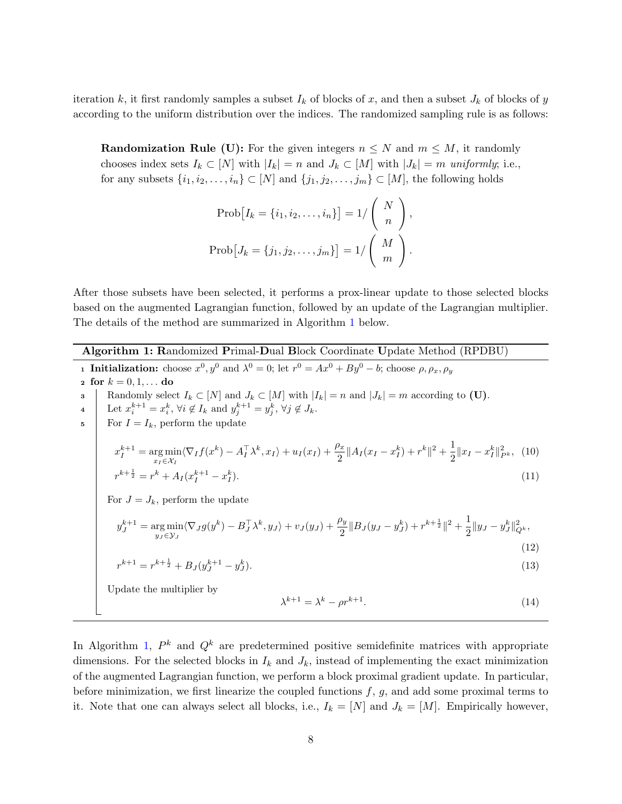iteration k, it first randomly samples a subset  $I_k$  of blocks of x, and then a subset  $J_k$  of blocks of y according to the uniform distribution over the indices. The randomized sampling rule is as follows:

**Randomization Rule (U):** For the given integers  $n \leq N$  and  $m \leq M$ , it randomly chooses index sets  $I_k \subset [N]$  with  $|I_k| = n$  and  $J_k \subset [M]$  with  $|J_k| = m$  uniformly; i.e., for any subsets  $\{i_1, i_2, \ldots, i_n\} \subset [N]$  and  $\{j_1, j_2, \ldots, j_m\} \subset [M]$ , the following holds

<span id="page-7-3"></span><span id="page-7-2"></span><span id="page-7-1"></span>
$$
Prob[I_k = \{i_1, i_2, \dots, i_n\}] = 1/\binom{N}{n},
$$
  

$$
Prob[J_k = \{j_1, j_2, \dots, j_m\}] = 1/\binom{M}{m}.
$$

After those subsets have been selected, it performs a prox-linear update to those selected blocks based on the augmented Lagrangian function, followed by an update of the Lagrangian multiplier. The details of the method are summarized in Algorithm [1](#page-7-0) below.

<span id="page-7-0"></span>Algorithm 1: Randomized Primal-Dual Block Coordinate Update Method (RPDBU) **1 Initialization:** choose  $x^0, y^0$  and  $\lambda^0 = 0$ ; let  $r^0 = Ax^0 + By^0 - b$ ; choose  $\rho, \rho_x, \rho_y$ 2 for  $k = 0, 1, ...$  do 3 Randomly select  $I_k \subset [N]$  and  $J_k \subset [M]$  with  $|I_k| = n$  and  $|J_k| = m$  according to (U). 4 Let  $x_i^{k+1} = x_i^k$ ,  $\forall i \notin I_k$  and  $y_j^{k+1} = y_j^k$ ,  $\forall j \notin J_k$ .  $\mathfrak{s}$  For  $I = I_k$ , perform the update  $x_I^{k+1} = \argmin_{x_I \in \mathcal{X}_I} \langle \nabla_I f(x^k) - A_I^{\top} \lambda^k, x_I \rangle + u_I(x_I) + \frac{\rho_x}{2} ||A_I(x_I - x_I^k) + r^k||^2 + \frac{1}{2}$  $\frac{1}{2} \|x_I - x_I^k\|_{P^k}^2$ , (10)  $r^{k+\frac{1}{2}} = r^k + A_I (x_I^{k+1} - x_I^k).$  (11) For  $J = J_k$ , perform the update  $y_{J}^{k+1} = \argmin_{y_{J} \in \mathcal{Y}_{J}} \langle \nabla_{J} g(y^{k}) - B_{J}^{\top} \lambda^{k}, y_{J} \rangle + v_{J}(y_{J}) + \frac{\rho_{y}}{2} \| B_{J}(y_{J} - y_{J}^{k}) + r^{k + \frac{1}{2}} \|^{2} + \frac{1}{2}$  $\frac{1}{2}||y_J - y_J^k||_{Q^k}^2,$ (12)  $r^{k+1} = r^{k+\frac{1}{2}} + B_J(y_J^{k+1} - y_J^k).$  (13) Update the multiplier by  $\lambda^{k+1} = \lambda^k - \rho r^{k+1}.$ (14)

<span id="page-7-4"></span>In Algorithm [1,](#page-7-0)  $P^k$  and  $Q^k$  are predetermined positive semidefinite matrices with appropriate dimensions. For the selected blocks in  $I_k$  and  $J_k$ , instead of implementing the exact minimization of the augmented Lagrangian function, we perform a block proximal gradient update. In particular, before minimization, we first linearize the coupled functions  $f, g$ , and add some proximal terms to it. Note that one can always select all blocks, i.e.,  $I_k = [N]$  and  $J_k = [M]$ . Empirically however,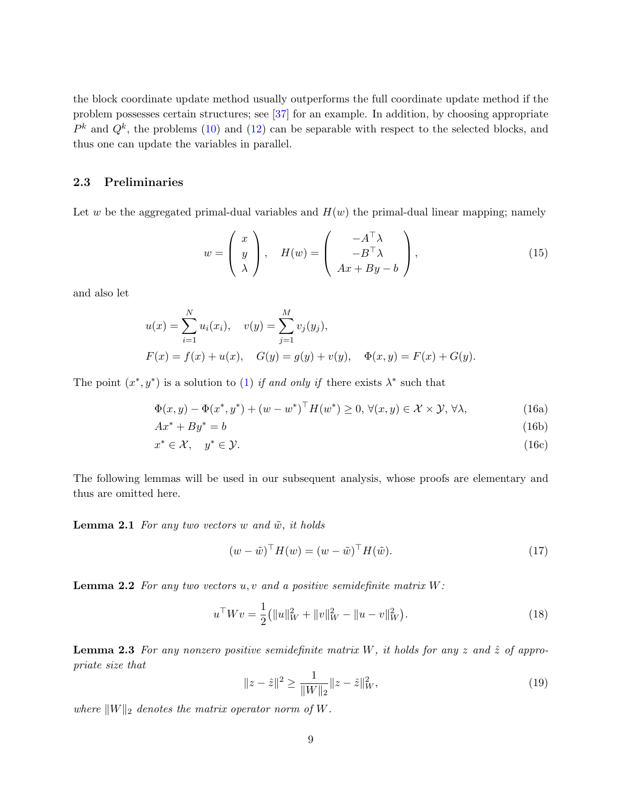<span id="page-8-3"></span>the block coordinate update method usually outperforms the full coordinate update method if the problem possesses certain structures; see [\[37\]](#page-25-7) for an example. In addition, by choosing appropriate  $P<sup>k</sup>$  and  $Q<sup>k</sup>$ , the problems [\(10\)](#page-7-1) and [\(12\)](#page-7-2) can be separable with respect to the selected blocks, and thus one can update the variables in parallel.

#### 2.3 Preliminaries

Let w be the aggregated primal-dual variables and  $H(w)$  the primal-dual linear mapping; namely

<span id="page-8-4"></span>
$$
w = \begin{pmatrix} x \\ y \\ \lambda \end{pmatrix}, \quad H(w) = \begin{pmatrix} -A^{\top} \lambda \\ -B^{\top} \lambda \\ Ax + By - b \end{pmatrix}, \tag{15}
$$

and also let

$$
u(x) = \sum_{i=1}^{N} u_i(x_i), \quad v(y) = \sum_{j=1}^{M} v_j(y_j),
$$
  

$$
F(x) = f(x) + u(x), \quad G(y) = g(y) + v(y), \quad \Phi(x, y) = F(x) + G(y).
$$

The point  $(x^*, y^*)$  is a solution to [\(1\)](#page-1-0) if and only if there exists  $\lambda^*$  such that

$$
\Phi(x, y) - \Phi(x^*, y^*) + (w - w^*)^\top H(w^*) \ge 0, \forall (x, y) \in \mathcal{X} \times \mathcal{Y}, \forall \lambda,
$$
\n(16a)

$$
Ax^* + By^* = b \tag{16b}
$$

$$
x^* \in \mathcal{X}, \quad y^* \in \mathcal{Y}.\tag{16c}
$$

The following lemmas will be used in our subsequent analysis, whose proofs are elementary and thus are omitted here.

**Lemma 2.1** For any two vectors w and  $\tilde{w}$ , it holds

<span id="page-8-1"></span><span id="page-8-0"></span>
$$
(w - \tilde{w})^{\top} H(w) = (w - \tilde{w})^{\top} H(\tilde{w}).
$$
\n(17)

**Lemma 2.2** For any two vectors  $u, v$  and a positive semidefinite matrix  $W$ :

<span id="page-8-2"></span>
$$
u^{\top}Wv = \frac{1}{2} (||u||_W^2 + ||v||_W^2 - ||u - v||_W^2).
$$
 (18)

**Lemma 2.3** For any nonzero positive semidefinite matrix W, it holds for any z and  $\hat{z}$  of appropriate size that

$$
||z - \hat{z}||^2 \ge \frac{1}{\|W\|_2} ||z - \hat{z}||_W^2,
$$
\n(19)

where  $||W||_2$  denotes the matrix operator norm of W.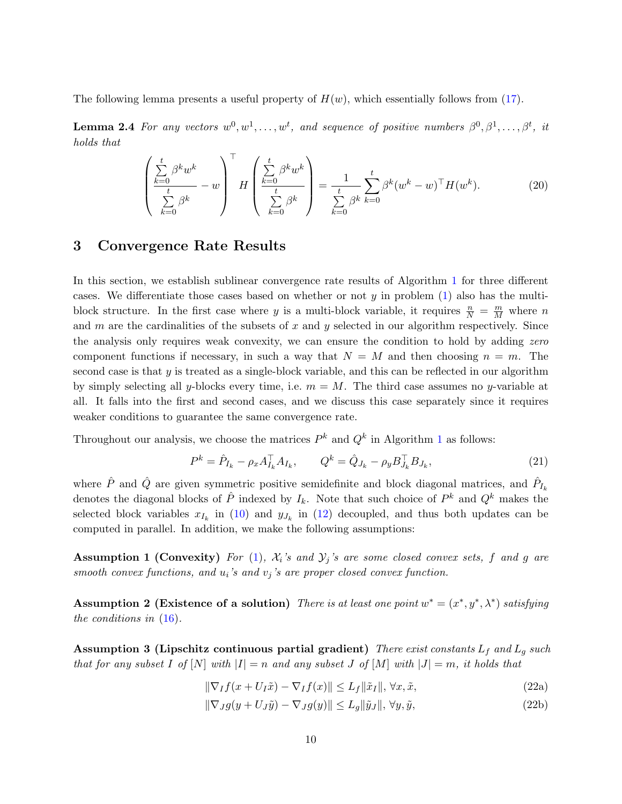The following lemma presents a useful property of  $H(w)$ , which essentially follows from [\(17\)](#page-8-0).

**Lemma 2.4** For any vectors  $w^0, w^1, \ldots, w^t$ , and sequence of positive numbers  $\beta^0, \beta^1, \ldots, \beta^t$ , it holds that

<span id="page-9-5"></span>
$$
\left(\frac{\sum_{k=0}^{t} \beta^k w^k}{\sum_{k=0}^{t} \beta^k} - w\right)^{\top} H\left(\frac{\sum_{k=0}^{t} \beta^k w^k}{\sum_{k=0}^{t} \beta^k}\right) = \frac{1}{\sum_{k=0}^{t} \beta^k} \sum_{k=0}^{t} \beta^k (w^k - w)^{\top} H(w^k).
$$
\n(20)

### <span id="page-9-1"></span>3 Convergence Rate Results

In this section, we establish sublinear convergence rate results of Algorithm [1](#page-7-0) for three different cases. We differentiate those cases based on whether or not  $y$  in problem  $(1)$  also has the multiblock structure. In the first case where y is a multi-block variable, it requires  $\frac{n}{N} = \frac{m}{M}$  where n and  $m$  are the cardinalities of the subsets of  $x$  and  $y$  selected in our algorithm respectively. Since the analysis only requires weak convexity, we can ensure the condition to hold by adding zero component functions if necessary, in such a way that  $N = M$  and then choosing  $n = m$ . The second case is that  $y$  is treated as a single-block variable, and this can be reflected in our algorithm by simply selecting all y-blocks every time, i.e.  $m = M$ . The third case assumes no y-variable at all. It falls into the first and second cases, and we discuss this case separately since it requires weaker conditions to guarantee the same convergence rate.

Throughout our analysis, we choose the matrices  $P^k$  and  $Q^k$  in Algorithm [1](#page-7-0) as follows:

<span id="page-9-2"></span><span id="page-9-0"></span>
$$
P^{k} = \hat{P}_{I_{k}} - \rho_{x} A_{I_{k}}^{\top} A_{I_{k}}, \qquad Q^{k} = \hat{Q}_{J_{k}} - \rho_{y} B_{J_{k}}^{\top} B_{J_{k}}, \qquad (21)
$$

where  $\hat{P}$  and  $\hat{Q}$  are given symmetric positive semidefinite and block diagonal matrices, and  $\hat{P}_{I_k}$ denotes the diagonal blocks of  $\hat{P}$  indexed by  $I_k$ . Note that such choice of  $P^k$  and  $Q^k$  makes the selected block variables  $x_{I_k}$  in [\(10\)](#page-7-1) and  $y_{J_k}$  in [\(12\)](#page-7-2) decoupled, and thus both updates can be computed in parallel. In addition, we make the following assumptions:

**Assumption 1 (Convexity)** For [\(1\)](#page-1-0),  $\mathcal{X}_i$ 's and  $\mathcal{Y}_j$ 's are some closed convex sets, f and g are smooth convex functions, and  $u_i$ 's and  $v_j$ 's are proper closed convex function.

<span id="page-9-3"></span>Assumption 2 (Existence of a solution) There is at least one point  $w^* = (x^*, y^*, \lambda^*)$  satisfying the conditions in [\(16\)](#page-8-1).

<span id="page-9-4"></span>Assumption 3 (Lipschitz continuous partial gradient) There exist constants  $L_f$  and  $L_g$  such that for any subset I of  $[N]$  with  $|I| = n$  and any subset J of  $[M]$  with  $|J| = m$ , it holds that

$$
\|\nabla_I f(x + U_I \tilde{x}) - \nabla_I f(x)\| \le L_f \|\tilde{x}_I\|, \forall x, \tilde{x},
$$
\n(22a)

$$
\|\nabla_{J}g(y+U_{J}\tilde{y}) - \nabla_{J}g(y)\| \le L_{g}\|\tilde{y}_{J}\|, \forall y, \tilde{y},
$$
\n(22b)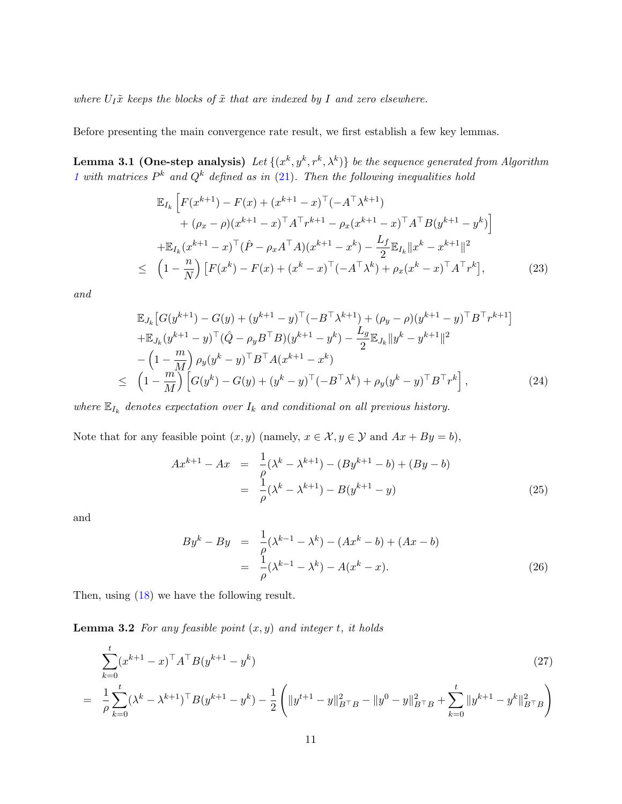where  $U_I\tilde{x}$  keeps the blocks of  $\tilde{x}$  that are indexed by I and zero elsewhere.

Before presenting the main convergence rate result, we first establish a few key lemmas.

**Lemma 3.1 (One-step analysis)** Let  $\{(x^k, y^k, r^k, \lambda^k)\}$  be the sequence generated from Algorithm [1](#page-7-0) with matrices  $P^k$  and  $Q^k$  defined as in [\(21\)](#page-9-0). Then the following inequalities hold

<span id="page-10-1"></span><span id="page-10-0"></span>
$$
\mathbb{E}_{I_k} \left[ F(x^{k+1}) - F(x) + (x^{k+1} - x)^{\top} (-A^{\top} \lambda^{k+1}) \right. \\
\left. + (\rho_x - \rho)(x^{k+1} - x)^{\top} A^{\top} r^{k+1} - \rho_x (x^{k+1} - x)^{\top} A^{\top} B (y^{k+1} - y^k) \right] \\
+ \mathbb{E}_{I_k} (x^{k+1} - x)^{\top} (\hat{P} - \rho_x A^{\top} A)(x^{k+1} - x^k) - \frac{L_f}{2} \mathbb{E}_{I_k} ||x^k - x^{k+1}||^2 \\
\leq \left( 1 - \frac{n}{N} \right) \left[ F(x^k) - F(x) + (x^k - x)^{\top} (-A^{\top} \lambda^k) + \rho_x (x^k - x)^{\top} A^{\top} r^k \right],
$$
\n(23)

and

<span id="page-10-2"></span>
$$
\mathbb{E}_{J_k} \left[ G(y^{k+1}) - G(y) + (y^{k+1} - y)^{\top} (-B^{\top} \lambda^{k+1}) + (\rho_y - \rho)(y^{k+1} - y)^{\top} B^{\top} r^{k+1} \right] \n+ \mathbb{E}_{J_k} (y^{k+1} - y)^{\top} (\hat{Q} - \rho_y B^{\top} B)(y^{k+1} - y^k) - \frac{L_g}{2} \mathbb{E}_{J_k} ||y^k - y^{k+1}||^2 \n- \left( 1 - \frac{m}{M} \right) \rho_y (y^k - y)^{\top} B^{\top} A (x^{k+1} - x^k) \n\leq \left( 1 - \frac{m}{M} \right) \left[ G(y^k) - G(y) + (y^k - y)^{\top} (-B^{\top} \lambda^k) + \rho_y (y^k - y)^{\top} B^{\top} r^k \right],
$$
\n(24)

where  $\mathbb{E}_{I_k}$  denotes expectation over  $I_k$  and conditional on all previous history.

Note that for any feasible point  $(x, y)$  (namely,  $x \in \mathcal{X}, y \in \mathcal{Y}$  and  $Ax + By = b$ ),

$$
Ax^{k+1} - Ax = \frac{1}{\rho}(\lambda^k - \lambda^{k+1}) - (By^{k+1} - b) + (By - b)
$$
  
= 
$$
\frac{1}{\rho}(\lambda^k - \lambda^{k+1}) - B(y^{k+1} - y)
$$
 (25)

and

$$
By^{k} - By = \frac{1}{\rho}(\lambda^{k-1} - \lambda^{k}) - (Ax^{k} - b) + (Ax - b)
$$
  
= 
$$
\frac{1}{\rho}(\lambda^{k-1} - \lambda^{k}) - A(x^{k} - x).
$$
 (26)

Then, using [\(18\)](#page-8-2) we have the following result.

**Lemma 3.2** For any feasible point  $(x, y)$  and integer t, it holds

<span id="page-10-3"></span>
$$
\sum_{k=0}^{t} (x^{k+1} - x)^{\top} A^{\top} B (y^{k+1} - y^k)
$$
\n
$$
= \frac{1}{\rho} \sum_{k=0}^{t} (\lambda^k - \lambda^{k+1})^{\top} B (y^{k+1} - y^k) - \frac{1}{2} \left( \|y^{t+1} - y\|_{B^{\top}B}^2 - \|y^0 - y\|_{B^{\top}B}^2 + \sum_{k=0}^{t} \|y^{k+1} - y^k\|_{B^{\top}B}^2 \right)
$$
\n
$$
(27)
$$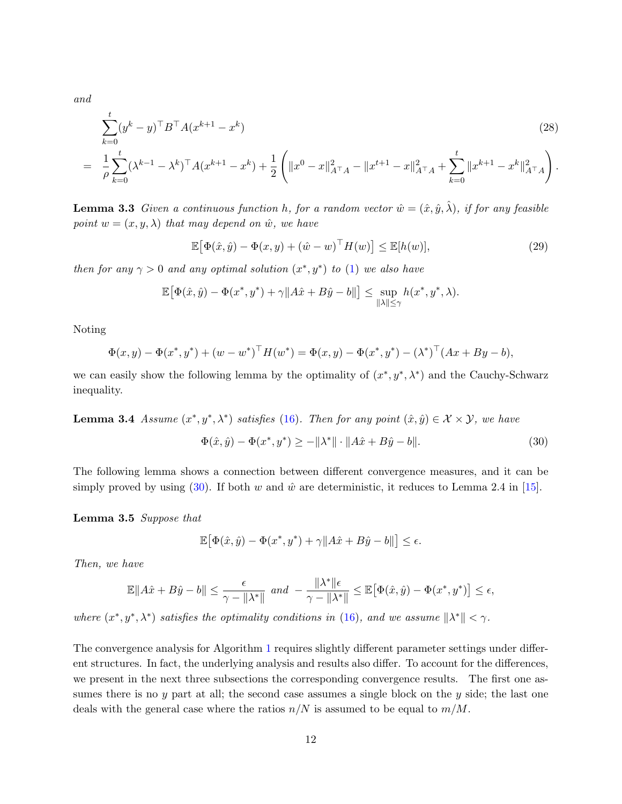<span id="page-11-2"></span>and

<span id="page-11-5"></span>
$$
\sum_{k=0}^{t} (y^{k} - y)^{\top} B^{\top} A (x^{k+1} - x^{k})
$$
\n
$$
= \frac{1}{\rho} \sum_{k=0}^{t} (\lambda^{k-1} - \lambda^{k})^{\top} A (x^{k+1} - x^{k}) + \frac{1}{2} \left( \|x^{0} - x\|_{A^{\top} A}^{2} - \|x^{t+1} - x\|_{A^{\top} A}^{2} + \sum_{k=0}^{t} \|x^{k+1} - x^{k}\|_{A^{\top} A}^{2} \right).
$$
\n(28)

<span id="page-11-3"></span>**Lemma 3.3** Given a continuous function h, for a random vector  $\hat{w} = (\hat{x}, \hat{y}, \hat{\lambda})$ , if for any feasible point  $w = (x, y, \lambda)$  that may depend on  $\hat{w}$ , we have

<span id="page-11-4"></span>
$$
\mathbb{E}\big[\Phi(\hat{x},\hat{y}) - \Phi(x,y) + (\hat{w} - w)^{\top}H(w)\big] \le \mathbb{E}[h(w)],\tag{29}
$$

then for any  $\gamma > 0$  and any optimal solution  $(x^*, y^*)$  to [\(1\)](#page-1-0) we also have

$$
\mathbb{E}\big[\Phi(\hat x,\hat y)-\Phi(x^*,y^*)+\gamma\|A\hat x+B\hat y-b\|\big]\leq \sup_{\|\lambda\|\leq\gamma}h(x^*,y^*,\lambda).
$$

Noting

$$
\Phi(x, y) - \Phi(x^*, y^*) + (w - w^*)^{\top} H(w^*) = \Phi(x, y) - \Phi(x^*, y^*) - (\lambda^*)^{\top} (Ax + By - b),
$$

we can easily show the following lemma by the optimality of  $(x^*, y^*, \lambda^*)$  and the Cauchy-Schwarz inequality.

**Lemma 3.4** Assume  $(x^*, y^*, \lambda^*)$  satisfies [\(16\)](#page-8-1). Then for any point  $(\hat{x}, \hat{y}) \in \mathcal{X} \times \mathcal{Y}$ , we have

<span id="page-11-0"></span>
$$
\Phi(\hat{x}, \hat{y}) - \Phi(x^*, y^*) \ge -\|\lambda^*\| \cdot \|A\hat{x} + B\hat{y} - b\|.
$$
\n(30)

The following lemma shows a connection between different convergence measures, and it can be simply proved by using [\(30\)](#page-11-0). If both w and  $\hat{w}$  are deterministic, it reduces to Lemma 2.4 in [\[15\]](#page-24-12).

<span id="page-11-1"></span>Lemma 3.5 Suppose that

$$
\mathbb{E}\big[\Phi(\hat{x},\hat{y}) - \Phi(x^*,y^*) + \gamma \|A\hat{x} + B\hat{y} - b\|\big] \le \epsilon.
$$

Then, we have

$$
\mathbb{E}\|A\hat{x}+B\hat{y}-b\|\leq\frac{\epsilon}{\gamma-\|\lambda^*\|}\text{ and }-\frac{\|\lambda^*\|\epsilon}{\gamma-\|\lambda^*\|}\leq\mathbb{E}\big[\Phi(\hat{x},\hat{y})-\Phi(x^*,y^*)\big]\leq\epsilon,
$$

where  $(x^*, y^*, \lambda^*)$  satisfies the optimality conditions in [\(16\)](#page-8-1), and we assume  $\|\lambda^*\| < \gamma$ .

The convergence analysis for Algorithm [1](#page-7-0) requires slightly different parameter settings under different structures. In fact, the underlying analysis and results also differ. To account for the differences, we present in the next three subsections the corresponding convergence results. The first one assumes there is no y part at all; the second case assumes a single block on the y side; the last one deals with the general case where the ratios  $n/N$  is assumed to be equal to  $m/M$ .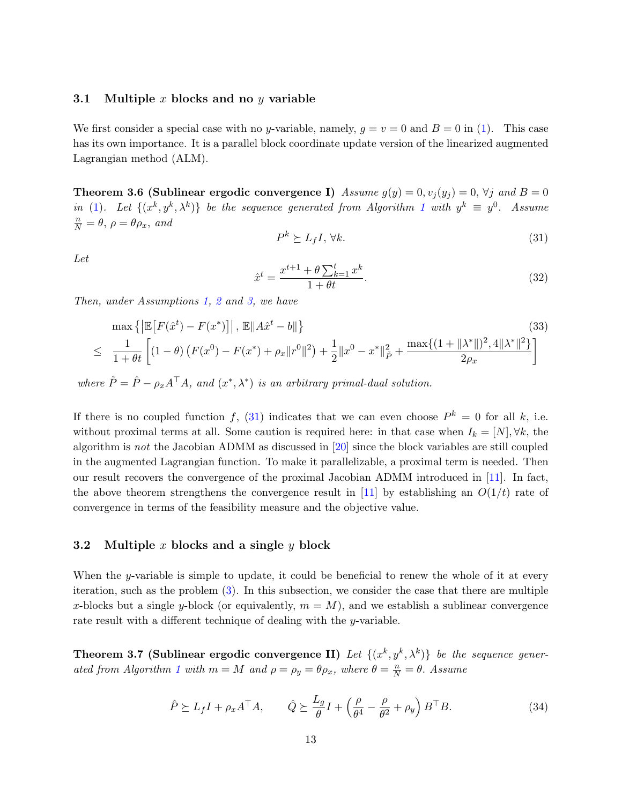#### <span id="page-12-6"></span><span id="page-12-0"></span>3.1 Multiple x blocks and no y variable

We first consider a special case with no y-variable, namely,  $q = v = 0$  and  $B = 0$  in [\(1\)](#page-1-0). This case has its own importance. It is a parallel block coordinate update version of the linearized augmented Lagrangian method (ALM).

<span id="page-12-5"></span>Theorem 3.6 (Sublinear ergodic convergence I) Assume  $g(y) = 0, v_i(y_i) = 0, \forall j$  and  $B = 0$ in [\(1\)](#page-1-0). Let  $\{(x^k, y^k, \lambda^k)\}\$ be the sequence generated from Algorithm [1](#page-7-0) with  $y^k \equiv y^0$ . Assume  $\frac{n}{N} = \theta$ ,  $\rho = \theta \rho_x$ , and

<span id="page-12-2"></span>
$$
P^k \succeq L_f I, \,\forall k. \tag{31}
$$

Let

$$
\hat{x}^{t} = \frac{x^{t+1} + \theta \sum_{k=1}^{t} x^{k}}{1 + \theta t}.
$$
\n(32)

Then, under Assumptions [1,](#page-9-2) [2](#page-9-3) and [3,](#page-9-4) we have

$$
\max \left\{ \left| \mathbb{E} \left[ F(\hat{x}^t) - F(x^*) \right] \right|, \left| \mathbb{E} \left[ A\hat{x}^t - b \right] \right\} \right\} \tag{33}
$$
\n
$$
\leq \frac{1}{1 + \theta t} \left[ (1 - \theta) \left( F(x^0) - F(x^*) + \rho_x \| r^0 \|^2 \right) + \frac{1}{2} \| x^0 - x^* \|^2_{\tilde{P}} + \frac{\max \{ (1 + \| \lambda^* \|)^2, 4 \| \lambda^* \|^2 \}}{2\rho_x} \right]
$$

where  $\tilde{P} = \hat{P} - \rho_x A^\top A$ , and  $(x^*, \lambda^*)$  is an arbitrary primal-dual solution.

If there is no coupled function f, [\(31\)](#page-12-2) indicates that we can even choose  $P^k = 0$  for all k, i.e. without proximal terms at all. Some caution is required here: in that case when  $I_k = [N], \forall k$ , the algorithm is not the Jacobian ADMM as discussed in [\[20\]](#page-24-9) since the block variables are still coupled in the augmented Lagrangian function. To make it parallelizable, a proximal term is needed. Then our result recovers the convergence of the proximal Jacobian ADMM introduced in [\[11\]](#page-23-5). In fact, the above theorem strengthens the convergence result in [\[11\]](#page-23-5) by establishing an  $O(1/t)$  rate of convergence in terms of the feasibility measure and the objective value.

#### <span id="page-12-1"></span>3.2 Multiple x blocks and a single y block

When the y-variable is simple to update, it could be beneficial to renew the whole of it at every iteration, such as the problem [\(3\)](#page-1-4). In this subsection, we consider the case that there are multiple x-blocks but a single y-block (or equivalently,  $m = M$ ), and we establish a sublinear convergence rate result with a different technique of dealing with the y-variable.

<span id="page-12-3"></span>Theorem 3.7 (Sublinear ergodic convergence II) Let  $\{(x^k, y^k, \lambda^k)\}\$ be the sequence gener-ated from Algorithm [1](#page-7-0) with  $m = M$  and  $\rho = \rho_y = \theta \rho_x$ , where  $\theta = \frac{n}{N} = \theta$ . Assume

<span id="page-12-4"></span>
$$
\hat{P} \succeq L_f I + \rho_x A^\top A, \qquad \hat{Q} \succeq \frac{L_g}{\theta} I + \left(\frac{\rho}{\theta^4} - \frac{\rho}{\theta^2} + \rho_y\right) B^\top B. \tag{34}
$$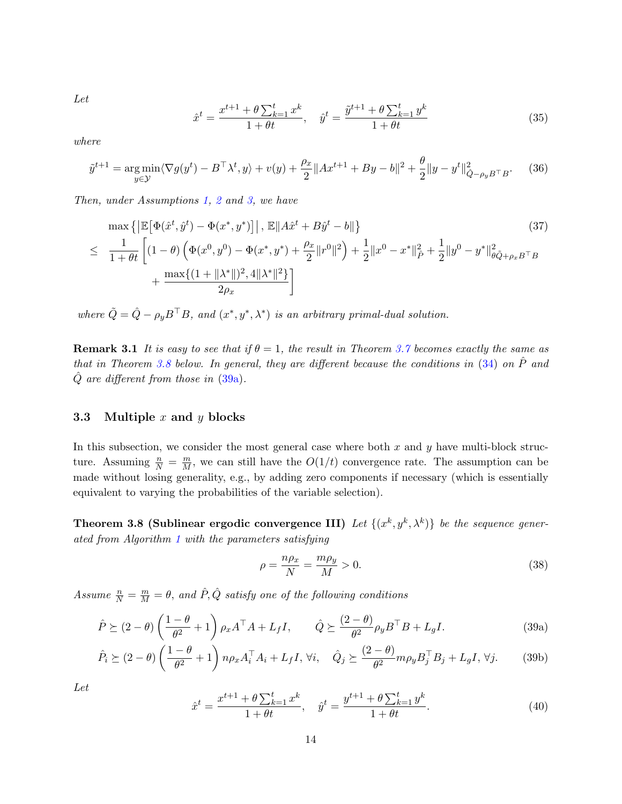Let

$$
\hat{x}^{t} = \frac{x^{t+1} + \theta \sum_{k=1}^{t} x^{k}}{1 + \theta t}, \quad \hat{y}^{t} = \frac{\tilde{y}^{t+1} + \theta \sum_{k=1}^{t} y^{k}}{1 + \theta t}
$$
\n(35)

where

$$
\tilde{y}^{t+1} = \underset{y \in \mathcal{Y}}{\arg \min} \langle \nabla g(y^t) - B^\top \lambda^t, y \rangle + v(y) + \frac{\rho_x}{2} \|Ax^{t+1} + By - b\|^2 + \frac{\theta}{2} \|y - y^t\|^2_{\hat{Q} - \rho_y B^\top B}.
$$
 (36)

Then, under Assumptions [1,](#page-9-2) [2](#page-9-3) and [3,](#page-9-4) we have

<span id="page-13-6"></span>
$$
\max \left\{ \left| \mathbb{E} \left[ \Phi(\hat{x}^t, \hat{y}^t) - \Phi(x^*, y^*) \right] \right|, \left| \mathbb{E} \| A \hat{x}^t + B \hat{y}^t - b \right| \right\} \tag{37}
$$
\n
$$
\leq \frac{1}{1 + \theta t} \left[ (1 - \theta) \left( \Phi(x^0, y^0) - \Phi(x^*, y^*) + \frac{\rho_x}{2} \| r^0 \|^2 \right) + \frac{1}{2} \| x^0 - x^* \|^2_{\hat{P}} + \frac{1}{2} \| y^0 - y^* \|^2_{\theta \bar{Q} + \rho_x B^\top B} + \frac{\max \{ (1 + \| \lambda^* \|)^2, 4 \| \lambda^* \|^2 \}}{2\rho_x} \right]
$$

where  $\tilde{Q} = \hat{Q} - \rho_y B^{\top} B$ , and  $(x^*, y^*, \lambda^*)$  is an arbitrary primal-dual solution.

**Remark 3.1** It is easy to see that if  $\theta = 1$ , the result in Theorem [3.7](#page-12-3) becomes exactly the same as that in Theorem [3.8](#page-13-1) below. In general, they are different because the conditions in  $(34)$  on  $\hat{P}$  and  $\hat{Q}$  are different from those in  $(39a)$ .

#### <span id="page-13-0"></span>3.3 Multiple  $x$  and  $y$  blocks

In this subsection, we consider the most general case where both  $x$  and  $y$  have multi-block structure. Assuming  $\frac{n}{N} = \frac{m}{M}$ , we can still have the  $O(1/t)$  convergence rate. The assumption can be made without losing generality, e.g., by adding zero components if necessary (which is essentially equivalent to varying the probabilities of the variable selection).

Theorem 3.8 (Sublinear ergodic convergence III) Let  $\{(x^k, y^k, \lambda^k)\}\;$  be the sequence generated from Algorithm [1](#page-7-0) with the parameters satisfying

<span id="page-13-5"></span><span id="page-13-4"></span><span id="page-13-3"></span><span id="page-13-2"></span><span id="page-13-1"></span>
$$
\rho = \frac{n\rho_x}{N} = \frac{m\rho_y}{M} > 0.
$$
\n(38)

Assume  $\frac{n}{N} = \frac{m}{M} = \theta$ , and  $\hat{P}, \hat{Q}$  satisfy one of the following conditions

$$
\hat{P} \succeq (2 - \theta) \left( \frac{1 - \theta}{\theta^2} + 1 \right) \rho_x A^\top A + L_f I, \qquad \hat{Q} \succeq \frac{(2 - \theta)}{\theta^2} \rho_y B^\top B + L_g I. \tag{39a}
$$

$$
\hat{P}_i \succeq (2 - \theta) \left( \frac{1 - \theta}{\theta^2} + 1 \right) n \rho_x A_i^{\top} A_i + L_f I, \forall i, \quad \hat{Q}_j \succeq \frac{(2 - \theta)}{\theta^2} m \rho_y B_j^{\top} B_j + L_g I, \forall j. \tag{39b}
$$

Let

$$
\hat{x}^t = \frac{x^{t+1} + \theta \sum_{k=1}^t x^k}{1 + \theta t}, \quad \hat{y}^t = \frac{y^{t+1} + \theta \sum_{k=1}^t y^k}{1 + \theta t}.
$$
\n(40)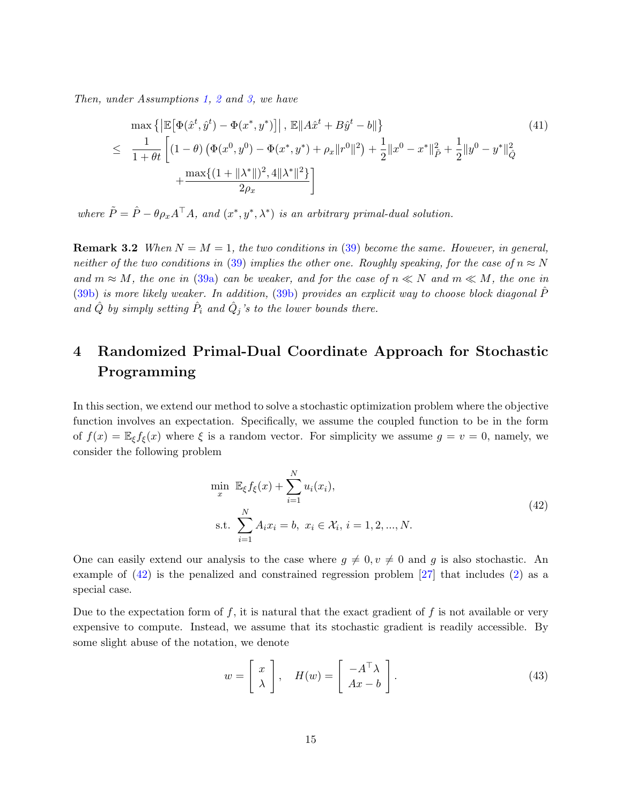<span id="page-14-2"></span>Then, under Assumptions [1,](#page-9-2) [2](#page-9-3) and [3,](#page-9-4) we have

$$
\max \left\{ \left| \mathbb{E} \left[ \Phi(\hat{x}^t, \hat{y}^t) - \Phi(x^*, y^*) \right] \right|, \left| \mathbb{E} \| A\hat{x}^t + B\hat{y}^t - b \right| \right\} \tag{41}
$$
\n
$$
\leq \frac{1}{1 + \theta t} \left[ (1 - \theta) \left( \Phi(x^0, y^0) - \Phi(x^*, y^*) + \rho_x \| r^0 \|^2 \right) + \frac{1}{2} \| x^0 - x^* \|^2_{\tilde{P}} + \frac{1}{2} \| y^0 - y^* \|^2_{\tilde{Q}} \right.
$$
\n
$$
+ \frac{\max \{ (1 + \| \lambda^* \|)^2, 4 \| \lambda^* \|^2 \}}{2\rho_x} \right]
$$

where  $\tilde{P} = \hat{P} - \theta \rho_x A^\top A$ , and  $(x^*, y^*, \lambda^*)$  is an arbitrary primal-dual solution.

**Remark 3.2** When  $N = M = 1$ , the two conditions in [\(39\)](#page-13-3) become the same. However, in general, neither of the two conditions in [\(39\)](#page-13-3) implies the other one. Roughly speaking, for the case of  $n \approx N$ and  $m \approx M$ , the one in [\(39a\)](#page-13-2) can be weaker, and for the case of  $n \ll N$  and  $m \ll M$ , the one in  $(39b)$  is more likely weaker. In addition,  $(39b)$  provides an explicit way to choose block diagonal P and  $\hat{Q}$  by simply setting  $\hat{P}_i$  and  $\hat{Q}_j$ 's to the lower bounds there.

# <span id="page-14-0"></span>4 Randomized Primal-Dual Coordinate Approach for Stochastic Programming

In this section, we extend our method to solve a stochastic optimization problem where the objective function involves an expectation. Specifically, we assume the coupled function to be in the form of  $f(x) = \mathbb{E}_{\xi} f_{\xi}(x)$  where  $\xi$  is a random vector. For simplicity we assume  $g = v = 0$ , namely, we consider the following problem

<span id="page-14-1"></span>
$$
\min_{x} \mathbb{E}_{\xi} f_{\xi}(x) + \sum_{i=1}^{N} u_i(x_i),
$$
\n
$$
\text{s.t. } \sum_{i=1}^{N} A_i x_i = b, \ x_i \in \mathcal{X}_i, \ i = 1, 2, ..., N. \tag{42}
$$

One can easily extend our analysis to the case where  $q \neq 0, v \neq 0$  and g is also stochastic. An example of [\(42\)](#page-14-1) is the penalized and constrained regression problem [\[27\]](#page-25-8) that includes [\(2\)](#page-1-1) as a special case.

Due to the expectation form of  $f$ , it is natural that the exact gradient of  $f$  is not available or very expensive to compute. Instead, we assume that its stochastic gradient is readily accessible. By some slight abuse of the notation, we denote

<span id="page-14-3"></span>
$$
w = \begin{bmatrix} x \\ \lambda \end{bmatrix}, \quad H(w) = \begin{bmatrix} -A^{\top} \lambda \\ Ax - b \end{bmatrix}.
$$
 (43)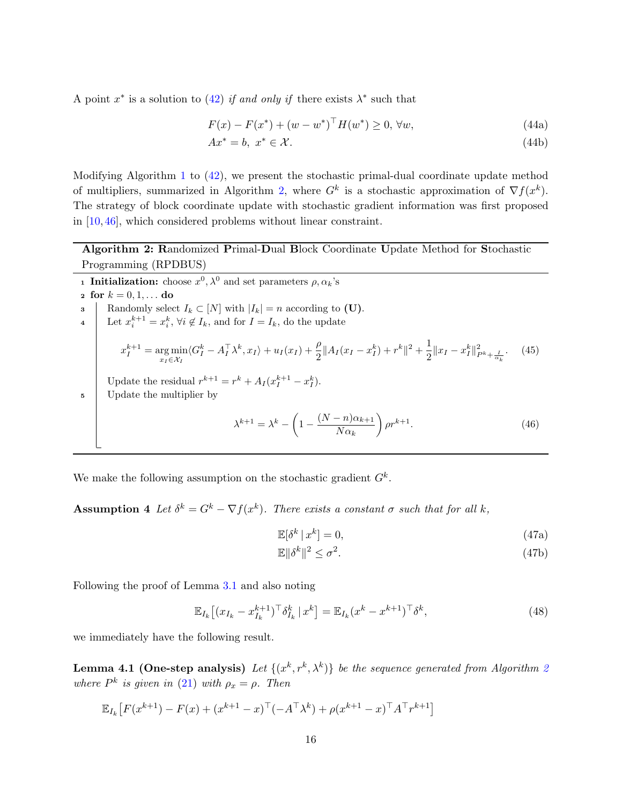<span id="page-15-3"></span>A point  $x^*$  is a solution to [\(42\)](#page-14-1) if and only if there exists  $\lambda^*$  such that

$$
F(x) - F(x^*) + (w - w^*)^{\top} H(w^*) \ge 0, \forall w,
$$
\n(44a)

$$
Ax^* = b, \ x^* \in \mathcal{X}.\tag{44b}
$$

Modifying Algorithm [1](#page-7-0) to  $(42)$ , we present the stochastic primal-dual coordinate update method of multipliers, summarized in Algorithm [2,](#page-15-0) where  $G^k$  is a stochastic approximation of  $\nabla f(x^k)$ . The strategy of block coordinate update with stochastic gradient information was first proposed in [\[10,](#page-23-11) [46\]](#page-26-6), which considered problems without linear constraint.

Algorithm 2: Randomized Primal-Dual Block Coordinate Update Method for Stochastic Programming (RPDBUS)

<span id="page-15-0"></span>**1** Initialization: choose  $x^0$ ,  $\lambda^0$  and set parameters  $\rho$ ,  $\alpha_k$ 's 2 for  $k = 0, 1, ...$  do Randomly select  $I_k \subset [N]$  with  $|I_k| = n$  according to (U). 4 Let  $x_i^{k+1} = x_i^k$ ,  $\forall i \notin I_k$ , and for  $I = I_k$ , do the update  $x_I^{k+1} = \argmin_{x_I \in \mathcal{X}_I}$  $\langle G_I^k - A_I^{\top} \lambda^k, x_I \rangle + u_I(x_I) + \frac{\rho}{2} ||A_I(x_I - x_I^k) + r^k||^2 + \frac{1}{2}$  $\frac{1}{2} \|x_I - x_I^k\|_{P^k + \frac{I}{\alpha_k}}^2$  $(45)$ Update the residual  $r^{k+1} = r^k + A_I(x_I^{k+1} - x_I^k)$ . <sup>5</sup> Update the multiplier by  $\lambda^{k+1} = \lambda^k - \left(1 - \frac{(N-n)\alpha_{k+1}}{N}\right)$  $N\alpha_k$  $\Big)$   $\rho r^{k+1}$ . (46)

We make the following assumption on the stochastic gradient  $G^k$ .

**Assumption 4** Let  $\delta^k = G^k - \nabla f(x^k)$ . There exists a constant  $\sigma$  such that for all k,

<span id="page-15-4"></span><span id="page-15-1"></span>
$$
\mathbb{E}[\delta^k \,|\, x^k] = 0,\tag{47a}
$$

$$
\mathbb{E}\|\delta^k\|^2 \le \sigma^2. \tag{47b}
$$

Following the proof of Lemma [3.1](#page-10-0) and also noting

$$
\mathbb{E}_{I_k} \left[ (x_{I_k} - x_{I_k}^{k+1})^\top \delta_{I_k}^k \, | \, x^k \right] = \mathbb{E}_{I_k} (x^k - x^{k+1})^\top \delta^k,\tag{48}
$$

we immediately have the following result.

**Lemma 4.1 (One-step analysis)** Let  $\{(x^k, r^k, \lambda^k)\}\)$  be the sequence generated from Algorithm [2](#page-15-0) where  $P^k$  is given in [\(21\)](#page-9-0) with  $\rho_x = \rho$ . Then

<span id="page-15-2"></span>
$$
\mathbb{E}_{I_k}[F(x^{k+1}) - F(x) + (x^{k+1} - x)^{\top}(-A^{\top}\lambda^k) + \rho(x^{k+1} - x)^{\top}A^{\top}r^{k+1}]
$$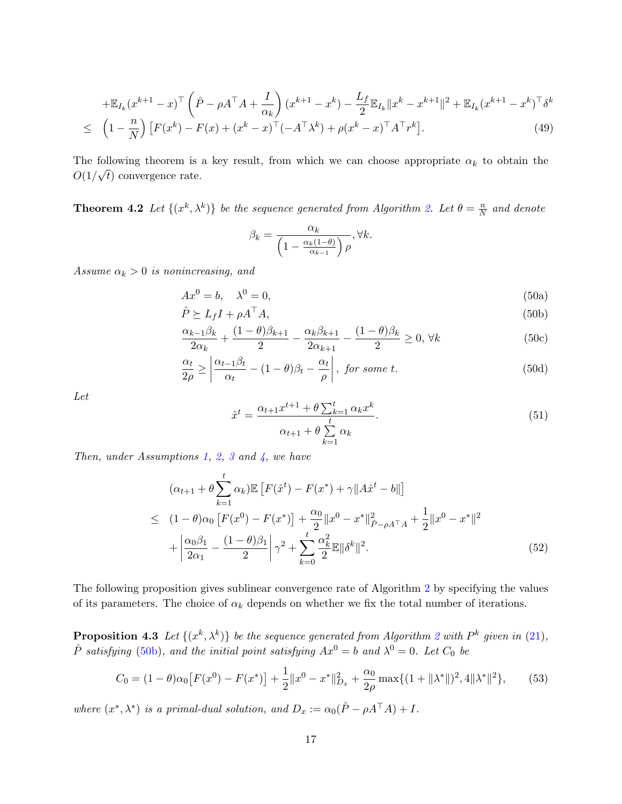$$
+\mathbb{E}_{I_k}(x^{k+1}-x)^{\top} \left(\hat{P} - \rho A^{\top} A + \frac{I}{\alpha_k}\right) (x^{k+1}-x^k) - \frac{L_f}{2} \mathbb{E}_{I_k} \|x^k - x^{k+1}\|^2 + \mathbb{E}_{I_k} (x^{k+1}-x^k)^{\top} \delta^k
$$
  
\n
$$
\leq \left(1 - \frac{n}{N}\right) \left[F(x^k) - F(x) + (x^k - x)^{\top} (-A^{\top} \lambda^k) + \rho (x^k - x)^{\top} A^{\top} r^k\right].
$$
\n(49)

The following theorem is a key result, from which we can choose appropriate  $\alpha_k$  to obtain the  $O(1/\sqrt{t})$  convergence rate.

<span id="page-16-4"></span>**Theorem 4.2** Let  $\{(x^k, \lambda^k)\}\)$  be the sequence generated from Algorithm [2.](#page-15-0) Let  $\theta = \frac{n}{N}$  $\frac{n}{N}$  and denote

<span id="page-16-1"></span><span id="page-16-0"></span>
$$
\beta_k = \frac{\alpha_k}{\left(1 - \frac{\alpha_k(1-\theta)}{\alpha_{k-1}}\right)\rho}, \forall k.
$$

Assume  $\alpha_k > 0$  is nonincreasing, and

$$
Ax^0 = b, \quad \lambda^0 = 0,\tag{50a}
$$

$$
\hat{P} \succeq L_f I + \rho A^\top A,\tag{50b}
$$

$$
\frac{\alpha_{k-1}\beta_k}{2\alpha_k} + \frac{(1-\theta)\beta_{k+1}}{2} - \frac{\alpha_k\beta_{k+1}}{2\alpha_{k+1}} - \frac{(1-\theta)\beta_k}{2} \ge 0, \forall k
$$
\n(50c)

$$
\frac{\alpha_t}{2\rho} \ge \left| \frac{\alpha_{t-1}\beta_t}{\alpha_t} - (1-\theta)\beta_t - \frac{\alpha_t}{\rho} \right|, \text{ for some } t. \tag{50d}
$$

Let

<span id="page-16-2"></span>
$$
\hat{x}^{t} = \frac{\alpha_{t+1}x^{t+1} + \theta \sum_{k=1}^{t} \alpha_k x^k}{\alpha_{t+1} + \theta \sum_{k=1}^{t} \alpha_k}.
$$
\n(51)

Then, under Assumptions [1,](#page-9-2) [2,](#page-9-3) [3](#page-9-4) and  $\lambda$ , we have

<span id="page-16-3"></span>
$$
(\alpha_{t+1} + \theta \sum_{k=1}^{t} \alpha_k) \mathbb{E} [F(\hat{x}^t) - F(x^*) + \gamma ||A\hat{x}^t - b||]
$$
  
\n
$$
\leq (1 - \theta)\alpha_0 [F(x^0) - F(x^*)] + \frac{\alpha_0}{2} ||x^0 - x^*||^2_{\hat{P} - \rho A^\top A} + \frac{1}{2} ||x^0 - x^*||^2
$$
  
\n
$$
+ \left| \frac{\alpha_0 \beta_1}{2\alpha_1} - \frac{(1 - \theta)\beta_1}{2} \right| \gamma^2 + \sum_{k=0}^{t} \frac{\alpha_k^2}{2} \mathbb{E} ||\delta^k||^2.
$$
 (52)

The following proposition gives sublinear convergence rate of Algorithm [2](#page-15-0) by specifying the values of its parameters. The choice of  $\alpha_k$  depends on whether we fix the total number of iterations.

<span id="page-16-5"></span>**Proposition 4.3** Let  $\{(x^k, \lambda^k)\}\)$  be the sequence generated from Algorithm [2](#page-15-0) with  $P^k$  given in [\(21\)](#page-9-0),  $\hat{P}$  satisfying [\(50b\)](#page-16-0), and the initial point satisfying  $Ax^0 = b$  and  $\lambda^0 = 0$ . Let  $C_0$  be

$$
C_0 = (1 - \theta)\alpha_0 \left[ F(x^0) - F(x^*) \right] + \frac{1}{2} \|x^0 - x^*\|_{D_x}^2 + \frac{\alpha_0}{2\rho} \max\{ (1 + \| \lambda^* \|)^2, 4 \| \lambda^* \|^2 \},\tag{53}
$$

where  $(x^*, \lambda^*)$  is a primal-dual solution, and  $D_x := \alpha_0(\hat{P} - \rho A^\top A) + I$ .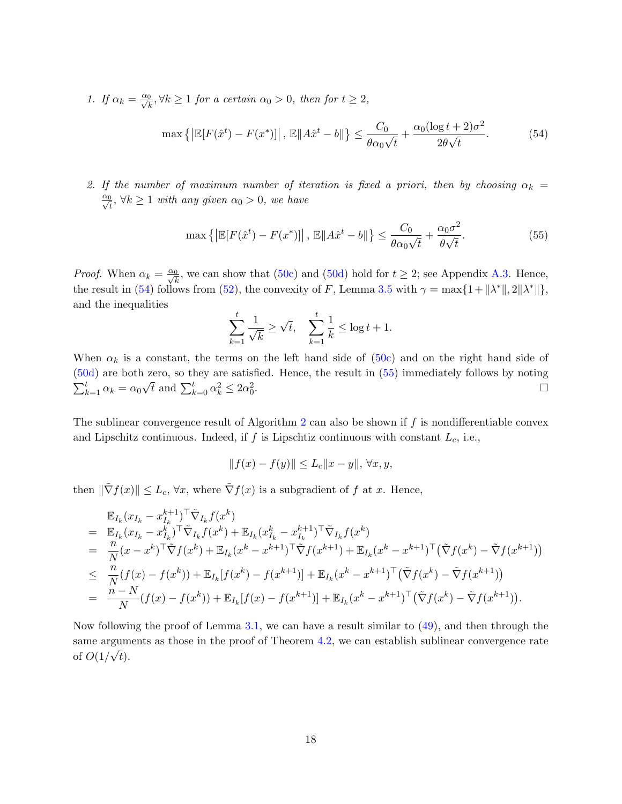1. If  $\alpha_k = \frac{\alpha_0}{\sqrt{k}}, \forall k \ge 1$  for a certain  $\alpha_0 > 0$ , then for  $t \ge 2$ ,

<span id="page-17-0"></span>
$$
\max\left\{\left|\mathbb{E}[F(\hat{x}^t) - F(x^*)]\right|, \mathbb{E}\|A\hat{x}^t - b\|\right\} \le \frac{C_0}{\theta\alpha_0\sqrt{t}} + \frac{\alpha_0(\log t + 2)\sigma^2}{2\theta\sqrt{t}}.\tag{54}
$$

2. If the number of maximum number of iteration is fixed a priori, then by choosing  $\alpha_k =$  $\frac{\alpha_0}{\sqrt{t}}, \forall k \ge 1$  with any given  $\alpha_0 > 0$ , we have

<span id="page-17-1"></span>
$$
\max\left\{ \left| \mathbb{E}[F(\hat{x}^t) - F(x^*)] \right|, \left| \mathbb{E}[A\hat{x}^t - b] \right| \right\} \le \frac{C_0}{\theta \alpha_0 \sqrt{t}} + \frac{\alpha_0 \sigma^2}{\theta \sqrt{t}}.
$$
\n(55)

*Proof.* When  $\alpha_k = \frac{\alpha_0}{\sqrt{k}}$ , we can show that [\(50c\)](#page-16-1) and [\(50d\)](#page-16-2) hold for  $t \geq 2$ ; see Appendix [A.3.](#page-5-2) Hence, the result in [\(54\)](#page-17-0) follows from [\(52\)](#page-16-3), the convexity of F, Lemma [3.5](#page-11-1) with  $\gamma = \max\{1 + ||\lambda^*||, 2||\lambda^*||\},$ and the inequalities

$$
\sum_{k=1}^{t} \frac{1}{\sqrt{k}} \ge \sqrt{t}, \quad \sum_{k=1}^{t} \frac{1}{k} \le \log t + 1.
$$

When  $\alpha_k$  is a constant, the terms on the left hand side of [\(50c\)](#page-16-1) and on the right hand side of [\(50d\)](#page-16-2) are both zero, so they are satisfied. Hence, the result in [\(55\)](#page-17-1) immediately follows by noting  $\sum_{k=1}^{t} \alpha_k = \alpha_0 \sqrt{t}$  and  $\sum_{k=0}^{t} \alpha_k^2 \leq 2\alpha_0^2$ .

The sublinear convergence result of Algorithm [2](#page-15-0) can also be shown if  $f$  is nondifferentiable convex and Lipschitz continuous. Indeed, if  $f$  is Lipschtiz continuous with constant  $L_c$ , i.e.,

$$
||f(x) - f(y)|| \le L_c ||x - y||, \,\forall x, y,
$$

then  $\|\tilde{\nabla}f(x)\| \leq L_c$ ,  $\forall x$ , where  $\tilde{\nabla}f(x)$  is a subgradient of f at x. Hence,

$$
\mathbb{E}_{I_k}(x_{I_k} - x_{I_k}^{k+1})^{\top} \tilde{\nabla}_{I_k} f(x^k) \n= \mathbb{E}_{I_k}(x_{I_k} - x_{I_k}^k)^{\top} \tilde{\nabla}_{I_k} f(x^k) + \mathbb{E}_{I_k}(x_{I_k}^k - x_{I_k}^{k+1})^{\top} \tilde{\nabla}_{I_k} f(x^k) \n= \frac{n}{N} (x - x^k)^{\top} \tilde{\nabla} f(x^k) + \mathbb{E}_{I_k}(x^k - x^{k+1})^{\top} \tilde{\nabla} f(x^{k+1}) + \mathbb{E}_{I_k}(x^k - x^{k+1})^{\top} (\tilde{\nabla} f(x^k) - \tilde{\nabla} f(x^{k+1})) \n\leq \frac{n}{N} (f(x) - f(x^k)) + \mathbb{E}_{I_k}[f(x^k) - f(x^{k+1})] + \mathbb{E}_{I_k}(x^k - x^{k+1})^{\top} (\tilde{\nabla} f(x^k) - \tilde{\nabla} f(x^{k+1})) \n= \frac{n - N}{N} (f(x) - f(x^k)) + \mathbb{E}_{I_k}[f(x) - f(x^{k+1})] + \mathbb{E}_{I_k}(x^k - x^{k+1})^{\top} (\tilde{\nabla} f(x^k) - \tilde{\nabla} f(x^{k+1})).
$$

Now following the proof of Lemma [3.1,](#page-10-0) we can have a result similar to [\(49\)](#page-15-2), and then through the same arguments as those in the proof of Theorem [4.2,](#page-16-4) we can establish sublinear convergence rate of  $O(1/\sqrt{t})$ .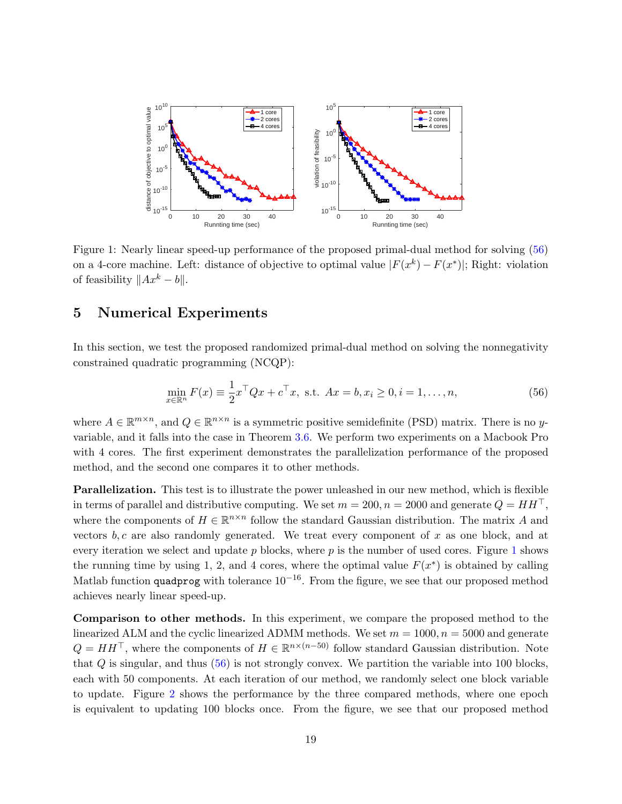

<span id="page-18-2"></span>Figure 1: Nearly linear speed-up performance of the proposed primal-dual method for solving [\(56\)](#page-18-1) on a 4-core machine. Left: distance of objective to optimal value  $|F(x^k) - F(x^*)|$ ; Right: violation of feasibility  $||Ax^{k} - b||$ .

### <span id="page-18-0"></span>5 Numerical Experiments

In this section, we test the proposed randomized primal-dual method on solving the nonnegativity constrained quadratic programming (NCQP):

<span id="page-18-1"></span>
$$
\min_{x \in \mathbb{R}^n} F(x) \equiv \frac{1}{2} x^\top Q x + c^\top x, \text{ s.t. } Ax = b, x_i \ge 0, i = 1, ..., n,
$$
\n(56)

where  $A \in \mathbb{R}^{m \times n}$ , and  $Q \in \mathbb{R}^{n \times n}$  is a symmetric positive semidefinite (PSD) matrix. There is no yvariable, and it falls into the case in Theorem [3.6.](#page-12-5) We perform two experiments on a Macbook Pro with 4 cores. The first experiment demonstrates the parallelization performance of the proposed method, and the second one compares it to other methods.

**Parallelization.** This test is to illustrate the power unleashed in our new method, which is flexible in terms of parallel and distributive computing. We set  $m = 200, n = 2000$  and generate  $Q = HH^{\top}$ , where the components of  $H \in \mathbb{R}^{n \times n}$  follow the standard Gaussian distribution. The matrix A and vectors  $b, c$  are also randomly generated. We treat every component of x as one block, and at every iteration we select and update  $p$  blocks, where  $p$  is the number of used cores. Figure [1](#page-18-2) shows the running time by using 1, 2, and 4 cores, where the optimal value  $F(x^*)$  is obtained by calling Matlab function quadprog with tolerance  $10^{-16}$ . From the figure, we see that our proposed method achieves nearly linear speed-up.

Comparison to other methods. In this experiment, we compare the proposed method to the linearized ALM and the cyclic linearized ADMM methods. We set  $m = 1000$ ,  $n = 5000$  and generate  $Q = HH^{\top}$ , where the components of  $H \in \mathbb{R}^{n \times (n-50)}$  follow standard Gaussian distribution. Note that Q is singular, and thus [\(56\)](#page-18-1) is not strongly convex. We partition the variable into 100 blocks, each with 50 components. At each iteration of our method, we randomly select one block variable to update. Figure [2](#page-19-1) shows the performance by the three compared methods, where one epoch is equivalent to updating 100 blocks once. From the figure, we see that our proposed method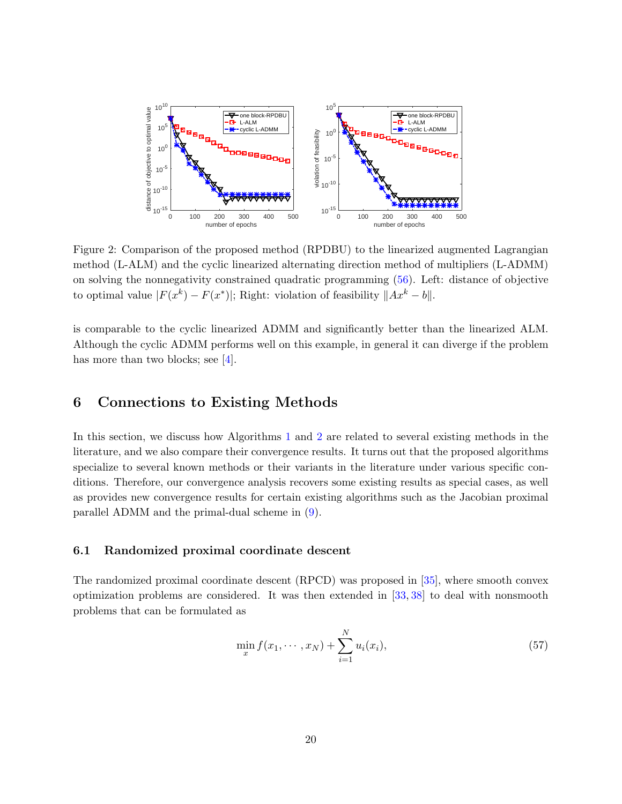<span id="page-19-3"></span>

<span id="page-19-1"></span>Figure 2: Comparison of the proposed method (RPDBU) to the linearized augmented Lagrangian method (L-ALM) and the cyclic linearized alternating direction method of multipliers (L-ADMM) on solving the nonnegativity constrained quadratic programming [\(56\)](#page-18-1). Left: distance of objective to optimal value  $|F(x^k) - F(x^*)|$ ; Right: violation of feasibility  $||Ax^k - b||$ .

is comparable to the cyclic linearized ADMM and significantly better than the linearized ALM. Although the cyclic ADMM performs well on this example, in general it can diverge if the problem has more than two blocks; see [\[4\]](#page-23-4).

### <span id="page-19-0"></span>6 Connections to Existing Methods

In this section, we discuss how Algorithms [1](#page-7-0) and [2](#page-15-0) are related to several existing methods in the literature, and we also compare their convergence results. It turns out that the proposed algorithms specialize to several known methods or their variants in the literature under various specific conditions. Therefore, our convergence analysis recovers some existing results as special cases, as well as provides new convergence results for certain existing algorithms such as the Jacobian proximal parallel ADMM and the primal-dual scheme in [\(9\)](#page-5-1).

#### 6.1 Randomized proximal coordinate descent

The randomized proximal coordinate descent (RPCD) was proposed in [\[35\]](#page-25-9), where smooth convex optimization problems are considered. It was then extended in [\[33,](#page-25-10) [38\]](#page-25-11) to deal with nonsmooth problems that can be formulated as

<span id="page-19-2"></span>
$$
\min_{x} f(x_1, \cdots, x_N) + \sum_{i=1}^{N} u_i(x_i),
$$
\n(57)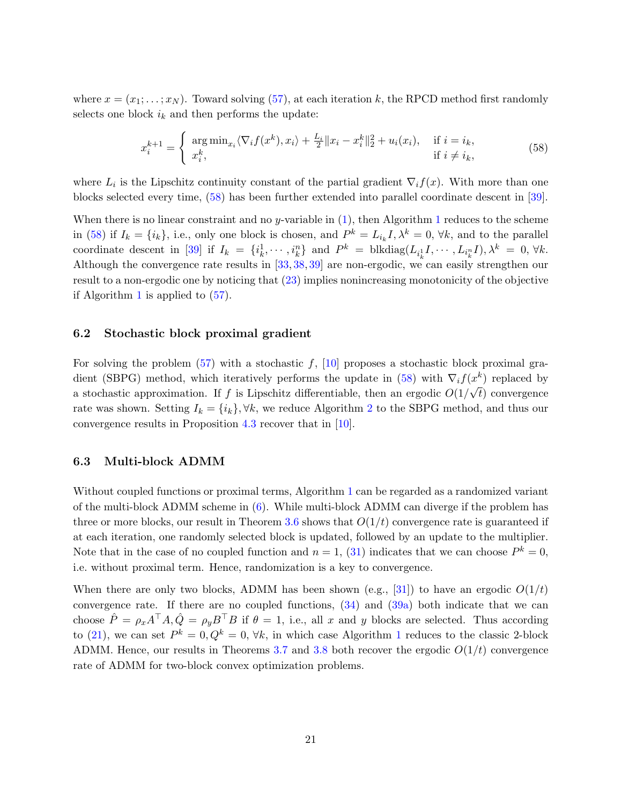<span id="page-20-1"></span>where  $x = (x_1; \ldots; x_N)$ . Toward solving [\(57\)](#page-19-2), at each iteration k, the RPCD method first randomly selects one block  $i_k$  and then performs the update:

<span id="page-20-0"></span>
$$
x_i^{k+1} = \begin{cases} \arg \min_{x_i} \langle \nabla_i f(x^k), x_i \rangle + \frac{L_i}{2} \| x_i - x_i^k \|_2^2 + u_i(x_i), & \text{if } i = i_k, \\ x_i^k, & \text{if } i \neq i_k, \end{cases}
$$
(58)

where  $L_i$  is the Lipschitz continuity constant of the partial gradient  $\nabla_i f(x)$ . With more than one blocks selected every time, [\(58\)](#page-20-0) has been further extended into parallel coordinate descent in [\[39\]](#page-25-12).

When there is no linear constraint and no y-variable in  $(1)$ , then Algorithm [1](#page-7-0) reduces to the scheme in [\(58\)](#page-20-0) if  $I_k = \{i_k\}$ , i.e., only one block is chosen, and  $P^k = L_{i_k}I, \lambda^k = 0, \forall k$ , and to the parallel coordinate descent in [\[39\]](#page-25-12) if  $I_k = \{i_k^1, \dots, i_k^n\}$  and  $P^k = \text{blkdiag}(L_{i_k^1}, \dots, L_{i_k^n}, I), \lambda^k = 0, \forall k$ . Although the convergence rate results in [\[33,](#page-25-10) [38,](#page-25-11) [39\]](#page-25-12) are non-ergodic, we can easily strengthen our result to a non-ergodic one by noticing that [\(23\)](#page-10-1) implies nonincreasing monotonicity of the objective if Algorithm [1](#page-7-0) is applied to [\(57\)](#page-19-2).

#### 6.2 Stochastic block proximal gradient

For solving the problem  $(57)$  with a stochastic f,  $[10]$  proposes a stochastic block proximal gra-dient (SBPG) method, which iteratively performs the update in [\(58\)](#page-20-0) with  $\nabla_i f(x^k)$  replaced by a stochastic approximation. If f is Lipschitz differentiable, then an ergodic  $O(1/\sqrt{t})$  convergence rate was shown. Setting  $I_k = \{i_k\}, \forall k$ , we reduce Algorithm [2](#page-15-0) to the SBPG method, and thus our convergence results in Proposition [4.3](#page-16-5) recover that in [\[10\]](#page-23-11).

#### 6.3 Multi-block ADMM

Without coupled functions or proximal terms, Algorithm [1](#page-7-0) can be regarded as a randomized variant of the multi-block ADMM scheme in [\(6\)](#page-3-1). While multi-block ADMM can diverge if the problem has three or more blocks, our result in Theorem [3.6](#page-12-5) shows that  $O(1/t)$  convergence rate is guaranteed if at each iteration, one randomly selected block is updated, followed by an update to the multiplier. Note that in the case of no coupled function and  $n = 1$ , [\(31\)](#page-12-2) indicates that we can choose  $P^k = 0$ , i.e. without proximal term. Hence, randomization is a key to convergence.

When there are only two blocks, ADMM has been shown (e.g., [\[31\]](#page-25-0)) to have an ergodic  $O(1/t)$ convergence rate. If there are no coupled functions, [\(34\)](#page-12-4) and [\(39a\)](#page-13-2) both indicate that we can choose  $\hat{P} = \rho_x A^\top A, \hat{Q} = \rho_y B^\top B$  if  $\theta = 1$ , i.e., all x and y blocks are selected. Thus according to [\(21\)](#page-9-0), we can set  $P^k = 0, Q^k = 0, \forall k$ , in which case Algorithm [1](#page-7-0) reduces to the classic 2-block ADMM. Hence, our results in Theorems [3.7](#page-12-3) and [3.8](#page-13-1) both recover the ergodic  $O(1/t)$  convergence rate of ADMM for two-block convex optimization problems.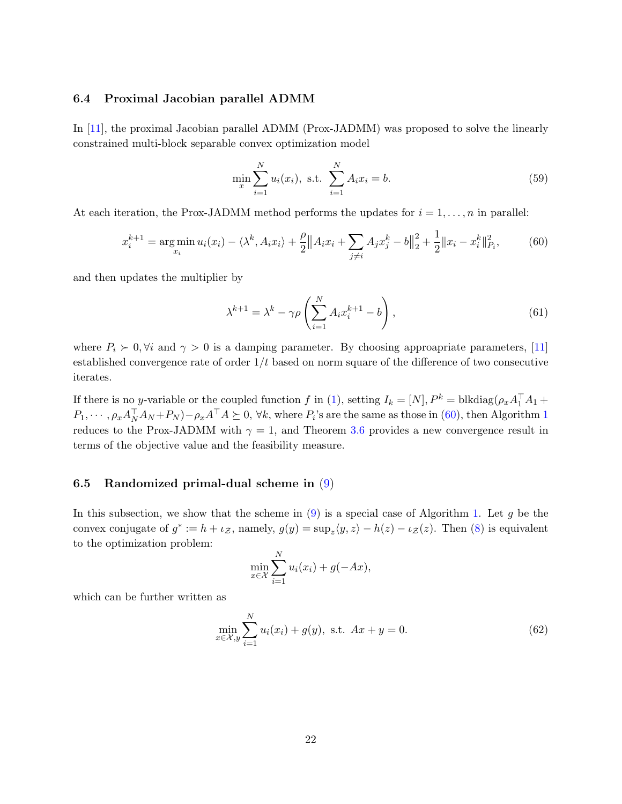#### <span id="page-21-2"></span>6.4 Proximal Jacobian parallel ADMM

In [\[11\]](#page-23-5), the proximal Jacobian parallel ADMM (Prox-JADMM) was proposed to solve the linearly constrained multi-block separable convex optimization model

$$
\min_{x} \sum_{i=1}^{N} u_i(x_i), \text{ s.t. } \sum_{i=1}^{N} A_i x_i = b. \tag{59}
$$

At each iteration, the Prox-JADMM method performs the updates for  $i = 1, \ldots, n$  in parallel:

<span id="page-21-0"></span>
$$
x_i^{k+1} = \underset{x_i}{\arg\min} \, u_i(x_i) - \langle \lambda^k, A_i x_i \rangle + \frac{\rho}{2} \| A_i x_i + \sum_{j \neq i} A_j x_j^k - b \|^2_2 + \frac{1}{2} \| x_i - x_i^k \|^2_{P_i},\tag{60}
$$

and then updates the multiplier by

$$
\lambda^{k+1} = \lambda^k - \gamma \rho \left( \sum_{i=1}^N A_i x_i^{k+1} - b \right),\tag{61}
$$

where  $P_i > 0$ ,  $\forall i$  and  $\gamma > 0$  is a damping parameter. By choosing approapriate parameters, [\[11\]](#page-23-5) established convergence rate of order  $1/t$  based on norm square of the difference of two consecutive iterates.

If there is no y-variable or the coupled function f in [\(1\)](#page-1-0), setting  $I_k = [N], P^k = \text{blkdiag}(\rho_x A_1^\top A_1 +$  $P_1, \cdots, \rho_x A_N^{\top} A_N + P_N) - \rho_x A^{\top} A \succeq 0$  $P_1, \cdots, \rho_x A_N^{\top} A_N + P_N) - \rho_x A^{\top} A \succeq 0$  $P_1, \cdots, \rho_x A_N^{\top} A_N + P_N) - \rho_x A^{\top} A \succeq 0$ ,  $\forall k$ , where  $P_i$ 's are the same as those in [\(60\)](#page-21-0), then Algorithm 1 reduces to the Prox-JADMM with  $\gamma = 1$ , and Theorem [3.6](#page-12-5) provides a new convergence result in terms of the objective value and the feasibility measure.

#### 6.5 Randomized primal-dual scheme in [\(9\)](#page-5-1)

In this subsection, we show that the scheme in  $(9)$  is a special case of Algorithm [1.](#page-7-0) Let g be the convex conjugate of  $g^* := h + \iota_{\mathcal{Z}}$ , namely,  $g(y) = \sup_z \langle y, z \rangle - h(z) - \iota_{\mathcal{Z}}(z)$ . Then [\(8\)](#page-4-0) is equivalent to the optimization problem:

$$
\min_{x \in \mathcal{X}} \sum_{i=1}^{N} u_i(x_i) + g(-Ax),
$$

<span id="page-21-3"></span>which can be further written as

<span id="page-21-1"></span>
$$
\min_{x \in \mathcal{X}, y} \sum_{i=1}^{N} u_i(x_i) + g(y), \text{ s.t. } Ax + y = 0.
$$
 (62)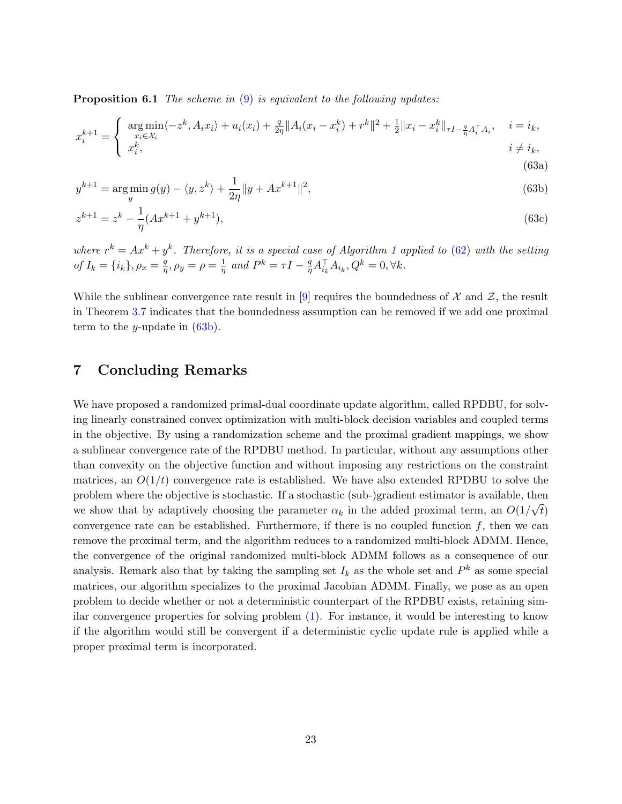<span id="page-22-2"></span>**Proposition 6.1** The scheme in  $(9)$  is equivalent to the following updates:

$$
x_i^{k+1} = \begin{cases} \underset{x_i \in \mathcal{X}_i}{\arg \min} \langle -z^k, A_i x_i \rangle + u_i(x_i) + \frac{q}{2\eta} \| A_i(x_i - x_i^k) + r^k \|^2 + \frac{1}{2} \| x_i - x_i^k \|_{\tau I - \frac{q}{\eta} A_i^\top A_i}, & i = i_k, \\ x_i^k, & i \neq i_k, \end{cases}
$$

$$
y^{k+1} = \underset{y}{\arg\min} \, g(y) - \langle y, z^k \rangle + \frac{1}{2\eta} \| y + Ax^{k+1} \|^2,\tag{63b}
$$

<span id="page-22-4"></span><span id="page-22-3"></span><span id="page-22-1"></span>(63a)

$$
z^{k+1} = z^k - \frac{1}{\eta} (Ax^{k+1} + y^{k+1}),
$$
\n(63c)

where  $r^k = Ax^k + y^k$ . Therefore, it is a special case of Algorithm [1](#page-7-0) applied to [\(62\)](#page-21-1) with the setting of  $I_k = \{i_k\}, \rho_x = \frac{q}{n}$  $\frac{q}{\eta}, \rho_y = \rho = \frac{1}{\eta}$  $rac{1}{\eta}$  and  $P^k = \tau I - \frac{q}{\eta}$  ${}^q_qA_{i_k}^\top A_{i_k}, Q^k=0, \forall k.$ 

While the sublinear convergence rate result in [\[9\]](#page-23-9) requires the boundedness of  $\mathcal X$  and  $\mathcal Z$ , the result in Theorem [3.7](#page-12-3) indicates that the boundedness assumption can be removed if we add one proximal term to the *y*-update in  $(63b)$ .

### <span id="page-22-0"></span>7 Concluding Remarks

We have proposed a randomized primal-dual coordinate update algorithm, called RPDBU, for solving linearly constrained convex optimization with multi-block decision variables and coupled terms in the objective. By using a randomization scheme and the proximal gradient mappings, we show a sublinear convergence rate of the RPDBU method. In particular, without any assumptions other than convexity on the objective function and without imposing any restrictions on the constraint matrices, an  $O(1/t)$  convergence rate is established. We have also extended RPDBU to solve the problem where the objective is stochastic. If a stochastic (sub-)gradient estimator is available, then we show that by adaptively choosing the parameter  $\alpha_k$  in the added proximal term, an  $O(1/\sqrt{t})$ convergence rate can be established. Furthermore, if there is no coupled function  $f$ , then we can remove the proximal term, and the algorithm reduces to a randomized multi-block ADMM. Hence, the convergence of the original randomized multi-block ADMM follows as a consequence of our analysis. Remark also that by taking the sampling set  $I_k$  as the whole set and  $P^k$  as some special matrices, our algorithm specializes to the proximal Jacobian ADMM. Finally, we pose as an open problem to decide whether or not a deterministic counterpart of the RPDBU exists, retaining similar convergence properties for solving problem [\(1\)](#page-1-0). For instance, it would be interesting to know if the algorithm would still be convergent if a deterministic cyclic update rule is applied while a proper proximal term is incorporated.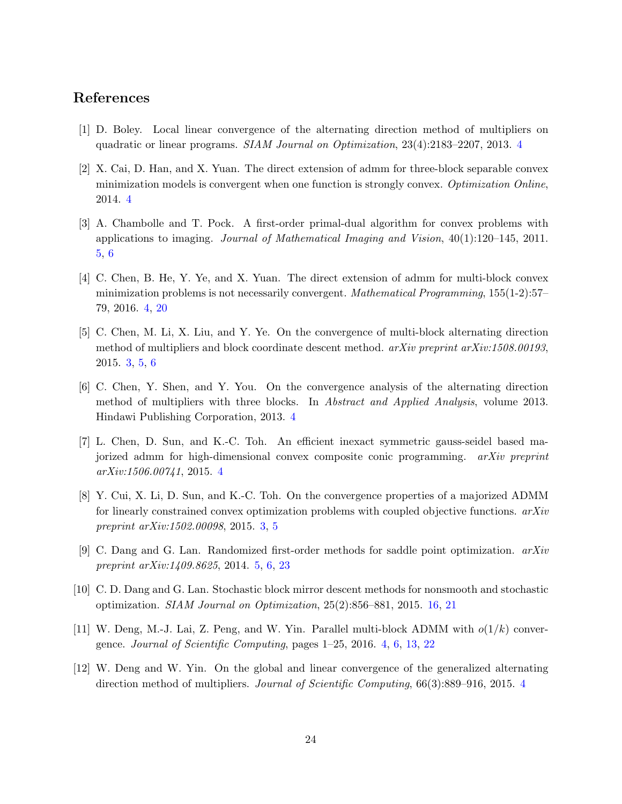### References

- <span id="page-23-2"></span>[1] D. Boley. Local linear convergence of the alternating direction method of multipliers on quadratic or linear programs. SIAM Journal on Optimization, 23(4):2183–2207, 2013. [4](#page-3-2)
- <span id="page-23-6"></span>[2] X. Cai, D. Han, and X. Yuan. The direct extension of admm for three-block separable convex minimization models is convergent when one function is strongly convex. Optimization Online, 2014. [4](#page-3-2)
- <span id="page-23-10"></span>[3] A. Chambolle and T. Pock. A first-order primal-dual algorithm for convex problems with applications to imaging. Journal of Mathematical Imaging and Vision, 40(1):120–145, 2011. [5,](#page-4-1) [6](#page-5-3)
- <span id="page-23-4"></span>[4] C. Chen, B. He, Y. Ye, and X. Yuan. The direct extension of admm for multi-block convex minimization problems is not necessarily convergent. Mathematical Programming, 155(1-2):57– 79, 2016. [4,](#page-3-2) [20](#page-19-3)
- <span id="page-23-0"></span>[5] C. Chen, M. Li, X. Liu, and Y. Ye. On the convergence of multi-block alternating direction method of multipliers and block coordinate descent method. arXiv preprint arXiv:1508.00193, 2015. [3,](#page-2-0) [5,](#page-4-1) [6](#page-5-3)
- <span id="page-23-7"></span>[6] C. Chen, Y. Shen, and Y. You. On the convergence analysis of the alternating direction method of multipliers with three blocks. In *Abstract and Applied Analysis*, volume 2013. Hindawi Publishing Corporation, 2013. [4](#page-3-2)
- <span id="page-23-8"></span>[7] L. Chen, D. Sun, and K.-C. Toh. An efficient inexact symmetric gauss-seidel based majorized admm for high-dimensional convex composite conic programming. arXiv preprint arXiv:1506.00741, 2015. [4](#page-3-2)
- <span id="page-23-1"></span>[8] Y. Cui, X. Li, D. Sun, and K.-C. Toh. On the convergence properties of a majorized ADMM for linearly constrained convex optimization problems with coupled objective functions.  $arXiv$ preprint arXiv:1502.00098, 2015. [3,](#page-2-0) [5](#page-4-1)
- <span id="page-23-9"></span>[9] C. Dang and G. Lan. Randomized first-order methods for saddle point optimization.  $arXiv$ preprint arXiv:1409.8625, 2014. [5,](#page-4-1) [6,](#page-5-3) [23](#page-22-2)
- <span id="page-23-11"></span>[10] C. D. Dang and G. Lan. Stochastic block mirror descent methods for nonsmooth and stochastic optimization. SIAM Journal on Optimization, 25(2):856–881, 2015. [16,](#page-15-3) [21](#page-20-1)
- <span id="page-23-5"></span>[11] W. Deng, M.-J. Lai, Z. Peng, and W. Yin. Parallel multi-block ADMM with  $o(1/k)$  convergence. Journal of Scientific Computing, pages 1–25, 2016. [4,](#page-3-2) [6,](#page-5-3) [13,](#page-12-6) [22](#page-21-2)
- <span id="page-23-3"></span>[12] W. Deng and W. Yin. On the global and linear convergence of the generalized alternating direction method of multipliers. Journal of Scientific Computing, 66(3):889–916, 2015. [4](#page-3-2)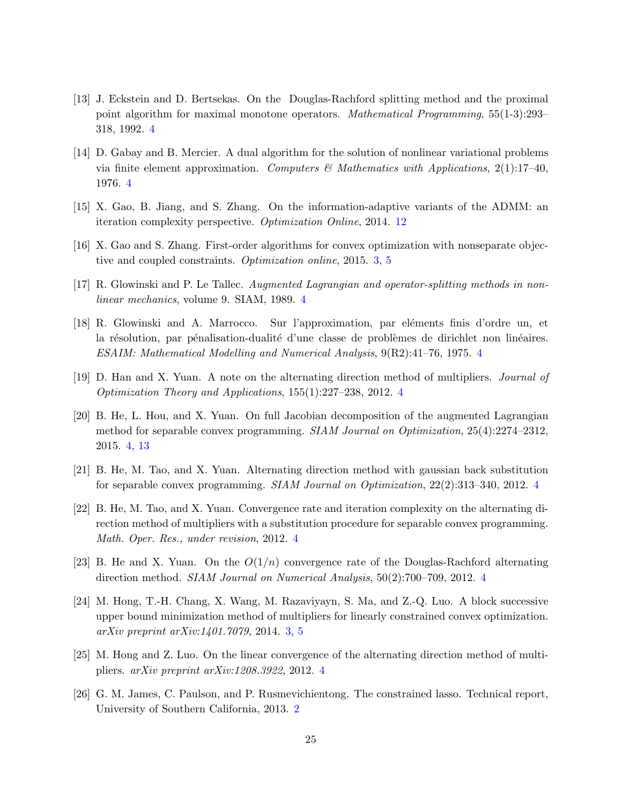- <span id="page-24-5"></span>[13] J. Eckstein and D. Bertsekas. On the Douglas-Rachford splitting method and the proximal point algorithm for maximal monotone operators. Mathematical Programming, 55(1-3):293– 318, 1992. [4](#page-3-2)
- <span id="page-24-3"></span>[14] D. Gabay and B. Mercier. A dual algorithm for the solution of nonlinear variational problems via finite element approximation. Computers  $\mathscr$  Mathematics with Applications, 2(1):17-40, 1976. [4](#page-3-2)
- <span id="page-24-12"></span>[15] X. Gao, B. Jiang, and S. Zhang. On the information-adaptive variants of the ADMM: an iteration complexity perspective. Optimization Online, 2014. [12](#page-11-2)
- <span id="page-24-1"></span>[16] X. Gao and S. Zhang. First-order algorithms for convex optimization with nonseparate objective and coupled constraints. Optimization online, 2015. [3,](#page-2-0) [5](#page-4-1)
- <span id="page-24-6"></span>[17] R. Glowinski and P. Le Tallec. Augmented Lagrangian and operator-splitting methods in nonlinear mechanics, volume 9. SIAM, 1989. [4](#page-3-2)
- <span id="page-24-4"></span>[18] R. Glowinski and A. Marrocco. Sur l'approximation, par eléments finis d'ordre un, et la résolution, par pénalisation-dualité d'une classe de problèmes de dirichlet non linéaires. ESAIM: Mathematical Modelling and Numerical Analysis, 9(R2):41–76, 1975. [4](#page-3-2)
- <span id="page-24-11"></span>[19] D. Han and X. Yuan. A note on the alternating direction method of multipliers. Journal of Optimization Theory and Applications, 155(1):227–238, 2012. [4](#page-3-2)
- <span id="page-24-9"></span>[20] B. He, L. Hou, and X. Yuan. On full Jacobian decomposition of the augmented Lagrangian method for separable convex programming. SIAM Journal on Optimization, 25(4):2274–2312, 2015. [4,](#page-3-2) [13](#page-12-6)
- [21] B. He, M. Tao, and X. Yuan. Alternating direction method with gaussian back substitution for separable convex programming. SIAM Journal on Optimization, 22(2):313–340, 2012. [4](#page-3-2)
- <span id="page-24-10"></span>[22] B. He, M. Tao, and X. Yuan. Convergence rate and iteration complexity on the alternating direction method of multipliers with a substitution procedure for separable convex programming. Math. Oper. Res., under revision, 2012. [4](#page-3-2)
- <span id="page-24-7"></span>[23] B. He and X. Yuan. On the  $O(1/n)$  convergence rate of the Douglas-Rachford alternating direction method. SIAM Journal on Numerical Analysis, 50(2):700–709, 2012. [4](#page-3-2)
- <span id="page-24-2"></span>[24] M. Hong, T.-H. Chang, X. Wang, M. Razaviyayn, S. Ma, and Z.-Q. Luo. A block successive upper bound minimization method of multipliers for linearly constrained convex optimization. arXiv preprint arXiv:1401.7079, 2014. [3,](#page-2-0) [5](#page-4-1)
- <span id="page-24-8"></span>[25] M. Hong and Z. Luo. On the linear convergence of the alternating direction method of multipliers. arXiv preprint arXiv:1208.3922, 2012. [4](#page-3-2)
- <span id="page-24-0"></span>[26] G. M. James, C. Paulson, and P. Rusmevichientong. The constrained lasso. Technical report, University of Southern California, 2013. [2](#page-1-5)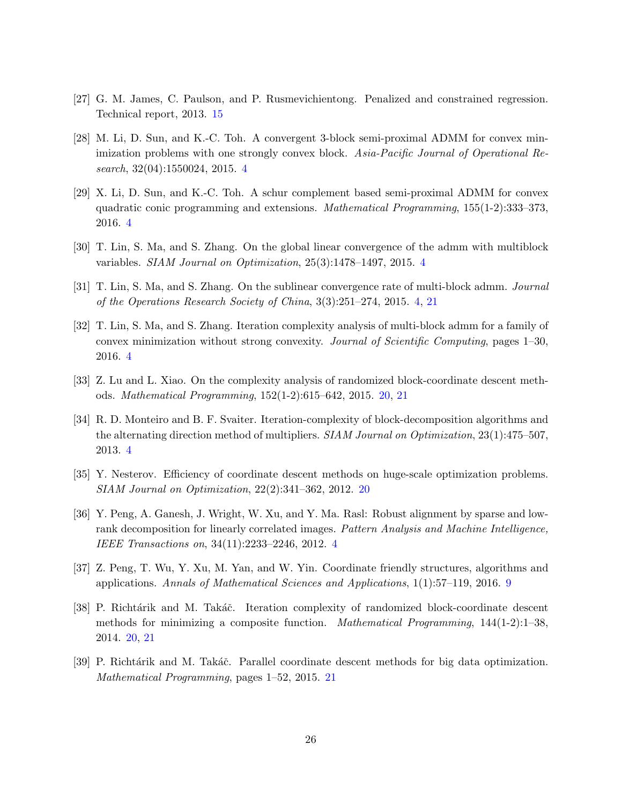- <span id="page-25-8"></span>[27] G. M. James, C. Paulson, and P. Rusmevichientong. Penalized and constrained regression. Technical report, 2013. [15](#page-14-2)
- <span id="page-25-3"></span>[28] M. Li, D. Sun, and K.-C. Toh. A convergent 3-block semi-proximal ADMM for convex minimization problems with one strongly convex block. Asia-Pacific Journal of Operational Research, 32(04):1550024, 2015. [4](#page-3-2)
- <span id="page-25-6"></span>[29] X. Li, D. Sun, and K.-C. Toh. A schur complement based semi-proximal ADMM for convex quadratic conic programming and extensions. Mathematical Programming, 155(1-2):333–373, 2016. [4](#page-3-2)
- <span id="page-25-4"></span>[30] T. Lin, S. Ma, and S. Zhang. On the global linear convergence of the admm with multiblock variables. SIAM Journal on Optimization, 25(3):1478–1497, 2015. [4](#page-3-2)
- <span id="page-25-0"></span>[31] T. Lin, S. Ma, and S. Zhang. On the sublinear convergence rate of multi-block admm. Journal of the Operations Research Society of China, 3(3):251–274, 2015. [4,](#page-3-2) [21](#page-20-1)
- <span id="page-25-5"></span>[32] T. Lin, S. Ma, and S. Zhang. Iteration complexity analysis of multi-block admm for a family of convex minimization without strong convexity. Journal of Scientific Computing, pages 1–30, 2016. [4](#page-3-2)
- <span id="page-25-10"></span>[33] Z. Lu and L. Xiao. On the complexity analysis of randomized block-coordinate descent methods. Mathematical Programming, 152(1-2):615–642, 2015. [20,](#page-19-3) [21](#page-20-1)
- <span id="page-25-1"></span>[34] R. D. Monteiro and B. F. Svaiter. Iteration-complexity of block-decomposition algorithms and the alternating direction method of multipliers. SIAM Journal on Optimization, 23(1):475–507. 2013. [4](#page-3-2)
- <span id="page-25-9"></span>[35] Y. Nesterov. Efficiency of coordinate descent methods on huge-scale optimization problems. SIAM Journal on Optimization, 22(2):341–362, 2012. [20](#page-19-3)
- <span id="page-25-2"></span>[36] Y. Peng, A. Ganesh, J. Wright, W. Xu, and Y. Ma. Rasl: Robust alignment by sparse and lowrank decomposition for linearly correlated images. Pattern Analysis and Machine Intelligence, IEEE Transactions on, 34(11):2233–2246, 2012. [4](#page-3-2)
- <span id="page-25-7"></span>[37] Z. Peng, T. Wu, Y. Xu, M. Yan, and W. Yin. Coordinate friendly structures, algorithms and applications. Annals of Mathematical Sciences and Applications, 1(1):57–119, 2016. [9](#page-8-3)
- <span id="page-25-11"></span>[38] P. Richtárik and M. Takáč. Iteration complexity of randomized block-coordinate descent methods for minimizing a composite function. *Mathematical Programming*,  $144(1-2)$ :1–38, 2014. [20,](#page-19-3) [21](#page-20-1)
- <span id="page-25-12"></span>[39] P. Richtárik and M. Takáč. Parallel coordinate descent methods for big data optimization. Mathematical Programming, pages 1–52, 2015. [21](#page-20-1)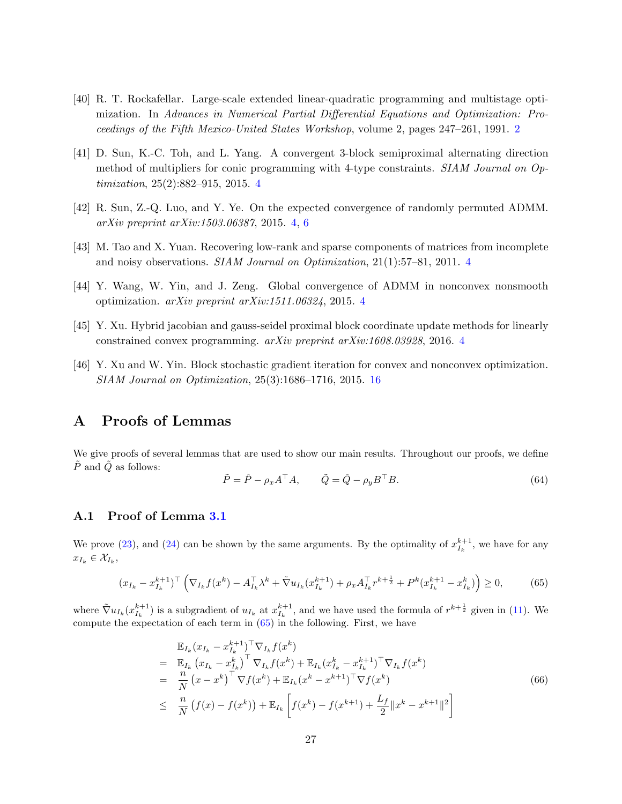- <span id="page-26-0"></span>[40] R. T. Rockafellar. Large-scale extended linear-quadratic programming and multistage optimization. In Advances in Numerical Partial Differential Equations and Optimization: Proceedings of the Fifth Mexico-United States Workshop, volume 2, pages 247–261, 1991. [2](#page-1-5)
- <span id="page-26-4"></span>[41] D. Sun, K.-C. Toh, and L. Yang. A convergent 3-block semiproximal alternating direction method of multipliers for conic programming with 4-type constraints. SIAM Journal on Optimization, 25(2):882–915, 2015. [4](#page-3-2)
- <span id="page-26-5"></span>[42] R. Sun, Z.-Q. Luo, and Y. Ye. On the expected convergence of randomly permuted ADMM. arXiv preprint arXiv:1503.06387, 2015. [4,](#page-3-2) [6](#page-5-3)
- <span id="page-26-1"></span>[43] M. Tao and X. Yuan. Recovering low-rank and sparse components of matrices from incomplete and noisy observations. SIAM Journal on Optimization, 21(1):57–81, 2011. [4](#page-3-2)
- <span id="page-26-3"></span>[44] Y. Wang, W. Yin, and J. Zeng. Global convergence of ADMM in nonconvex nonsmooth optimization. arXiv preprint arXiv:1511.06324, 2015. [4](#page-3-2)
- <span id="page-26-2"></span>[45] Y. Xu. Hybrid jacobian and gauss-seidel proximal block coordinate update methods for linearly constrained convex programming. arXiv preprint arXiv:1608.03928, 2016. [4](#page-3-2)
- <span id="page-26-6"></span>[46] Y. Xu and W. Yin. Block stochastic gradient iteration for convex and nonconvex optimization. SIAM Journal on Optimization, 25(3):1686–1716, 2015. [16](#page-15-3)

### A Proofs of Lemmas

We give proofs of several lemmas that are used to show our main results. Throughout our proofs, we define  $\ddot{P}$  and  $\ddot{Q}$  as follows:

<span id="page-26-8"></span>
$$
\tilde{P} = \hat{P} - \rho_x A^\top A, \qquad \tilde{Q} = \hat{Q} - \rho_y B^\top B. \tag{64}
$$

#### A.1 Proof of Lemma [3.1](#page-10-0)

We prove [\(23\)](#page-10-1), and [\(24\)](#page-10-2) can be shown by the same arguments. By the optimality of  $x_{I_k}^{k+1}$ , we have for any  $x_{I_k} \in \mathcal{X}_{I_k},$ 

<span id="page-26-7"></span>
$$
(x_{I_k} - x_{I_k}^{k+1})^\top \left( \nabla_{I_k} f(x^k) - A_{I_k}^\top \lambda^k + \tilde{\nabla} u_{I_k}(x_{I_k}^{k+1}) + \rho_x A_{I_k}^\top r^{k + \frac{1}{2}} + P^k (x_{I_k}^{k+1} - x_{I_k}^k) \right) \ge 0,
$$
 (65)

where  $\tilde{\nabla} u_{I_k}(x_{I_k}^{k+1})$  is a subgradient of  $u_{I_k}$  at  $x_{I_k}^{k+1}$ , and we have used the formula of  $r^{k+\frac{1}{2}}$  given in [\(11\)](#page-7-3). We compute the expectation of each term in [\(65\)](#page-26-7) in the following. First, we have

<span id="page-26-9"></span>
$$
\mathbb{E}_{I_k}(x_{I_k} - x_{I_k}^{k+1})^{\top} \nabla_{I_k} f(x^k) \n= \mathbb{E}_{I_k} (x_{I_k} - x_{I_k}^k)^{\top} \nabla_{I_k} f(x^k) + \mathbb{E}_{I_k} (x_{I_k}^k - x_{I_k}^{k+1})^{\top} \nabla_{I_k} f(x^k) \n= \frac{n}{N} (x - x^k)^{\top} \nabla f(x^k) + \mathbb{E}_{I_k} (x^k - x^{k+1})^{\top} \nabla f(x^k) \n\leq \frac{n}{N} (f(x) - f(x^k)) + \mathbb{E}_{I_k} \left[ f(x^k) - f(x^{k+1}) + \frac{L_f}{2} \|x^k - x^{k+1}\|^2 \right]
$$
\n(66)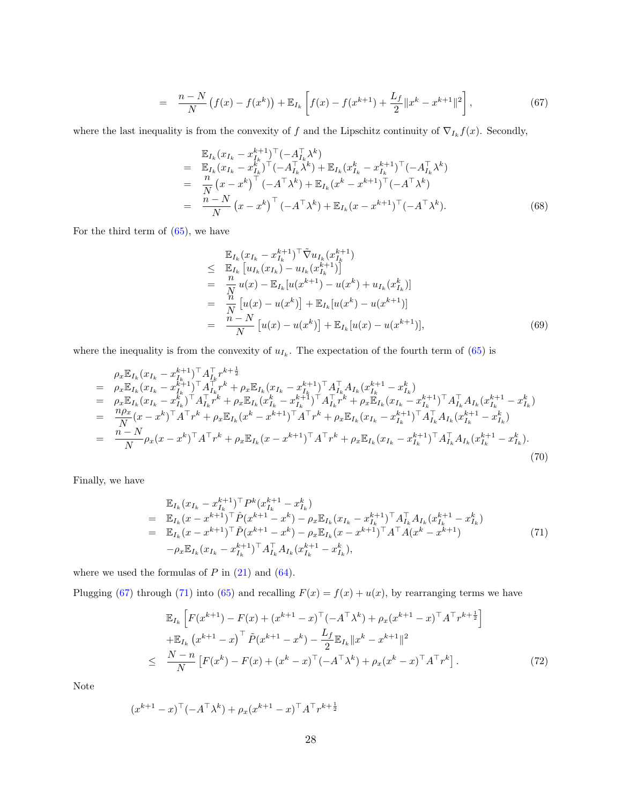$$
= \frac{n-N}{N} \left( f(x) - f(x^k) \right) + \mathbb{E}_{I_k} \left[ f(x) - f(x^{k+1}) + \frac{L_f}{2} ||x^k - x^{k+1}||^2 \right], \tag{67}
$$

where the last inequality is from the convexity of f and the Lipschitz continuity of  $\nabla_{I_k} f(x)$ . Secondly,

$$
\mathbb{E}_{I_k}(x_{I_k} - x_{I_k}^{k+1})^{\top}(-A_{I_k}^{\top} \lambda^k) \n= \mathbb{E}_{I_k}(x_{I_k} - x_{I_k}^k)^{\top}(-A_{I_k}^{\top} \lambda^k) + \mathbb{E}_{I_k}(x_{I_k}^k - x_{I_k}^{k+1})^{\top}(-A_{I_k}^{\top} \lambda^k) \n= \frac{n}{N}(x - x^k)^{\top}(-A^{\top} \lambda^k) + \mathbb{E}_{I_k}(x^k - x^{k+1})^{\top}(-A^{\top} \lambda^k) \n= \frac{n - N}{N}(x - x^k)^{\top}(-A^{\top} \lambda^k) + \mathbb{E}_{I_k}(x - x^{k+1})^{\top}(-A^{\top} \lambda^k).
$$
\n(68)

For the third term of  $(65)$ , we have

$$
\mathbb{E}_{I_k}(x_{I_k} - x_{I_k}^{k+1})^{\top} \tilde{\nabla} u_{I_k}(x_{I_k}^{k+1})
$$
\n
$$
\leq \mathbb{E}_{I_k} [u_{I_k}(x_{I_k}) - u_{I_k}(x_{I_k}^{k+1})]
$$
\n
$$
= \frac{n}{N} u(x) - \mathbb{E}_{I_k} [u(x^{k+1}) - u(x^k) + u_{I_k}(x_{I_k}^k)]
$$
\n
$$
= \frac{n}{N} [u(x) - u(x^k)] + \mathbb{E}_{I_k} [u(x^k) - u(x^{k+1})]
$$
\n
$$
= \frac{n-N}{N} [u(x) - u(x^k)] + \mathbb{E}_{I_k} [u(x) - u(x^{k+1})], \tag{69}
$$

where the inequality is from the convexity of  $u_{I_k}$ . The expectation of the fourth term of  $(65)$  is

$$
\rho_x \mathbb{E}_{I_k}(x_{I_k} - x_{I_k}^{k+1})^\top A_{I_k}^\top r^{k+\frac{1}{2}} \n= \rho_x \mathbb{E}_{I_k}(x_{I_k} - x_{I_k}^{k+1})^\top A_{I_k}^\top r^k + \rho_x \mathbb{E}_{I_k}(x_{I_k} - x_{I_k}^{k+1})^\top A_{I_k}^\top A_{I_k} (x_{I_k}^{k+1} - x_{I_k}^k) \n= \rho_x \mathbb{E}_{I_k}(x_{I_k} - x_{I_k}^k)^\top A_{I_k}^\top r^k + \rho_x \mathbb{E}_{I_k}(x_{I_k}^k - x_{I_k}^{k+1})^\top A_{I_k}^\top r^k + \rho_x \mathbb{E}_{I_k}(x_{I_k} - x_{I_k}^{k+1})^\top A_{I_k}^\top A_{I_k} (x_{I_k}^{k+1} - x_{I_k}^k) \n= \frac{n\rho_x}{N} (x - x^k)^\top A^\top r^k + \rho_x \mathbb{E}_{I_k} (x^k - x^{k+1})^\top A^\top r^k + \rho_x \mathbb{E}_{I_k} (x_{I_k} - x_{I_k}^{k+1})^\top A_{I_k}^\top A_{I_k} (x_{I_k}^{k+1} - x_{I_k}^k) \n= \frac{n - N}{N} \rho_x (x - x^k)^\top A^\top r^k + \rho_x \mathbb{E}_{I_k} (x - x^{k+1})^\top A^\top r^k + \rho_x \mathbb{E}_{I_k} (x_{I_k} - x_{I_k}^{k+1})^\top A_{I_k}^\top A_{I_k} (x_{I_k}^{k+1} - x_{I_k}^k).
$$
\n(70)

Finally, we have

<span id="page-27-0"></span>
$$
\mathbb{E}_{I_k}(x_{I_k} - x_{I_k}^{k+1})^{\top} P^k (x_{I_k}^{k+1} - x_{I_k}^k) \n= \mathbb{E}_{I_k}(x - x^{k+1})^{\top} \hat{P}(x^{k+1} - x^k) - \rho_x \mathbb{E}_{I_k}(x_{I_k} - x_{I_k}^{k+1})^{\top} A_{I_k}^{\top} A_{I_k} (x_{I_k}^{k+1} - x_{I_k}^k) \n= \mathbb{E}_{I_k}(x - x^{k+1})^{\top} \tilde{P}(x^{k+1} - x^k) - \rho_x \mathbb{E}_{I_k}(x - x^{k+1})^{\top} A^{\top} A (x^k - x^{k+1}) \n- \rho_x \mathbb{E}_{I_k}(x_{I_k} - x_{I_k}^{k+1})^{\top} A_{I_k}^{\top} A_{I_k} (x_{I_k}^{k+1} - x_{I_k}^k),
$$
\n(71)

where we used the formulas of  $P$  in  $(21)$  and  $(64)$ .

Plugging [\(67\)](#page-26-9) through [\(71\)](#page-27-0) into [\(65\)](#page-26-7) and recalling  $F(x) = f(x) + u(x)$ , by rearranging terms we have

<span id="page-27-1"></span>
$$
\mathbb{E}_{I_k} \left[ F(x^{k+1}) - F(x) + (x^{k+1} - x)^{\top} (-A^{\top} \lambda^k) + \rho_x (x^{k+1} - x)^{\top} A^{\top} r^{k+\frac{1}{2}} \right] \n+ \mathbb{E}_{I_k} (x^{k+1} - x)^{\top} \tilde{P}(x^{k+1} - x^k) - \frac{L_f}{2} \mathbb{E}_{I_k} ||x^k - x^{k+1}||^2 \n\leq \frac{N-n}{N} \left[ F(x^k) - F(x) + (x^k - x)^{\top} (-A^{\top} \lambda^k) + \rho_x (x^k - x)^{\top} A^{\top} r^k \right].
$$
\n(72)

Note

$$
(x^{k+1} - x)^\top (-A^\top \lambda^k) + \rho_x (x^{k+1} - x)^\top A^\top r^{k+\frac{1}{2}}
$$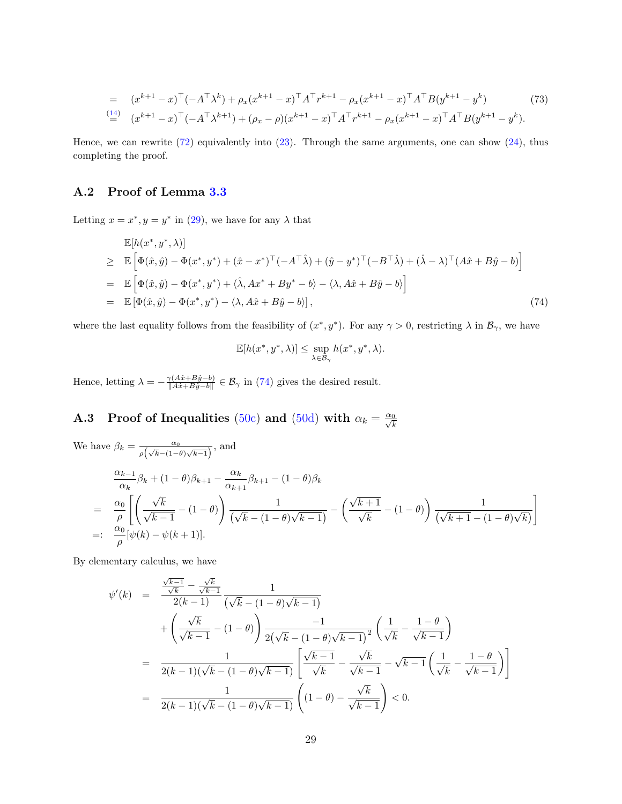$$
= (x^{k+1} - x)^{\top}(-A^{\top}\lambda^{k}) + \rho_{x}(x^{k+1} - x)^{\top}A^{\top}r^{k+1} - \rho_{x}(x^{k+1} - x)^{\top}A^{\top}B(y^{k+1} - y^{k})
$$
\n
$$
(73)
$$
\n
$$
\stackrel{(14)}{=} (x^{k+1} - x)^{\top}(-A^{\top}\lambda^{k+1}) + (\rho_{x} - \rho)(x^{k+1} - x)^{\top}A^{\top}r^{k+1} - \rho_{x}(x^{k+1} - x)^{\top}A^{\top}B(y^{k+1} - y^{k}).
$$
\n
$$
(73)
$$

Hence, we can rewrite [\(72\)](#page-27-1) equivalently into [\(23\)](#page-10-1). Through the same arguments, one can show [\(24\)](#page-10-2), thus completing the proof.

### A.2 Proof of Lemma [3.3](#page-11-3)

Letting  $x = x^*$ ,  $y = y^*$  in [\(29\)](#page-11-4), we have for any  $\lambda$  that

<span id="page-28-0"></span>
$$
\mathbb{E}[h(x^*, y^*, \lambda)]
$$
\n
$$
\geq \mathbb{E}\left[\Phi(\hat{x}, \hat{y}) - \Phi(x^*, y^*) + (\hat{x} - x^*)^\top(-A^\top \hat{\lambda}) + (\hat{y} - y^*)^\top(-B^\top \hat{\lambda}) + (\hat{\lambda} - \lambda)^\top(A\hat{x} + B\hat{y} - b)\right]
$$
\n
$$
= \mathbb{E}\left[\Phi(\hat{x}, \hat{y}) - \Phi(x^*, y^*) + \langle \hat{\lambda}, Ax^* + By^* - b \rangle - \langle \lambda, A\hat{x} + B\hat{y} - b \rangle\right]
$$
\n
$$
= \mathbb{E}\left[\Phi(\hat{x}, \hat{y}) - \Phi(x^*, y^*) - \langle \lambda, A\hat{x} + B\hat{y} - b \rangle\right],
$$
\n(74)

where the last equality follows from the feasibility of  $(x^*, y^*)$ . For any  $\gamma > 0$ , restricting  $\lambda$  in  $\mathcal{B}_{\gamma}$ , we have

$$
\mathbb{E}[h(x^*, y^*, \lambda)] \leq \sup_{\lambda \in \mathcal{B}_{\gamma}} h(x^*, y^*, \lambda).
$$

Hence, letting  $\lambda = -\frac{\gamma(A\hat{x}+B\hat{y}-b)}{\|A\hat{x}+B\hat{y}-b\|}$  $\frac{\gamma(Ax+By-0)}{\|A\hat{x}+B\hat{y}-b\|} \in \mathcal{B}_{\gamma}$  in [\(74\)](#page-28-0) gives the desired result.

# **A.3** Proof of Inequalities [\(50c\)](#page-16-1) and [\(50d\)](#page-16-2) with  $\alpha_k = \frac{\alpha_0}{\sqrt{k}}$

We have 
$$
\beta_k = \frac{\alpha_0}{\rho(\sqrt{k} - (1 - \theta)\sqrt{k-1})}
$$
, and  
\n
$$
\frac{\alpha_{k-1}}{\alpha_k} \beta_k + (1 - \theta)\beta_{k+1} - \frac{\alpha_k}{\alpha_{k+1}} \beta_{k+1} - (1 - \theta)\beta_k
$$
\n
$$
= \frac{\alpha_0}{\rho} \left[ \left( \frac{\sqrt{k}}{\sqrt{k-1}} - (1 - \theta) \right) \frac{1}{(\sqrt{k} - (1 - \theta)\sqrt{k-1})} - \left( \frac{\sqrt{k+1}}{\sqrt{k}} - (1 - \theta) \right) \frac{1}{(\sqrt{k+1} - (1 - \theta)\sqrt{k})} \right]
$$
\n
$$
=: \frac{\alpha_0}{\rho} [\psi(k) - \psi(k+1)].
$$

By elementary calculus, we have

$$
\psi'(k) = \frac{\frac{\sqrt{k-1}}{\sqrt{k}} - \frac{\sqrt{k}}{\sqrt{k-1}}}{2(k-1)} \frac{1}{(\sqrt{k} - (1-\theta)\sqrt{k-1})} \n+ \left(\frac{\sqrt{k}}{\sqrt{k-1}} - (1-\theta)\right) \frac{-1}{2(\sqrt{k} - (1-\theta)\sqrt{k-1})^2} \left(\frac{1}{\sqrt{k}} - \frac{1-\theta}{\sqrt{k-1}}\right) \n= \frac{1}{2(k-1)(\sqrt{k} - (1-\theta)\sqrt{k-1})} \left[\frac{\sqrt{k-1}}{\sqrt{k}} - \frac{\sqrt{k}}{\sqrt{k-1}} - \sqrt{k-1}\left(\frac{1}{\sqrt{k}} - \frac{1-\theta}{\sqrt{k-1}}\right)\right] \n= \frac{1}{2(k-1)(\sqrt{k} - (1-\theta)\sqrt{k-1})} \left((1-\theta) - \frac{\sqrt{k}}{\sqrt{k-1}}\right) < 0.
$$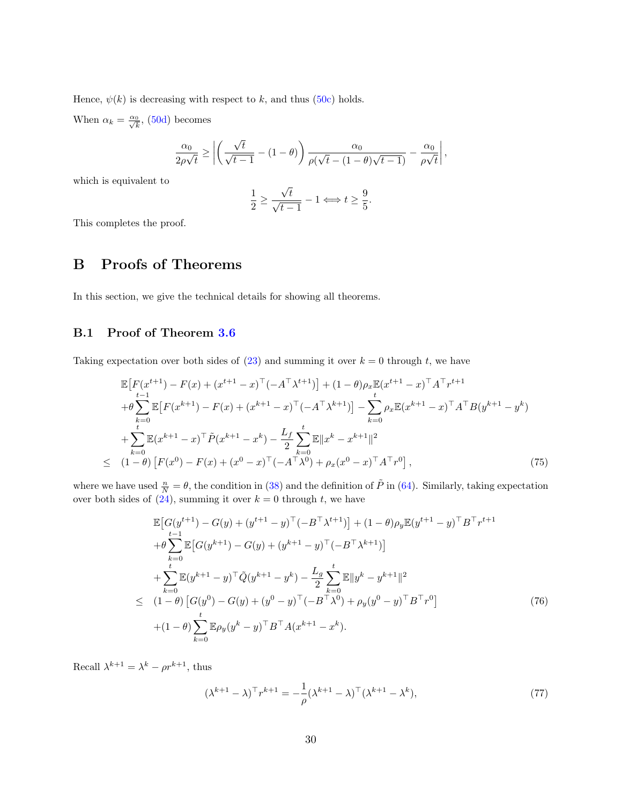Hence,  $\psi(k)$  is decreasing with respect to k, and thus [\(50c\)](#page-16-1) holds.

When  $\alpha_k = \frac{\alpha_0}{\sqrt{k}}$ , [\(50d\)](#page-16-2) becomes

$$
\frac{\alpha_0}{2\rho\sqrt{t}} \ge \left| \left( \frac{\sqrt{t}}{\sqrt{t-1}} - (1-\theta) \right) \frac{\alpha_0}{\rho(\sqrt{t} - (1-\theta)\sqrt{t-1})} - \frac{\alpha_0}{\rho\sqrt{t}} \right|,
$$

which is equivalent to

$$
\frac{1}{2} \ge \frac{\sqrt{t}}{\sqrt{t-1}} - 1 \Longleftrightarrow t \ge \frac{9}{5}.
$$

This completes the proof.

# B Proofs of Theorems

In this section, we give the technical details for showing all theorems.

#### B.1 Proof of Theorem [3.6](#page-12-5)

Taking expectation over both sides of  $(23)$  and summing it over  $k = 0$  through t, we have

<span id="page-29-1"></span>
$$
\mathbb{E}\left[F(x^{t+1}) - F(x) + (x^{t+1} - x)^{\top}(-A^{\top}\lambda^{t+1})\right] + (1 - \theta)\rho_x \mathbb{E}(x^{t+1} - x)^{\top}A^{\top}r^{t+1} \n+ \theta \sum_{k=0}^{t-1} \mathbb{E}\left[F(x^{k+1}) - F(x) + (x^{k+1} - x)^{\top}(-A^{\top}\lambda^{k+1})\right] - \sum_{k=0}^{t} \rho_x \mathbb{E}(x^{k+1} - x)^{\top}A^{\top}B(y^{k+1} - y^k) \n+ \sum_{k=0}^{t} \mathbb{E}(x^{k+1} - x)^{\top}\tilde{P}(x^{k+1} - x^k) - \frac{L_f}{2} \sum_{k=0}^{t} \mathbb{E}\|x^k - x^{k+1}\|^2 \n\leq (1 - \theta)\left[F(x^0) - F(x) + (x^0 - x)^{\top}(-A^{\top}\lambda^0) + \rho_x(x^0 - x)^{\top}A^{\top}r^0\right],
$$
\n(75)

where we have used  $\frac{n}{N} = \theta$ , the condition in [\(38\)](#page-13-5) and the definition of  $\tilde{P}$  in [\(64\)](#page-26-8). Similarly, taking expectation over both sides of  $(24)$ , summing it over  $k = 0$  through t, we have

<span id="page-29-2"></span>
$$
\mathbb{E}\left[G(y^{t+1}) - G(y) + (y^{t+1} - y)^{\top}(-B^{\top}\lambda^{t+1})\right] + (1 - \theta)\rho_y \mathbb{E}(y^{t+1} - y)^{\top}B^{\top}r^{t+1} \n+ \theta \sum_{k=0}^{t-1} \mathbb{E}\left[G(y^{k+1}) - G(y) + (y^{k+1} - y)^{\top}(-B^{\top}\lambda^{k+1})\right] \n+ \sum_{k=0}^{t} \mathbb{E}(y^{k+1} - y)^{\top}\tilde{Q}(y^{k+1} - y^{k}) - \frac{L_g}{2} \sum_{k=0}^{t} \mathbb{E}\|y^{k} - y^{k+1}\|^2 \n\leq (1 - \theta)\left[G(y^0) - G(y) + (y^0 - y)^{\top}(-B^{\top}\lambda^0) + \rho_y(y^0 - y)^{\top}B^{\top}r^0\right] \n+ (1 - \theta)\sum_{k=0}^{t} \mathbb{E}\rho_y(y^k - y)^{\top}B^{\top}A(x^{k+1} - x^k).
$$
\n(76)

Recall  $\lambda^{k+1} = \lambda^k - \rho r^{k+1}$ , thus

<span id="page-29-0"></span>
$$
(\lambda^{k+1} - \lambda)^{\top} r^{k+1} = -\frac{1}{\rho} (\lambda^{k+1} - \lambda)^{\top} (\lambda^{k+1} - \lambda^k), \tag{77}
$$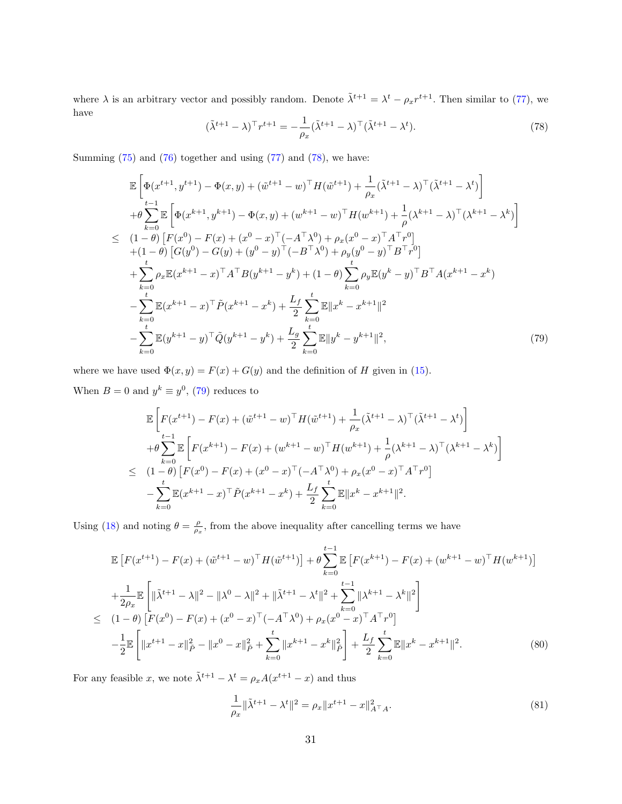where  $\lambda$  is an arbitrary vector and possibly random. Denote  $\tilde{\lambda}^{t+1} = \lambda^t - \rho_x r^{t+1}$ . Then similar to [\(77\)](#page-29-0), we have

<span id="page-30-0"></span>
$$
(\tilde{\lambda}^{t+1} - \lambda)^{\top} r^{t+1} = -\frac{1}{\rho_x} (\tilde{\lambda}^{t+1} - \lambda)^{\top} (\tilde{\lambda}^{t+1} - \lambda^t). \tag{78}
$$

Summing [\(75\)](#page-29-1) and [\(76\)](#page-29-2) together and using [\(77\)](#page-29-0) and [\(78\)](#page-30-0), we have:

<span id="page-30-1"></span>
$$
\mathbb{E}\left[\Phi(x^{t+1}, y^{t+1}) - \Phi(x, y) + (\tilde{w}^{t+1} - w)^{\top}H(\tilde{w}^{t+1}) + \frac{1}{\rho_x}(\tilde{\lambda}^{t+1} - \lambda)^{\top}(\tilde{\lambda}^{t+1} - \lambda^{t})\right] \n+ \theta \sum_{k=0}^{t-1} \mathbb{E}\left[\Phi(x^{k+1}, y^{k+1}) - \Phi(x, y) + (w^{k+1} - w)^{\top}H(w^{k+1}) + \frac{1}{\rho}(\lambda^{k+1} - \lambda)^{\top}(\lambda^{k+1} - \lambda^{k})\right] \n\leq (1 - \theta)\left[F(x^{0}) - F(x) + (x^{0} - x)^{\top}(-A^{\top}\lambda^{0}) + \rho_x(x^{0} - x)^{\top}A^{\top}r^{0}\right] \n+ (1 - \theta)\left[G(y^{0}) - G(y) + (y^{0} - y)^{\top}(-B^{\top}\lambda^{0}) + \rho_y(y^{0} - y)^{\top}B^{\top}r^{0}\right] \n+ \sum_{k=0}^{t} \rho_x \mathbb{E}(x^{k+1} - x)^{\top}A^{\top}B(y^{k+1} - y^{k}) + (1 - \theta)\sum_{k=0}^{t} \rho_y \mathbb{E}(y^{k} - y)^{\top}B^{\top}A(x^{k+1} - x^{k}) \n- \sum_{k=0}^{t} \mathbb{E}(x^{k+1} - x)^{\top}\tilde{P}(x^{k+1} - x^{k}) + \frac{L_f}{2} \sum_{k=0}^{t} \mathbb{E}||x^{k} - x^{k+1}||^{2} \n- \sum_{k=0}^{t} \mathbb{E}(y^{k+1} - y)^{\top}\tilde{Q}(y^{k+1} - y^{k}) + \frac{L_g}{2} \sum_{k=0}^{t} \mathbb{E}||y^{k} - y^{k+1}||^{2}, \tag{79}
$$

where we have used  $\Phi(x, y) = F(x) + G(y)$  and the definition of H given in [\(15\)](#page-8-4).

When  $B=0$  and  $y^k \equiv y^0$ , [\(79\)](#page-30-1) reduces to

$$
\mathbb{E}\left[F(x^{t+1}) - F(x) + (\tilde{w}^{t+1} - w)^{\top}H(\tilde{w}^{t+1}) + \frac{1}{\rho_x}(\tilde{\lambda}^{t+1} - \lambda)^{\top}(\tilde{\lambda}^{t+1} - \lambda^{t})\right] \n+ \theta \sum_{k=0}^{t-1} \mathbb{E}\left[F(x^{k+1}) - F(x) + (w^{k+1} - w)^{\top}H(w^{k+1}) + \frac{1}{\rho}(\lambda^{k+1} - \lambda)^{\top}(\lambda^{k+1} - \lambda^{k})\right] \n\leq (1-\theta)\left[F(x^{0}) - F(x) + (x^{0} - x)^{\top}(-A^{\top}\lambda^{0}) + \rho_x(x^{0} - x)^{\top}A^{\top}r^{0}\right] \n- \sum_{k=0}^{t} \mathbb{E}(x^{k+1} - x)^{\top}\tilde{P}(x^{k+1} - x^{k}) + \frac{L_{f}}{2} \sum_{k=0}^{t} \mathbb{E}||x^{k} - x^{k+1}||^{2}.
$$

Using [\(18\)](#page-8-2) and noting  $\theta = \frac{\rho}{\rho_x}$ , from the above inequality after cancelling terms we have

<span id="page-30-3"></span>
$$
\mathbb{E}\left[F(x^{t+1}) - F(x) + (\tilde{w}^{t+1} - w)^{\top}H(\tilde{w}^{t+1})\right] + \theta \sum_{k=0}^{t-1} \mathbb{E}\left[F(x^{k+1}) - F(x) + (w^{k+1} - w)^{\top}H(w^{k+1})\right]
$$
\n
$$
+ \frac{1}{2\rho_x} \mathbb{E}\left[\|\tilde{\lambda}^{t+1} - \lambda\|^2 - \|\lambda^0 - \lambda\|^2 + \|\tilde{\lambda}^{t+1} - \lambda^t\|^2 + \sum_{k=0}^{t-1} \|\lambda^{k+1} - \lambda^k\|^2\right]
$$
\n
$$
\leq (1-\theta)\left[F(x^0) - F(x) + (x^0 - x)^{\top}(-A^{\top}\lambda^0) + \rho_x(x^0 - x)^{\top}A^{\top}r^0\right]
$$
\n
$$
- \frac{1}{2}\mathbb{E}\left[\|x^{t+1} - x\|^2_{\tilde{P}} - \|x^0 - x\|^2_{\tilde{P}} + \sum_{k=0}^{t} \|x^{k+1} - x^k\|^2_{\tilde{P}}\right] + \frac{L_f}{2}\sum_{k=0}^{t} \mathbb{E}\|x^k - x^{k+1}\|^2. \tag{80}
$$

For any feasible x, we note  $\tilde{\lambda}^{t+1} - \lambda^t = \rho_x A(x^{t+1} - x)$  and thus

<span id="page-30-2"></span>
$$
\frac{1}{\rho_x} \|\tilde{\lambda}^{t+1} - \lambda^t\|^2 = \rho_x \|x^{t+1} - x\|_{A^\top A}^2.
$$
\n(81)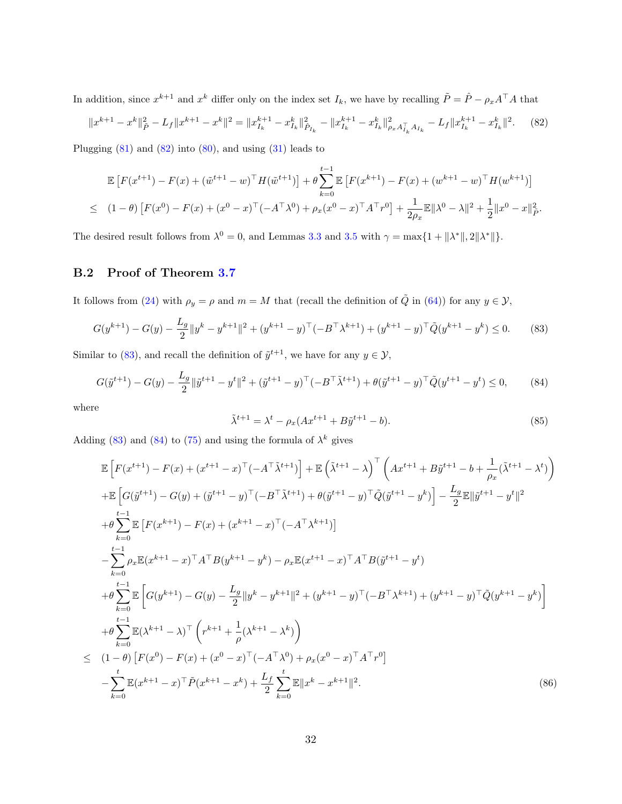In addition, since  $x^{k+1}$  and  $x^k$  differ only on the index set  $I_k$ , we have by recalling  $\tilde{P} = \hat{P} - \rho_x A^\top A$  that

<span id="page-31-0"></span>
$$
||x^{k+1} - x^k||_P^2 - L_f||x^{k+1} - x^k||^2 = ||x_{I_k}^{k+1} - x_{I_k}^k||_{\hat{P}_{I_k}}^2 - ||x_{I_k}^{k+1} - x_{I_k}^k||_{\rho_x A_{I_k}^T A_{I_k}}^2 - L_f||x_{I_k}^{k+1} - x_{I_k}^k||^2.
$$
 (82)

Plugging [\(81\)](#page-30-2) and [\(82\)](#page-31-0) into [\(80\)](#page-30-3), and using [\(31\)](#page-12-2) leads to

$$
\mathbb{E}\left[F(x^{t+1}) - F(x) + (\tilde{w}^{t+1} - w)^{\top}H(\tilde{w}^{t+1})\right] + \theta \sum_{k=0}^{t-1} \mathbb{E}\left[F(x^{k+1}) - F(x) + (w^{k+1} - w)^{\top}H(w^{k+1})\right]
$$
  
\n
$$
\leq (1-\theta)\left[F(x^{0}) - F(x) + (x^{0} - x)^{\top}(-A^{\top}\lambda^{0}) + \rho_{x}(x^{0} - x)^{\top}A^{\top}r^{0}\right] + \frac{1}{2\rho_{x}}\mathbb{E}\|\lambda^{0} - \lambda\|^{2} + \frac{1}{2}\|x^{0} - x\|_{\tilde{P}}^{2}.
$$

The desired result follows from  $\lambda^0 = 0$ , and Lemmas [3.3](#page-11-3) and [3.5](#page-11-1) with  $\gamma = \max\{1 + ||\lambda^*||, 2||\lambda^*||\}.$ 

#### B.2 Proof of Theorem [3.7](#page-12-3)

It follows from [\(24\)](#page-10-2) with  $\rho_y = \rho$  and  $m = M$  that (recall the definition of  $\tilde{Q}$  in [\(64\)](#page-26-8)) for any  $y \in \mathcal{Y}$ ,

<span id="page-31-1"></span>
$$
G(y^{k+1}) - G(y) - \frac{L_g}{2} \|y^k - y^{k+1}\|^2 + (y^{k+1} - y)^\top (-B^\top \lambda^{k+1}) + (y^{k+1} - y)^\top \tilde{Q}(y^{k+1} - y^k) \le 0. \tag{83}
$$

Similar to [\(83\)](#page-31-1), and recall the definition of  $\tilde{y}^{t+1}$ , we have for any  $y \in \mathcal{Y}$ ,

<span id="page-31-2"></span>
$$
G(\tilde{y}^{t+1}) - G(y) - \frac{L_g}{2} \|\tilde{y}^{t+1} - y^t\|^2 + (\tilde{y}^{t+1} - y)^\top (-B^\top \tilde{\lambda}^{t+1}) + \theta(\tilde{y}^{t+1} - y)^\top \tilde{Q}(y^{t+1} - y^t) \le 0,\tag{84}
$$

where

$$
\tilde{\lambda}^{t+1} = \lambda^t - \rho_x (Ax^{t+1} + B\tilde{y}^{t+1} - b).
$$
\n(85)

Adding [\(83\)](#page-31-1) and [\(84\)](#page-31-2) to [\(75\)](#page-29-1) and using the formula of  $\lambda^k$  gives

<span id="page-31-3"></span>
$$
\mathbb{E}\left[F(x^{t+1}) - F(x) + (x^{t+1} - x)^{\top}(-A^{\top}\tilde{\lambda}^{t+1})\right] + \mathbb{E}\left(\tilde{\lambda}^{t+1} - \lambda\right)^{\top}\left(Ax^{t+1} + B\tilde{y}^{t+1} - b + \frac{1}{\rho_x}(\tilde{\lambda}^{t+1} - \lambda^{t})\right) \n+ \mathbb{E}\left[G(\tilde{y}^{t+1}) - G(y) + (\tilde{y}^{t+1} - y)^{\top}(-B^{\top}\tilde{\lambda}^{t+1}) + \theta(\tilde{y}^{t+1} - y)^{\top}\tilde{Q}(\tilde{y}^{t+1} - y^{k})\right] - \frac{L_g}{2}\mathbb{E}\|\tilde{y}^{t+1} - y^{t}\|^2 \n+ \theta \sum_{k=0}^{t-1} \mathbb{E}\left[F(x^{k+1}) - F(x) + (x^{k+1} - x)^{\top}(-A^{\top}\lambda^{k+1})\right] \n- \sum_{k=0}^{t-1} \rho_x \mathbb{E}(x^{k+1} - x)^{\top}A^{\top}B(y^{k+1} - y^{k}) - \rho_x \mathbb{E}(x^{t+1} - x)^{\top}A^{\top}B(\tilde{y}^{t+1} - y^{t}) \n+ \theta \sum_{k=0}^{t-1} \mathbb{E}\left[G(y^{k+1}) - G(y) - \frac{L_g}{2}\|y^{k} - y^{k+1}\|^2 + (y^{k+1} - y)^{\top}(-B^{\top}\lambda^{k+1}) + (y^{k+1} - y)^{\top}\tilde{Q}(y^{k+1} - y^{k})\right] \n+ \theta \sum_{k=0}^{t-1} \mathbb{E}(\lambda^{k+1} - \lambda)^{\top}\left(r^{k+1} + \frac{1}{\rho}(\lambda^{k+1} - \lambda^{k})\right) \n\leq (1 - \theta)\left[F(x^{0}) - F(x) + (x^{0} - x)^{\top}(-A^{\top}\lambda^{0}) + \rho_x(x^{0} - x)^{\top}A^{\top}r^{0}\right] \n- \sum_{k=0}^{t} \mathbb{E}(x^{k+1} - x)^{\top}\tilde{P}(x^{k+1} - x^{k}) + \frac{L_f}{2} \sum_{k=0}
$$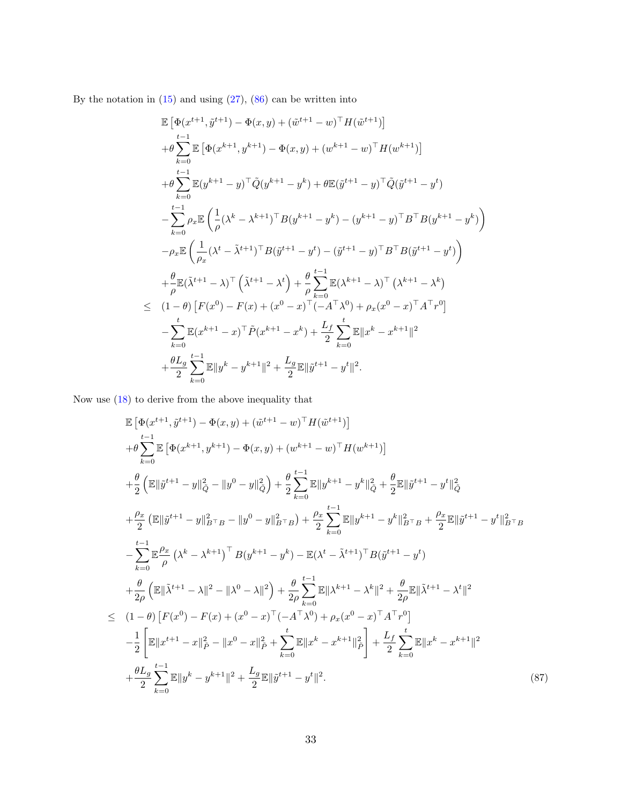By the notation in  $(15)$  and using  $(27)$ ,  $(86)$  can be written into

$$
\mathbb{E}\left[\Phi(x^{t+1}, \tilde{y}^{t+1}) - \Phi(x, y) + (\tilde{w}^{t+1} - w)^{\top}H(\tilde{w}^{t+1})\right] \n+ \theta \sum_{k=0}^{t-1} \mathbb{E}\left[\Phi(x^{k+1}, y^{k+1}) - \Phi(x, y) + (w^{k+1} - w)^{\top}H(w^{k+1})\right] \n+ \theta \sum_{k=0}^{t-1} \mathbb{E}(y^{k+1} - y)^{\top}\tilde{Q}(y^{k+1} - y^{k}) + \theta \mathbb{E}(\tilde{y}^{t+1} - y)^{\top}\tilde{Q}(\tilde{y}^{t+1} - y^{t}) \n- \sum_{k=0}^{t-1} \rho_{x}\mathbb{E}\left(\frac{1}{\rho}(\lambda^{k} - \lambda^{k+1})^{\top}B(y^{k+1} - y^{k}) - (y^{k+1} - y)^{\top}B^{\top}B(y^{k+1} - y^{k})\right) \n- \rho_{x}\mathbb{E}\left(\frac{1}{\rho_{x}}(\lambda^{t} - \tilde{\lambda}^{t+1})^{\top}B(\tilde{y}^{t+1} - y^{t}) - (\tilde{y}^{t+1} - y)^{\top}B^{\top}B(\tilde{y}^{t+1} - y^{t})\right) \n+ \frac{\theta}{\rho}\mathbb{E}(\tilde{\lambda}^{t+1} - \lambda)^{\top}\left(\tilde{\lambda}^{t+1} - \lambda^{t}\right) + \frac{\theta}{\rho}\sum_{k=0}^{t-1} \mathbb{E}(\lambda^{k+1} - \lambda)^{\top}\left(\lambda^{k+1} - \lambda^{k}\right) \n\leq (1 - \theta)\left[F(x^{0}) - F(x) + (x^{0} - x)^{\top}(-A^{\top}\lambda^{0}) + \rho_{x}(x^{0} - x)^{\top}A^{\top}r^{0}\right] \n- \sum_{k=0}^{t} \mathbb{E}(x^{k+1} - x)^{\top}\tilde{P}(x^{k+1} - x^{k}) + \frac{L_{f}}{2}\sum_{k=0}^{t} \mathbb{E}\|x^{k} - x^{k+1}\|^{2} \n+ \frac{\theta L_{g}}{2}\sum_{k=0}^{t-1} \mathbb{E}\|y^{k} - y^{k
$$

Now use [\(18\)](#page-8-2) to derive from the above inequality that

<span id="page-32-0"></span>
$$
\mathbb{E}\left[\Phi(x^{t+1}, \hat{y}^{t+1}) - \Phi(x, y) + (\hat{w}^{t+1} - w)^{\top}H(\hat{w}^{t+1})\right] \n+ \theta \sum_{k=0}^{t-1} \mathbb{E}\left[\Phi(x^{k+1}, y^{k+1}) - \Phi(x, y) + (w^{k+1} - w)^{\top}H(w^{k+1})\right] \n+ \frac{\theta}{2}\left(\mathbb{E}\|\hat{y}^{t+1} - y\|_{Q}^{2} - \|y^{0} - y\|_{Q}^{2}\right) + \frac{\theta}{2}\sum_{k=0}^{t-1} \mathbb{E}\|y^{k+1} - y^{k}\|_{Q}^{2} + \frac{\theta}{2}\mathbb{E}\|\hat{y}^{t+1} - y^{t}\|_{Q}^{2} \n+ \frac{\rho_{x}}{2}\left(\mathbb{E}\|\hat{y}^{t+1} - y\|_{B\top B}^{2} - \|y^{0} - y\|_{B\top B}^{2}\right) + \frac{\rho_{x}}{2}\sum_{k=0}^{t-1} \mathbb{E}\|y^{k+1} - y^{k}\|_{B\top B}^{2} + \frac{\rho_{x}}{2}\mathbb{E}\|\hat{y}^{t+1} - y^{t}\|_{B\top B}^{2}
$$
\n
$$
- \sum_{k=0}^{t-1} \mathbb{E}\frac{\rho_{x}}{\rho}\left(\lambda^{k} - \lambda^{k+1}\right)^{\top} B(y^{k+1} - y^{k}) - \mathbb{E}(\lambda^{t} - \tilde{\lambda}^{t+1})^{\top} B(\tilde{y}^{t+1} - y^{t}) \n+ \frac{\theta}{2\rho}\left(\mathbb{E}\|\tilde{\lambda}^{t+1} - \lambda\|^{2} - \|\lambda^{0} - \lambda\|^{2}\right) + \frac{\theta}{2\rho}\sum_{k=0}^{t-1} \mathbb{E}\|\lambda^{k+1} - \lambda^{k}\|^{2} + \frac{\theta}{2\rho}\mathbb{E}\|\tilde{\lambda}^{t+1} - \lambda^{t}\|^{2}
$$
\n
$$
\leq (1-\theta)\left[F(x^{0}) - F(x) + (x^{0} - x)^{\top}(-A^{\top}\lambda^{0}) + \rho_{x}(x^{0} - x)^{\top}A^{\top}r^{0}\right] \n- \frac{
$$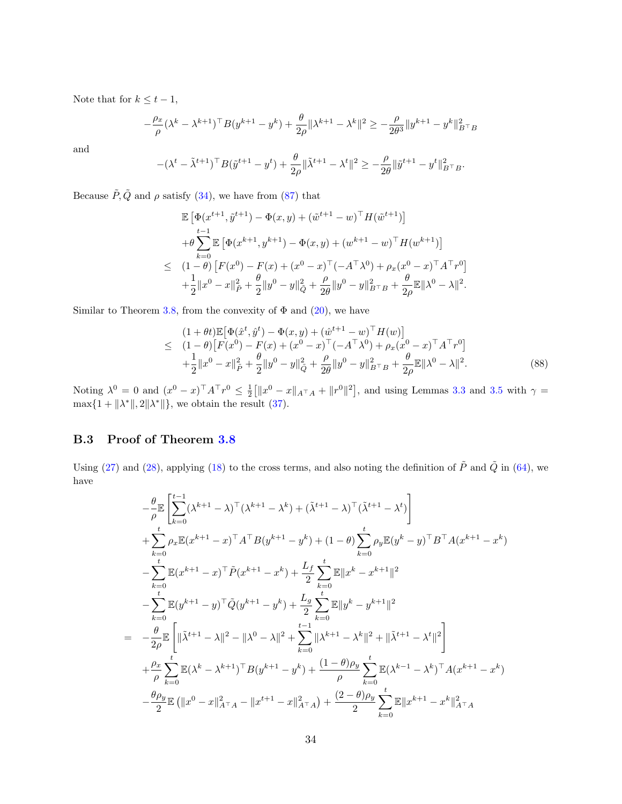Note that for  $k \leq t - 1$ ,

$$
-\frac{\rho_x}{\rho}(\lambda^k-\lambda^{k+1})^{\top}B(y^{k+1}-y^k)+\frac{\theta}{2\rho}\|\lambda^{k+1}-\lambda^k\|^2\geq -\frac{\rho}{2\theta^3}\|y^{k+1}-y^k\|_{B^{\top}B}^2
$$

and

$$
-(\lambda^{t} - \tilde{\lambda}^{t+1})^{\top} B(\tilde{y}^{t+1} - y^{t}) + \frac{\theta}{2\rho} \|\tilde{\lambda}^{t+1} - \lambda^{t}\|^{2} \geq -\frac{\rho}{2\theta} \|\tilde{y}^{t+1} - y^{t}\|_{B^{\top}B}^{2}.
$$

Because  $\tilde{P}, \tilde{Q}$  and  $\rho$  satisfy [\(34\)](#page-12-4), we have from [\(87\)](#page-32-0) that

$$
\mathbb{E}\left[\Phi(x^{t+1}, \tilde{y}^{t+1}) - \Phi(x, y) + (\tilde{w}^{t+1} - w)^{\top} H(\tilde{w}^{t+1})\right] \n+ \theta \sum_{k=0}^{t-1} \mathbb{E}\left[\Phi(x^{k+1}, y^{k+1}) - \Phi(x, y) + (w^{k+1} - w)^{\top} H(w^{k+1})\right] \n\leq (1 - \theta) \left[F(x^0) - F(x) + (x^0 - x)^{\top} (-A^{\top} \lambda^0) + \rho_x (x^0 - x)^{\top} A^{\top} r^0\right] \n+ \frac{1}{2} ||x^0 - x||_P^2 + \frac{\theta}{2} ||y^0 - y||_Q^2 + \frac{\rho}{2\theta} ||y^0 - y||_{B^{\top}B}^2 + \frac{\theta}{2\rho} \mathbb{E} ||\lambda^0 - \lambda||^2.
$$

Similar to Theorem [3.8,](#page-13-1) from the convexity of  $\Phi$  and  $(20)$ , we have

$$
(1 + \theta t)\mathbb{E}[\Phi(\hat{x}^t, \hat{y}^t) - \Phi(x, y) + (\hat{w}^{t+1} - w)^{\top} H(w)]
$$
  
\n
$$
\leq (1 - \theta)[F(x^0) - F(x) + (x^0 - x)^{\top}(-A^{\top}\lambda^0) + \rho_x(x^0 - x)^{\top}A^{\top}r^0]
$$
  
\n
$$
+ \frac{1}{2}||x^0 - x||_P^2 + \frac{\theta}{2}||y^0 - y||_Q^2 + \frac{\rho}{2\theta}||y^0 - y||_{B^{\top}B}^2 + \frac{\theta}{2\rho}\mathbb{E}||\lambda^0 - \lambda||^2.
$$
\n(88)

Noting  $\lambda^0 = 0$  and  $(x^0 - x)^\top A^\top r^0 \le \frac{1}{2} \left[ \|x^0 - x\|_{A^\top A} + \|r^0\|^2 \right]$ , and using Lemmas [3.3](#page-11-3) and [3.5](#page-11-1) with  $\gamma =$  $\max\{1 + ||\lambda^*||, 2||\lambda^*||\}$ , we obtain the result [\(37\)](#page-13-6).

#### B.3 Proof of Theorem [3.8](#page-13-1)

Using [\(27\)](#page-10-3) and [\(28\)](#page-11-5), applying [\(18\)](#page-8-2) to the cross terms, and also noting the definition of  $\tilde{P}$  and  $\tilde{Q}$  in [\(64\)](#page-26-8), we have

<span id="page-33-0"></span>
$$
-\frac{\theta}{\rho} \mathbb{E} \left[ \sum_{k=0}^{t-1} (\lambda^{k+1} - \lambda)^{\top} (\lambda^{k+1} - \lambda^{k}) + (\tilde{\lambda}^{t+1} - \lambda)^{\top} (\tilde{\lambda}^{t+1} - \lambda^{t}) \right]
$$
  
+ 
$$
\sum_{k=0}^{t} \rho_{x} \mathbb{E}(x^{k+1} - x)^{\top} A^{\top} B(y^{k+1} - y^{k}) + (1 - \theta) \sum_{k=0}^{t} \rho_{y} \mathbb{E}(y^{k} - y)^{\top} B^{\top} A(x^{k+1} - x^{k})
$$
  
- 
$$
\sum_{k=0}^{t} \mathbb{E}(x^{k+1} - x)^{\top} \tilde{P}(x^{k+1} - x^{k}) + \frac{L_{f}}{2} \sum_{k=0}^{t} \mathbb{E} \|x^{k} - x^{k+1}\|^{2}
$$
  
- 
$$
\sum_{k=0}^{t} \mathbb{E}(y^{k+1} - y)^{\top} \tilde{Q}(y^{k+1} - y^{k}) + \frac{L_{g}}{2} \sum_{k=0}^{t} \mathbb{E} \|y^{k} - y^{k+1}\|^{2}
$$
  
= 
$$
-\frac{\theta}{2\rho} \mathbb{E} \left[ \|\tilde{\lambda}^{t+1} - \lambda\|^{2} - \|\lambda^{0} - \lambda\|^{2} + \sum_{k=0}^{t-1} \|\lambda^{k+1} - \lambda^{k}\|^{2} + \|\tilde{\lambda}^{t+1} - \lambda^{t}\|^{2} \right]
$$
  
+ 
$$
\frac{\rho_{x}}{\rho} \sum_{k=0}^{t} \mathbb{E}(\lambda^{k} - \lambda^{k+1})^{\top} B(y^{k+1} - y^{k}) + \frac{(1 - \theta)\rho_{y}}{\rho} \sum_{k=0}^{t} \mathbb{E}(\lambda^{k-1} - \lambda^{k})^{\top} A(x^{k+1} - x^{k})
$$
  
- 
$$
\frac{\theta\rho_{y}}{2} \mathbb{E}(\|x^{0} - x\|_{A^{\top}A}^{2} - \|x^{t+1} - x\|_{A^{\top}A}^{2}) + \frac{(2 - \theta)\rho_{y}}{2} \sum_{k=0}^{t} \mathbb{E} \|x^{k+1
$$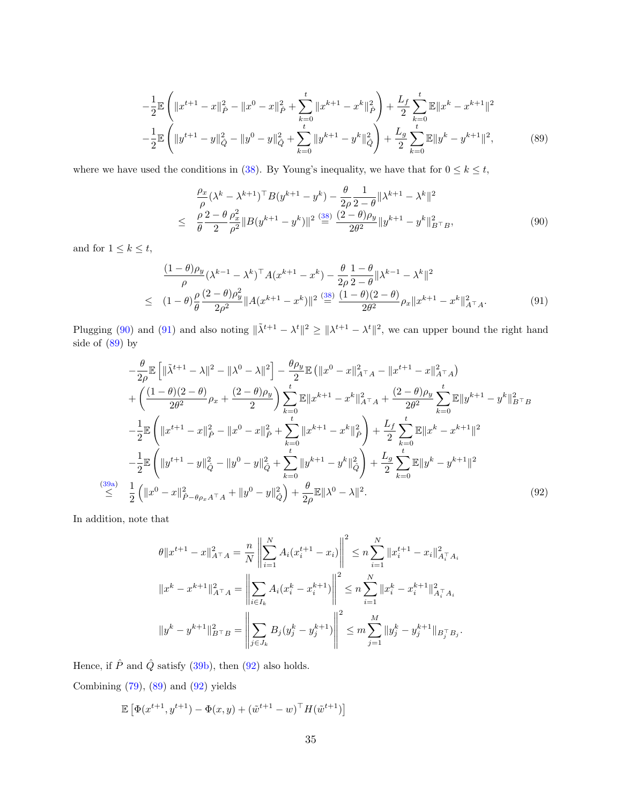$$
-\frac{1}{2}\mathbb{E}\left(\|x^{t+1} - x\|_{\hat{P}}^2 - \|x^0 - x\|_{\hat{P}}^2 + \sum_{k=0}^t \|x^{k+1} - x^k\|_{\hat{P}}^2\right) + \frac{L_f}{2}\sum_{k=0}^t \mathbb{E}\|x^k - x^{k+1}\|^2
$$

$$
-\frac{1}{2}\mathbb{E}\left(\|y^{t+1} - y\|_{\hat{Q}}^2 - \|y^0 - y\|_{\hat{Q}}^2 + \sum_{k=0}^t \|y^{k+1} - y^k\|_{\hat{Q}}^2\right) + \frac{L_g}{2}\sum_{k=0}^t \mathbb{E}\|y^k - y^{k+1}\|^2,\tag{89}
$$

where we have used the conditions in [\(38\)](#page-13-5). By Young's inequality, we have that for  $0 \leq k \leq t$ ,

<span id="page-34-0"></span>
$$
\frac{\rho_x}{\rho} (\lambda^k - \lambda^{k+1})^\top B (y^{k+1} - y^k) - \frac{\theta}{2\rho} \frac{1}{2 - \theta} \| \lambda^{k+1} - \lambda^k \|^2
$$
  
\n
$$
\leq \frac{\rho}{\theta} \frac{2 - \theta}{2} \frac{\rho_x^2}{\rho^2} \| B (y^{k+1} - y^k) \|^2 \stackrel{\text{(38)}}{=} \frac{(2 - \theta)\rho_y}{2\theta^2} \| y^{k+1} - y^k \|^2_{B^\top B},
$$
\n(90)

and for  $1\leq k\leq t,$ 

<span id="page-34-1"></span>
$$
\frac{(1-\theta)\rho_y}{\rho} (\lambda^{k-1} - \lambda^k)^{\top} A (x^{k+1} - x^k) - \frac{\theta}{2\rho} \frac{1-\theta}{2-\theta} \| \lambda^{k-1} - \lambda^k \|^2
$$
\n
$$
\leq (1-\theta) \frac{\rho}{\theta} \frac{(2-\theta)\rho_y^2}{2\rho^2} \| A (x^{k+1} - x^k) \|^2 \stackrel{(38)}{=} \frac{(1-\theta)(2-\theta)}{2\theta^2} \rho_x \| x^{k+1} - x^k \|^2_{A^\top A}.\tag{91}
$$

Plugging [\(90\)](#page-34-0) and [\(91\)](#page-34-1) and also noting  $\|\tilde{\lambda}^{t+1} - \lambda^t\|^2 \geq \|\lambda^{t+1} - \lambda^t\|^2$ , we can upper bound the right hand side of  $(89)$  by

<span id="page-34-2"></span>
$$
-\frac{\theta}{2\rho}\mathbb{E}\left[\|\tilde{\lambda}^{t+1} - \lambda\|^2 - \|\lambda^0 - \lambda\|^2\right] - \frac{\theta\rho_y}{2}\mathbb{E}\left(\|x^0 - x\|_{A^\top A}^2 - \|x^{t+1} - x\|_{A^\top A}^2\right) + \left(\frac{(1-\theta)(2-\theta)}{2\theta^2}\rho_x + \frac{(2-\theta)\rho_y}{2}\right)\sum_{k=0}^t \mathbb{E}\|x^{k+1} - x^k\|_{A^\top A}^2 + \frac{(2-\theta)\rho_y}{2\theta^2}\sum_{k=0}^t \mathbb{E}\|y^{k+1} - y^k\|_{B^\top B}^2 - \frac{1}{2}\mathbb{E}\left(\|x^{t+1} - x\|_{\hat{P}}^2 - \|x^0 - x\|_{\hat{P}}^2 + \sum_{k=0}^t \|x^{k+1} - x^k\|_{\hat{P}}^2\right) + \frac{L_f}{2}\sum_{k=0}^t \mathbb{E}\|x^k - x^{k+1}\|^2 - \frac{1}{2}\mathbb{E}\left(\|y^{t+1} - y\|_{\hat{Q}}^2 - \|y^0 - y\|_{\hat{Q}}^2 + \sum_{k=0}^t \|y^{k+1} - y^k\|_{\hat{Q}}^2\right) + \frac{L_g}{2}\sum_{k=0}^t \mathbb{E}\|y^k - y^{k+1}\|^2 \n\overset{(39a)}{\leq} \frac{1}{2}\left(\|x^0 - x\|_{\hat{P}-\theta\rho_x A^\top A}^2 + \|y^0 - y\|_{\hat{Q}}^2\right) + \frac{\theta}{2\rho}\mathbb{E}\|\lambda^0 - \lambda\|^2.
$$
\n(92)

In addition, note that

$$
\theta \|x^{t+1} - x\|_{A^\top A}^2 = \frac{n}{N} \left\| \sum_{i=1}^N A_i (x_i^{t+1} - x_i) \right\|^2 \le n \sum_{i=1}^N \|x_i^{t+1} - x_i\|_{A_i^\top A_i}^2
$$
  

$$
\|x^k - x^{k+1}\|_{A^\top A}^2 = \left\| \sum_{i \in I_k} A_i (x_i^k - x_i^{k+1}) \right\|^2 \le n \sum_{i=1}^N \|x_i^k - x_i^{k+1}\|_{A_i^\top A_i}^2
$$
  

$$
\|y^k - y^{k+1}\|_{B^\top B}^2 = \left\| \sum_{j \in J_k} B_j (y_j^k - y_j^{k+1}) \right\|^2 \le m \sum_{j=1}^M \|y_j^k - y_j^{k+1}\|_{B_j^\top B_j}.
$$

Hence, if  $\hat{P}$  and  $\hat{Q}$  satisfy [\(39b\)](#page-13-4), then [\(92\)](#page-34-2) also holds.

Combining  $(79)$ ,  $(89)$  and  $(92)$  yields

<span id="page-34-3"></span>
$$
\mathbb{E}\left[\Phi(x^{t+1}, y^{t+1}) - \Phi(x, y) + (\tilde{w}^{t+1} - w)^{\top} H(\tilde{w}^{t+1})\right]
$$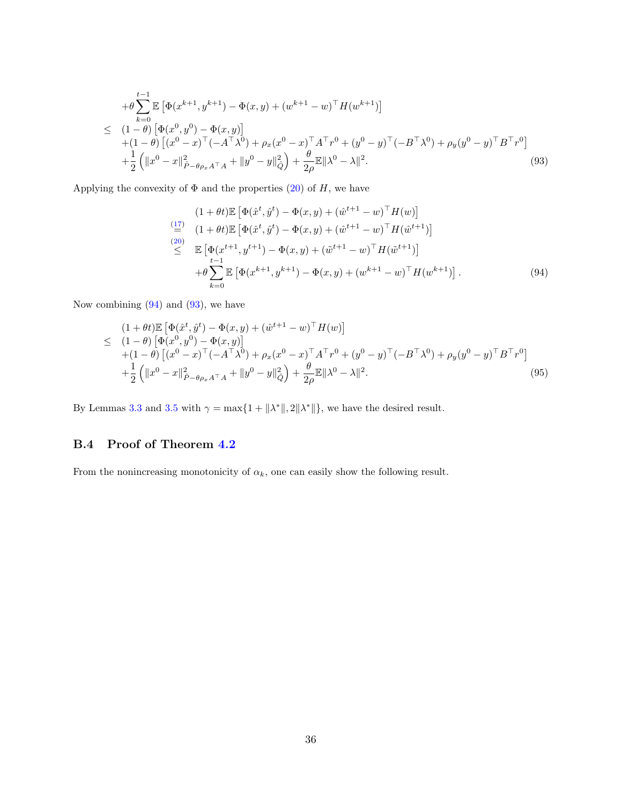$$
+ \theta \sum_{k=0}^{t-1} \mathbb{E} \left[ \Phi(x^{k+1}, y^{k+1}) - \Phi(x, y) + (w^{k+1} - w)^{\top} H(w^{k+1}) \right]
$$
  
\n
$$
\leq (1 - \theta) \left[ \Phi(x^{0}, y^{0}) - \Phi(x, y) \right] + (1 - \theta) \left[ (x^{0} - x)^{\top} (-A^{\top} \lambda^{0}) + \rho_{x} (x^{0} - x)^{\top} A^{\top} r^{0} + (y^{0} - y)^{\top} (-B^{\top} \lambda^{0}) + \rho_{y} (y^{0} - y)^{\top} B^{\top} r^{0} \right]
$$
  
\n
$$
+ \frac{1}{2} \left( \|x^{0} - x\|_{\hat{P} - \theta \rho_{x} A^{\top} A}^{2} + \|y^{0} - y\|_{\hat{Q}}^{2} \right) + \frac{\theta}{2\rho} \mathbb{E} \|\lambda^{0} - \lambda\|^{2}.
$$
\n(93)

Applying the convexity of  $\Phi$  and the properties [\(20\)](#page-9-5) of H, we have

<span id="page-35-0"></span>
$$
(1 + \theta t) \mathbb{E} \left[ \Phi(\hat{x}^t, \hat{y}^t) - \Phi(x, y) + (\hat{w}^{t+1} - w)^{\top} H(w) \right]
$$
  
\n
$$
\stackrel{(17)}{=} (1 + \theta t) \mathbb{E} \left[ \Phi(\hat{x}^t, \hat{y}^t) - \Phi(x, y) + (\hat{w}^{t+1} - w)^{\top} H(\hat{w}^{t+1}) \right]
$$
  
\n
$$
\stackrel{(20)}{\leq} \mathbb{E} \left[ \Phi(x^{t+1}, y^{t+1}) - \Phi(x, y) + (\tilde{w}^{t+1} - w)^{\top} H(\tilde{w}^{t+1}) \right]
$$
  
\n
$$
+ \theta \sum_{k=0}^{t-1} \mathbb{E} \left[ \Phi(x^{k+1}, y^{k+1}) - \Phi(x, y) + (w^{k+1} - w)^{\top} H(w^{k+1}) \right].
$$
  
\n(94)

Now combining  $(94)$  and  $(93)$ , we have

$$
(1 + \theta t) \mathbb{E} \left[ \Phi(\hat{x}^t, \hat{y}^t) - \Phi(x, y) + (\hat{w}^{t+1} - w)^{\top} H(w) \right]
$$
  
\n
$$
\leq (1 - \theta) \left[ \Phi(x^0, y^0) - \Phi(x, y) \right]
$$
  
\n
$$
+ (1 - \theta) \left[ (x^0 - x)^{\top} (-A^{\top} \lambda^0) + \rho_x (x^0 - x)^{\top} A^{\top} r^0 + (y^0 - y)^{\top} (-B^{\top} \lambda^0) + \rho_y (y^0 - y)^{\top} B^{\top} r^0 \right]
$$
  
\n
$$
+ \frac{1}{2} \left( \|x^0 - x\|_{\hat{P} - \theta \rho_x A^{\top} A}^2 + \|y^0 - y\|_{\hat{Q}}^2 \right) + \frac{\theta}{2\rho} \mathbb{E} \|\lambda^0 - \lambda\|^2.
$$
\n(95)

By Lemmas [3.3](#page-11-3) and [3.5](#page-11-1) with  $\gamma = \max\{1 + ||\lambda^*||, 2||\lambda^*||\}$ , we have the desired result.

### B.4 Proof of Theorem [4.2](#page-16-4)

From the nonincreasing monotonicity of  $\alpha_k$ , one can easily show the following result.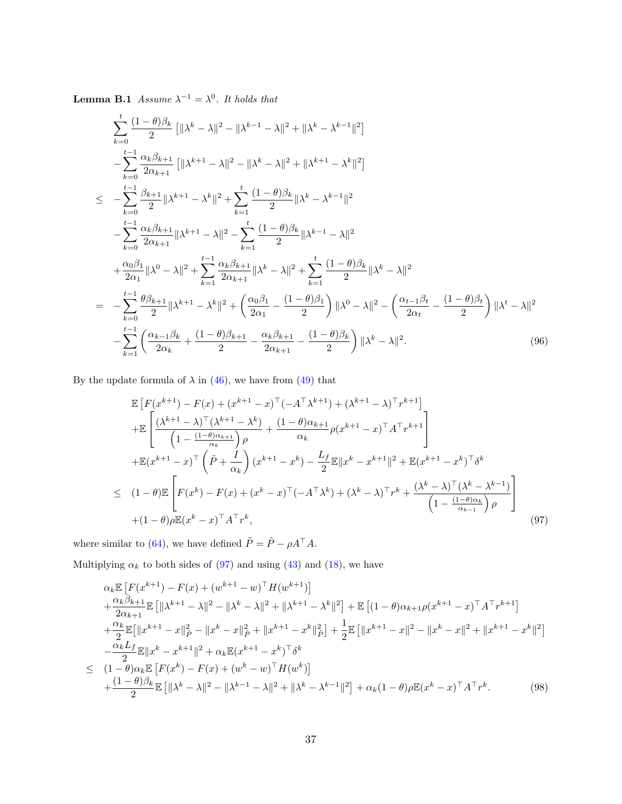**Lemma B.1** Assume  $\lambda^{-1} = \lambda^0$ . It holds that

<span id="page-36-2"></span>
$$
\sum_{k=0}^{t} \frac{(1-\theta)\beta_k}{2} \left[ \|\lambda^k - \lambda\|^2 - \|\lambda^{k-1} - \lambda\|^2 + \|\lambda^k - \lambda^{k-1}\|^2 \right]
$$
  
\n
$$
- \sum_{k=0}^{t-1} \frac{\alpha_k \beta_{k+1}}{2\alpha_{k+1}} \left[ \|\lambda^{k+1} - \lambda\|^2 - \|\lambda^k - \lambda\|^2 + \|\lambda^{k+1} - \lambda^k\|^2 \right]
$$
  
\n
$$
\leq - \sum_{k=0}^{t-1} \frac{\beta_{k+1}}{2} \|\lambda^{k+1} - \lambda^k\|^2 + \sum_{k=1}^t \frac{(1-\theta)\beta_k}{2} \|\lambda^k - \lambda^{k-1}\|^2
$$
  
\n
$$
- \sum_{k=0}^{t-1} \frac{\alpha_k \beta_{k+1}}{2\alpha_{k+1}} \|\lambda^{k+1} - \lambda\|^2 - \sum_{k=1}^t \frac{(1-\theta)\beta_k}{2} \|\lambda^{k-1} - \lambda\|^2
$$
  
\n
$$
+ \frac{\alpha_0 \beta_1}{2\alpha_1} \|\lambda^0 - \lambda\|^2 + \sum_{k=1}^{t-1} \frac{\alpha_k \beta_{k+1}}{2\alpha_{k+1}} \|\lambda^k - \lambda\|^2 + \sum_{k=1}^t \frac{(1-\theta)\beta_k}{2} \|\lambda^k - \lambda\|^2
$$
  
\n
$$
= - \sum_{k=0}^{t-1} \frac{\theta \beta_{k+1}}{2} \|\lambda^{k+1} - \lambda^k\|^2 + \left( \frac{\alpha_0 \beta_1}{2\alpha_1} - \frac{(1-\theta)\beta_1}{2} \right) \|\lambda^0 - \lambda\|^2 - \left( \frac{\alpha_{t-1} \beta_t}{2\alpha_t} - \frac{(1-\theta)\beta_t}{2} \right) \|\lambda^t - \lambda\|^2
$$
  
\n
$$
- \sum_{k=1}^{t-1} \left( \frac{\alpha_{k-1} \beta_k}{2\alpha_k} + \frac{(1-\theta)\beta_{k+1}}{2} - \frac{\alpha_k \beta_{k+1}}{2\alpha_{k+1}} - \frac{(1-\theta)\beta_k}{2} \right) \|\lambda^k - \lambda\|^2.
$$
  
\n(96)

By the update formula of  $\lambda$  in [\(46\)](#page-15-4), we have from [\(49\)](#page-15-2) that

<span id="page-36-0"></span>
$$
\mathbb{E}\left[F(x^{k+1}) - F(x) + (x^{k+1} - x)^{\top}(-A^{\top}\lambda^{k+1}) + (\lambda^{k+1} - \lambda)^{\top}r^{k+1}\right] \n+ \mathbb{E}\left[\frac{(\lambda^{k+1} - \lambda)^{\top}(\lambda^{k+1} - \lambda^{k})}{\left(1 - \frac{(1-\theta)\alpha_{k+1}}{\alpha_k}\right)\rho} + \frac{(1-\theta)\alpha_{k+1}}{\alpha_k}\rho(x^{k+1} - x)^{\top}A^{\top}r^{k+1}\right] \n+ \mathbb{E}(x^{k+1} - x)^{\top}\left(\tilde{P} + \frac{I}{\alpha_k}\right)(x^{k+1} - x^k) - \frac{L_f}{2}\mathbb{E}\|x^k - x^{k+1}\|^2 + \mathbb{E}(x^{k+1} - x^k)^{\top}\delta^k \n\leq (1-\theta)\mathbb{E}\left[F(x^k) - F(x) + (x^k - x)^{\top}(-A^{\top}\lambda^k) + (\lambda^k - \lambda)^{\top}r^k + \frac{(\lambda^k - \lambda)^{\top}(\lambda^k - \lambda^{k-1})}{\left(1 - \frac{(1-\theta)\alpha_k}{\alpha_{k-1}}\right)\rho}\right] \n+ (1-\theta)\rho\mathbb{E}(x^k - x)^{\top}A^{\top}r^k,
$$
\n(97)

where similar to [\(64\)](#page-26-8), we have defined  $\tilde{P} = \hat{P} - \rho A^{\top} A$ .

Multiplying  $\alpha_k$  to both sides of [\(97\)](#page-36-0) and using [\(43\)](#page-14-3) and [\(18\)](#page-8-2), we have

<span id="page-36-1"></span>
$$
\alpha_{k} \mathbb{E} \left[ F(x^{k+1}) - F(x) + (w^{k+1} - w)^{\top} H(w^{k+1}) \right] \n+ \frac{\alpha_{k}\beta_{k+1}}{2\alpha_{k+1}} \mathbb{E} \left[ \|\lambda^{k+1} - \lambda\|^{2} - \|\lambda^{k} - \lambda\|^{2} + \|\lambda^{k+1} - \lambda^{k}\|^{2} \right] + \mathbb{E} \left[ (1 - \theta)\alpha_{k+1}\rho(x^{k+1} - x)^{\top} A^{\top} r^{k+1} \right] \n+ \frac{\alpha_{k}}{2} \mathbb{E} \left[ \|x^{k+1} - x\|_{\tilde{P}}^{2} - \|x^{k} - x\|_{\tilde{P}}^{2} + \|x^{k+1} - x^{k}\|_{\tilde{P}}^{2} \right] + \frac{1}{2} \mathbb{E} \left[ \|x^{k+1} - x\|^{2} - \|x^{k} - x\|^{2} + \|x^{k+1} - x^{k}\|^{2} \right] \n- \frac{\alpha_{k} L_{f}}{2} \mathbb{E} \|x^{k} - x^{k+1}\|^{2} + \alpha_{k} \mathbb{E}(x^{k+1} - x^{k})^{\top} \delta^{k} \n\leq (1 - \theta)\alpha_{k} \mathbb{E} \left[ F(x^{k}) - F(x) + (w^{k} - w)^{\top} H(w^{k}) \right] \n+ \frac{(1 - \theta)\beta_{k}}{2} \mathbb{E} \left[ \|\lambda^{k} - \lambda\|^{2} - \|\lambda^{k-1} - \lambda\|^{2} + \|\lambda^{k} - \lambda^{k-1}\|^{2} \right] + \alpha_{k} (1 - \theta) \rho \mathbb{E}(x^{k} - x)^{\top} A^{\top} r^{k}.
$$
\n(98)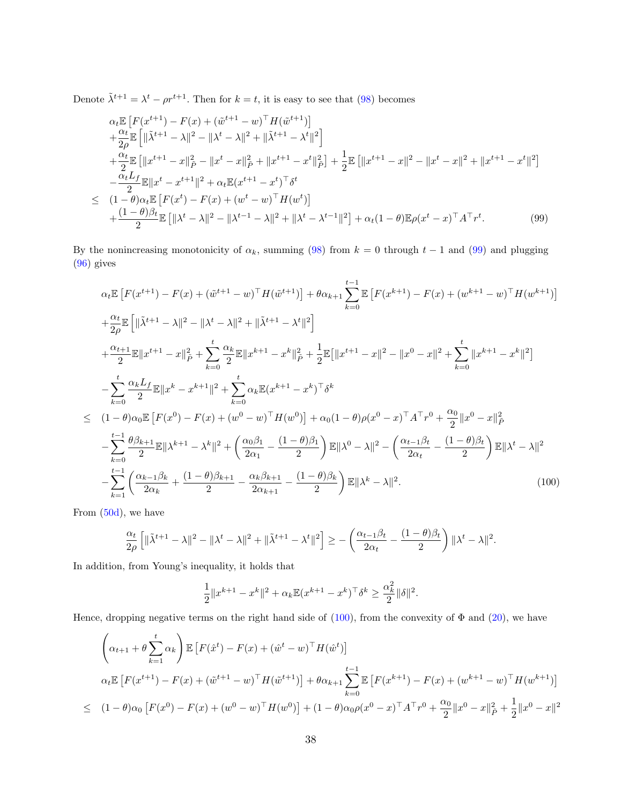Denote  $\tilde{\lambda}^{t+1} = \lambda^t - \rho r^{t+1}$ . Then for  $k = t$ , it is easy to see that [\(98\)](#page-36-1) becomes

<span id="page-37-0"></span>
$$
\alpha_{t} \mathbb{E} \left[ F(x^{t+1}) - F(x) + (\tilde{w}^{t+1} - w)^{\top} H(\tilde{w}^{t+1}) \right] \n+ \frac{\alpha_{t}}{2\rho} \mathbb{E} \left[ \| \tilde{\lambda}^{t+1} - \lambda \|^{2} - \| \lambda^{t} - \lambda \|^{2} + \| \tilde{\lambda}^{t+1} - \lambda^{t} \|^{2} \right] \n+ \frac{\alpha_{t}}{2} \mathbb{E} \left[ \| x^{t+1} - x \|_{\tilde{P}}^{2} - \| x^{t} - x \|_{\tilde{P}}^{2} + \| x^{t+1} - x^{t} \|_{\tilde{P}}^{2} \right] + \frac{1}{2} \mathbb{E} \left[ \| x^{t+1} - x \|^{2} - \| x^{t} - x \|^{2} + \| x^{t+1} - x^{t} \|^{2} \right] \n- \frac{\alpha_{t} L_{f}}{2} \mathbb{E} \| x^{t} - x^{t+1} \|^{2} + \alpha_{t} \mathbb{E} (x^{t+1} - x^{t})^{\top} \delta^{t} \n\leq (1 - \theta) \alpha_{t} \mathbb{E} \left[ F(x^{t}) - F(x) + (w^{t} - w)^{\top} H(w^{t}) \right] \n+ \frac{(1 - \theta) \beta_{t}}{2} \mathbb{E} \left[ \| \lambda^{t} - \lambda \|^{2} - \| \lambda^{t-1} - \lambda \|^{2} + \| \lambda^{t} - \lambda^{t-1} \|^{2} \right] + \alpha_{t} (1 - \theta) \mathbb{E} \rho (x^{t} - x)^{\top} A^{\top} r^{t}.
$$
\n(99)

By the nonincreasing monotonicity of  $\alpha_k$ , summing [\(98\)](#page-36-1) from  $k = 0$  through  $t - 1$  and [\(99\)](#page-37-0) and plugging [\(96\)](#page-36-2) gives

<span id="page-37-1"></span>
$$
\alpha_{t} \mathbb{E} \left[ F(x^{t+1}) - F(x) + (\tilde{w}^{t+1} - w)^{\top} H(\tilde{w}^{t+1}) \right] + \theta \alpha_{k+1} \sum_{k=0}^{t-1} \mathbb{E} \left[ F(x^{k+1}) - F(x) + (w^{k+1} - w)^{\top} H(w^{k+1}) \right]
$$
  
+  $\frac{\alpha_{t}}{2\rho} \mathbb{E} \left[ \| \tilde{\lambda}^{t+1} - \lambda \|^{2} - \| \lambda^{t} - \lambda \|^{2} + \| \tilde{\lambda}^{t+1} - \lambda^{t} \|^{2} \right]$   
+  $\frac{\alpha_{t+1}}{2} \mathbb{E} \| x^{t+1} - x \|_{\tilde{P}}^{2} + \sum_{k=0}^{t} \frac{\alpha_{k}}{2} \mathbb{E} \| x^{k+1} - x^{k} \|_{\tilde{P}}^{2} + \frac{1}{2} \mathbb{E} \left[ \| x^{t+1} - x \|^{2} - \| x^{0} - x \|^{2} + \sum_{k=0}^{t} \| x^{k+1} - x^{k} \|^{2} \right]$   
-  $\sum_{k=0}^{t} \frac{\alpha_{k} L_{f}}{2} \mathbb{E} \| x^{k} - x^{k+1} \|^{2} + \sum_{k=0}^{t} \alpha_{k} \mathbb{E} (x^{k+1} - x^{k})^{\top} \delta^{k}$   

$$
\leq (1 - \theta) \alpha_{0} \mathbb{E} \left[ F(x^{0}) - F(x) + (w^{0} - w)^{\top} H(w^{0}) \right] + \alpha_{0} (1 - \theta) \rho (x^{0} - x)^{\top} A^{\top} r^{0} + \frac{\alpha_{0}}{2} \| x^{0} - x \|_{\tilde{P}}^{2}
$$
  
-  $\sum_{k=0}^{t-1} \frac{\theta \beta_{k+1}}{2} \mathbb{E} \| \lambda^{k+1} - \lambda^{k} \|^{2} + \left( \frac{\alpha_{0} \beta_{1}}{2\alpha_{1}} - \frac{(1 - \theta) \beta_{1}}{2} \right) \mathbb{E} \| \lambda^{0} - \lambda \|^{2} - \left( \frac{\alpha_{t-1} \beta_{t}}{2\alpha_{t}} - \frac{(1 - \theta) \beta_{t}}{2} \right) \mathbb$ 

From [\(50d\)](#page-16-2), we have

$$
\frac{\alpha_t}{2\rho}\left[\|\tilde{\lambda}^{t+1}-\lambda\|^2-\|\lambda^t-\lambda\|^2+\|\tilde{\lambda}^{t+1}-\lambda^t\|^2\right]\geq -\left(\frac{\alpha_{t-1}\beta_t}{2\alpha_t}-\frac{(1-\theta)\beta_t}{2}\right)\|\lambda^t-\lambda\|^2.
$$

In addition, from Young's inequality, it holds that

$$
\frac{1}{2}||x^{k+1} - x^k||^2 + \alpha_k \mathbb{E}(x^{k+1} - x^k)^\top \delta^k \ge \frac{\alpha_k^2}{2} ||\delta||^2.
$$

Hence, dropping negative terms on the right hand side of  $(100)$ , from the convexity of  $\Phi$  and  $(20)$ , we have

$$
\left(\alpha_{t+1} + \theta \sum_{k=1}^{t} \alpha_{k}\right) \mathbb{E}\left[F(\hat{x}^{t}) - F(x) + (\hat{w}^{t} - w)^{\top}H(\hat{w}^{t})\right]
$$
\n
$$
\alpha_{t} \mathbb{E}\left[F(x^{t+1}) - F(x) + (\tilde{w}^{t+1} - w)^{\top}H(\tilde{w}^{t+1})\right] + \theta \alpha_{k+1} \sum_{k=0}^{t-1} \mathbb{E}\left[F(x^{k+1}) - F(x) + (w^{k+1} - w)^{\top}H(w^{k+1})\right]
$$
\n
$$
\leq (1 - \theta)\alpha_{0}\left[F(x^{0}) - F(x) + (w^{0} - w)^{\top}H(w^{0})\right] + (1 - \theta)\alpha_{0}\rho(x^{0} - x)^{\top}A^{\top}r^{0} + \frac{\alpha_{0}}{2}||x^{0} - x||_{\tilde{P}}^{2} + \frac{1}{2}||x^{0} - x||^{2}
$$